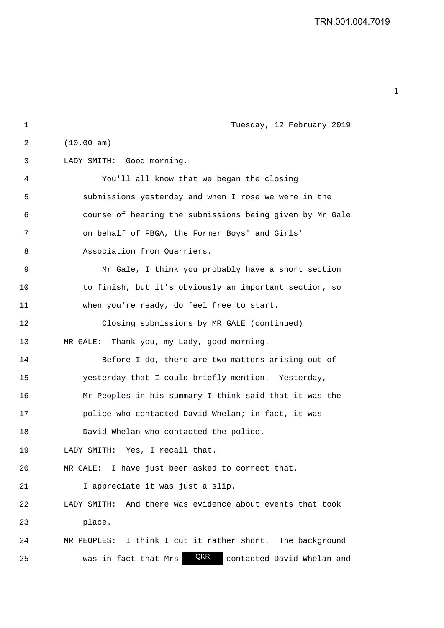| 1  | Tuesday, 12 February 2019                                    |
|----|--------------------------------------------------------------|
| 2  | (10.00 am)                                                   |
| 3  | LADY SMITH: Good morning.                                    |
| 4  | You'll all know that we began the closing                    |
| 5  | submissions yesterday and when I rose we were in the         |
| 6  | course of hearing the submissions being given by Mr Gale     |
| 7  | on behalf of FBGA, the Former Boys' and Girls'               |
| 8  | Association from Quarriers.                                  |
| 9  | Mr Gale, I think you probably have a short section           |
| 10 | to finish, but it's obviously an important section, so       |
| 11 | when you're ready, do feel free to start.                    |
| 12 | Closing submissions by MR GALE (continued)                   |
| 13 | Thank you, my Lady, good morning.<br>MR GALE:                |
| 14 | Before I do, there are two matters arising out of            |
| 15 | yesterday that I could briefly mention. Yesterday,           |
| 16 | Mr Peoples in his summary I think said that it was the       |
| 17 | police who contacted David Whelan; in fact, it was           |
| 18 | David Whelan who contacted the police.                       |
| 19 | LADY SMITH: Yes, I recall that.                              |
| 20 | I have just been asked to correct that.<br>MR GALE:          |
| 21 | I appreciate it was just a slip.                             |
| 22 | And there was evidence about events that took<br>LADY SMITH: |
| 23 | place.                                                       |
| 24 | MR PEOPLES: I think I cut it rather short. The background    |
| 25 | QKR<br>contacted David Whelan and<br>was in fact that Mrs    |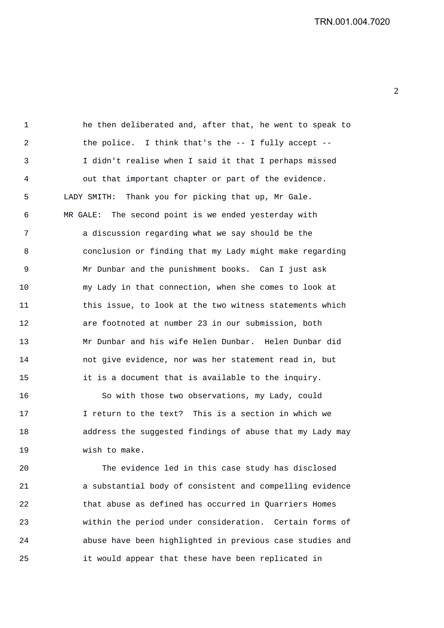2 

1 he then deliberated and, after that, he went to speak to 2 the police. I think that's the -- I fully accept -- 3 I didn't realise when I said it that I perhaps missed 4 out that important chapter or part of the evidence. 5 LADY SMITH: Thank you for picking that up, Mr Gale. 6 MR GALE: The second point is we ended yesterday with 7 a discussion regarding what we say should be the 8 conclusion or finding that my Lady might make regarding 9 Mr Dunbar and the punishment books. Can I just ask 10 my Lady in that connection, when she comes to look at 11 this issue, to look at the two witness statements which 12 are footnoted at number 23 in our submission, both 13 Mr Dunbar and his wife Helen Dunbar. Helen Dunbar did 14 not give evidence, nor was her statement read in, but 15 it is a document that is available to the inquiry.

16 So with those two observations, my Lady, could 17 I return to the text? This is a section in which we 18 address the suggested findings of abuse that my Lady may 19 wish to make.

20 The evidence led in this case study has disclosed 21 a substantial body of consistent and compelling evidence 22 that abuse as defined has occurred in Quarriers Homes 23 within the period under consideration. Certain forms of 24 abuse have been highlighted in previous case studies and 25 it would appear that these have been replicated in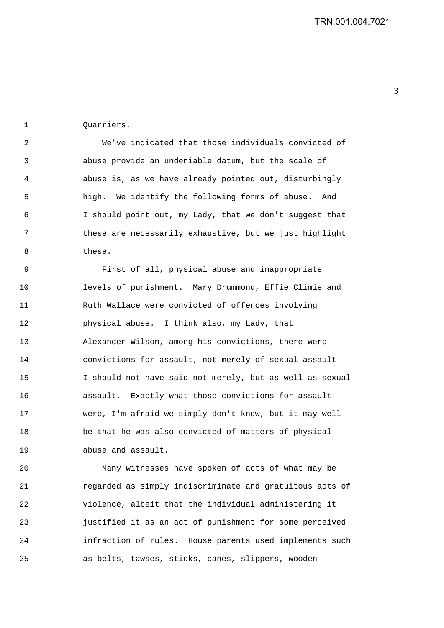1 Quarriers.

2 We've indicated that those individuals convicted of 3 abuse provide an undeniable datum, but the scale of 4 abuse is, as we have already pointed out, disturbingly 5 high. We identify the following forms of abuse. And 6 I should point out, my Lady, that we don't suggest that 7 these are necessarily exhaustive, but we just highlight 8 these.

9 First of all, physical abuse and inappropriate 10 levels of punishment. Mary Drummond, Effie Climie and 11 Ruth Wallace were convicted of offences involving 12 physical abuse. I think also, my Lady, that 13 Alexander Wilson, among his convictions, there were 14 convictions for assault, not merely of sexual assault -- 15 I should not have said not merely, but as well as sexual 16 assault. Exactly what those convictions for assault 17 were, I'm afraid we simply don't know, but it may well 18 be that he was also convicted of matters of physical 19 abuse and assault.

20 Many witnesses have spoken of acts of what may be 21 regarded as simply indiscriminate and gratuitous acts of 22 violence, albeit that the individual administering it 23 justified it as an act of punishment for some perceived 24 infraction of rules. House parents used implements such 25 as belts, tawses, sticks, canes, slippers, wooden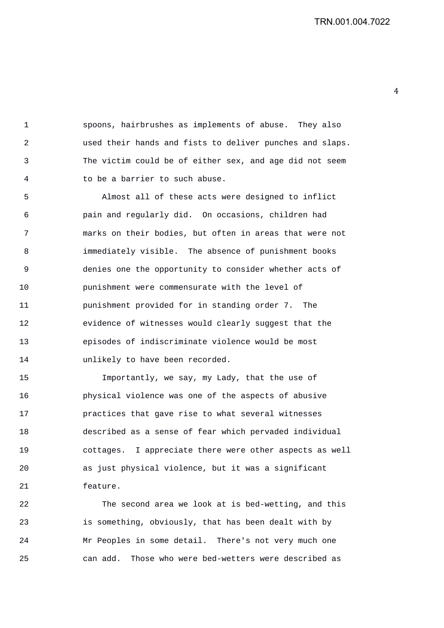1 spoons, hairbrushes as implements of abuse. They also 2 used their hands and fists to deliver punches and slaps. 3 The victim could be of either sex, and age did not seem 4 to be a barrier to such abuse.

5 Almost all of these acts were designed to inflict 6 pain and regularly did. On occasions, children had 7 marks on their bodies, but often in areas that were not 8 immediately visible. The absence of punishment books 9 denies one the opportunity to consider whether acts of 10 punishment were commensurate with the level of 11 punishment provided for in standing order 7. The 12 evidence of witnesses would clearly suggest that the 13 episodes of indiscriminate violence would be most 14 unlikely to have been recorded.

15 Importantly, we say, my Lady, that the use of 16 physical violence was one of the aspects of abusive 17 practices that gave rise to what several witnesses 18 described as a sense of fear which pervaded individual 19 cottages. I appreciate there were other aspects as well 20 as just physical violence, but it was a significant 21 feature.

22 The second area we look at is bed-wetting, and this 23 is something, obviously, that has been dealt with by 24 Mr Peoples in some detail. There's not very much one 25 can add. Those who were bed-wetters were described as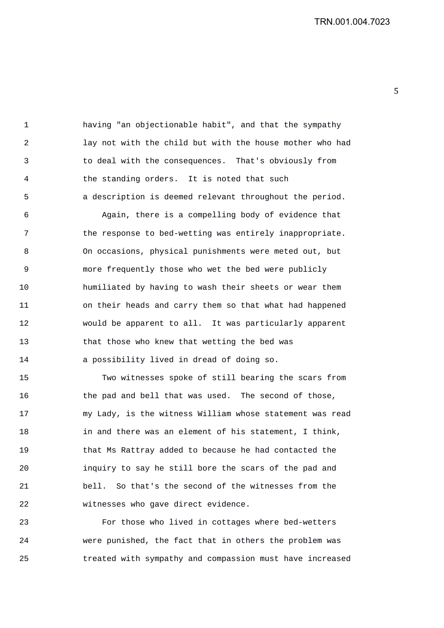5 

1 having "an objectionable habit", and that the sympathy 2 lay not with the child but with the house mother who had 3 to deal with the consequences. That's obviously from 4 the standing orders. It is noted that such 5 a description is deemed relevant throughout the period.

6 Again, there is a compelling body of evidence that 7 the response to bed-wetting was entirely inappropriate. 8 On occasions, physical punishments were meted out, but 9 more frequently those who wet the bed were publicly 10 humiliated by having to wash their sheets or wear them 11 on their heads and carry them so that what had happened 12 would be apparent to all. It was particularly apparent 13 that those who knew that wetting the bed was 14 a possibility lived in dread of doing so.

15 Two witnesses spoke of still bearing the scars from 16 the pad and bell that was used. The second of those, 17 my Lady, is the witness William whose statement was read 18 in and there was an element of his statement, I think, 19 that Ms Rattray added to because he had contacted the 20 inquiry to say he still bore the scars of the pad and 21 bell. So that's the second of the witnesses from the 22 witnesses who gave direct evidence.

23 For those who lived in cottages where bed-wetters 24 were punished, the fact that in others the problem was 25 treated with sympathy and compassion must have increased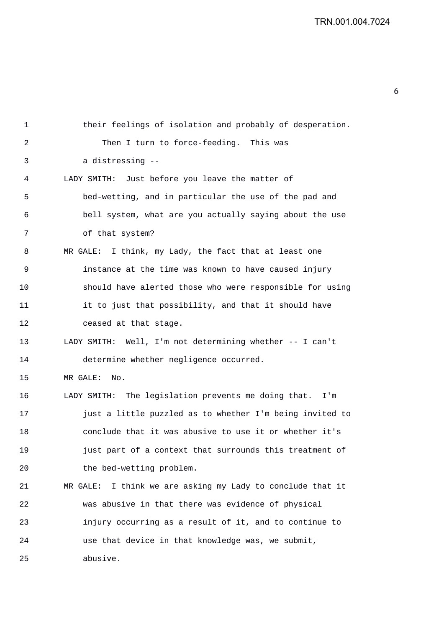1 their feelings of isolation and probably of desperation. 2 Then I turn to force-feeding. This was 3 a distressing -- 4 LADY SMITH: Just before you leave the matter of 5 bed-wetting, and in particular the use of the pad and 6 bell system, what are you actually saying about the use

7 of that system? 8 MR GALE: I think, my Lady, the fact that at least one 9 instance at the time was known to have caused injury 10 should have alerted those who were responsible for using 11 it to just that possibility, and that it should have 12 ceased at that stage. 13 LADY SMITH: Well, I'm not determining whether -- I can't 14 determine whether negligence occurred. 15 MR GALE: No. 16 LADY SMITH: The legislation prevents me doing that. I'm 17 just a little puzzled as to whether I'm being invited to 18 conclude that it was abusive to use it or whether it's 19 just part of a context that surrounds this treatment of 20 the bed-wetting problem. 21 MR GALE: I think we are asking my Lady to conclude that it 22 was abusive in that there was evidence of physical 23 injury occurring as a result of it, and to continue to 24 use that device in that knowledge was, we submit, 25 abusive.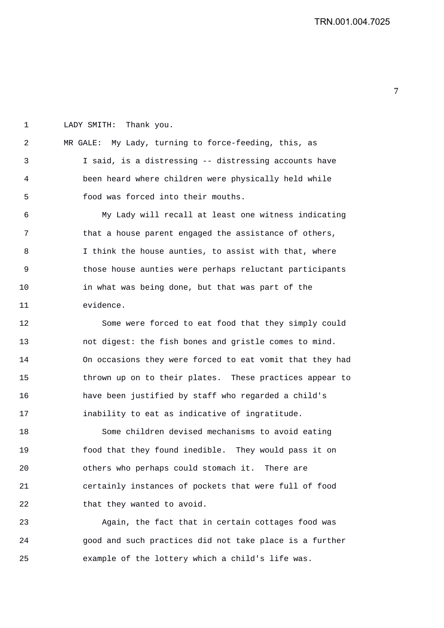1 LADY SMITH: Thank you. 2 MR GALE: My Lady, turning to force-feeding, this, as 3 I said, is a distressing -- distressing accounts have 4 been heard where children were physically held while 5 food was forced into their mouths. 6 My Lady will recall at least one witness indicating

7 that a house parent engaged the assistance of others, 8 I think the house aunties, to assist with that, where 9 those house aunties were perhaps reluctant participants 10 in what was being done, but that was part of the 11 evidence.

12 Some were forced to eat food that they simply could 13 not digest: the fish bones and gristle comes to mind. 14 On occasions they were forced to eat vomit that they had 15 thrown up on to their plates. These practices appear to 16 have been justified by staff who regarded a child's 17 inability to eat as indicative of ingratitude.

18 Some children devised mechanisms to avoid eating 19 food that they found inedible. They would pass it on 20 others who perhaps could stomach it. There are 21 certainly instances of pockets that were full of food 22 that they wanted to avoid.

23 Again, the fact that in certain cottages food was 24 good and such practices did not take place is a further 25 example of the lottery which a child's life was.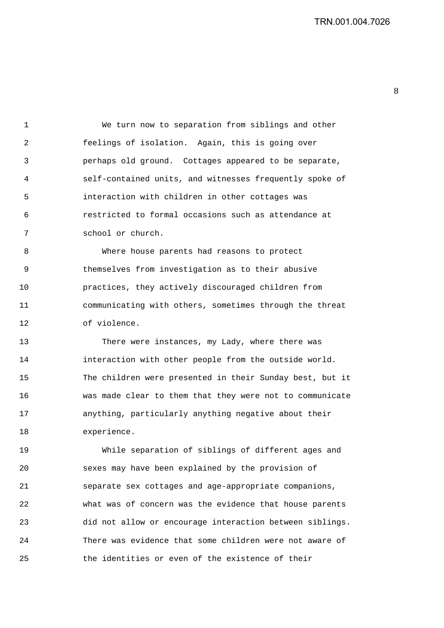1 We turn now to separation from siblings and other 2 feelings of isolation. Again, this is going over 3 perhaps old ground. Cottages appeared to be separate, 4 self-contained units, and witnesses frequently spoke of 5 interaction with children in other cottages was 6 restricted to formal occasions such as attendance at 7 school or church.

8 Where house parents had reasons to protect 9 themselves from investigation as to their abusive 10 practices, they actively discouraged children from 11 communicating with others, sometimes through the threat 12 of violence.

13 There were instances, my Lady, where there was 14 interaction with other people from the outside world. 15 The children were presented in their Sunday best, but it 16 was made clear to them that they were not to communicate 17 anything, particularly anything negative about their 18 experience.

19 While separation of siblings of different ages and 20 sexes may have been explained by the provision of 21 separate sex cottages and age-appropriate companions, 22 what was of concern was the evidence that house parents 23 did not allow or encourage interaction between siblings. 24 There was evidence that some children were not aware of 25 the identities or even of the existence of their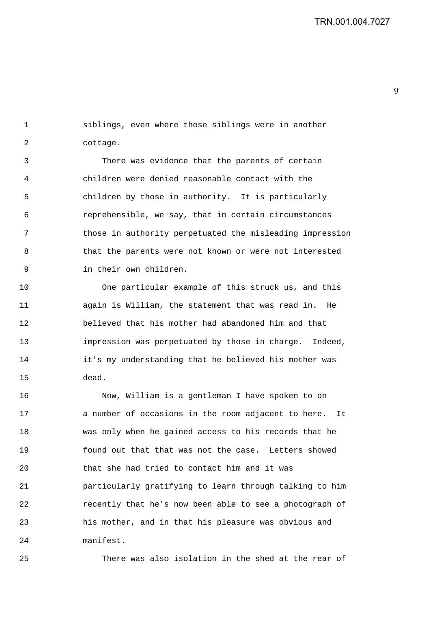1 siblings, even where those siblings were in another 2 cottage.

3 There was evidence that the parents of certain 4 children were denied reasonable contact with the 5 children by those in authority. It is particularly 6 reprehensible, we say, that in certain circumstances 7 those in authority perpetuated the misleading impression 8 that the parents were not known or were not interested 9 in their own children.

10 One particular example of this struck us, and this 11 again is William, the statement that was read in. He 12 believed that his mother had abandoned him and that 13 impression was perpetuated by those in charge. Indeed, 14 it's my understanding that he believed his mother was 15 dead.

16 Now, William is a gentleman I have spoken to on 17 a number of occasions in the room adjacent to here. It 18 was only when he gained access to his records that he 19 found out that that was not the case. Letters showed 20 that she had tried to contact him and it was 21 particularly gratifying to learn through talking to him 22 recently that he's now been able to see a photograph of 23 his mother, and in that his pleasure was obvious and 24 manifest.

25 There was also isolation in the shed at the rear of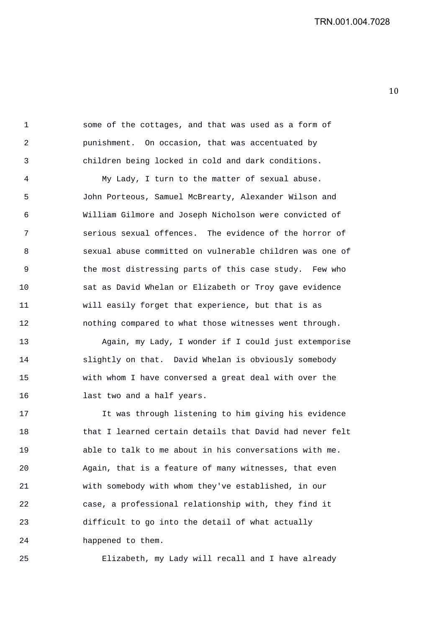1 some of the cottages, and that was used as a form of 2 punishment. On occasion, that was accentuated by 3 children being locked in cold and dark conditions.

4 My Lady, I turn to the matter of sexual abuse. 5 John Porteous, Samuel McBrearty, Alexander Wilson and 6 William Gilmore and Joseph Nicholson were convicted of 7 serious sexual offences. The evidence of the horror of 8 sexual abuse committed on vulnerable children was one of 9 the most distressing parts of this case study. Few who 10 sat as David Whelan or Elizabeth or Troy gave evidence 11 will easily forget that experience, but that is as 12 nothing compared to what those witnesses went through.

13 Again, my Lady, I wonder if I could just extemporise 14 slightly on that. David Whelan is obviously somebody 15 with whom I have conversed a great deal with over the 16 last two and a half years.

17 It was through listening to him giving his evidence 18 that I learned certain details that David had never felt 19 able to talk to me about in his conversations with me. 20 Again, that is a feature of many witnesses, that even 21 with somebody with whom they've established, in our 22 case, a professional relationship with, they find it 23 difficult to go into the detail of what actually 24 happened to them.

25 Elizabeth, my Lady will recall and I have already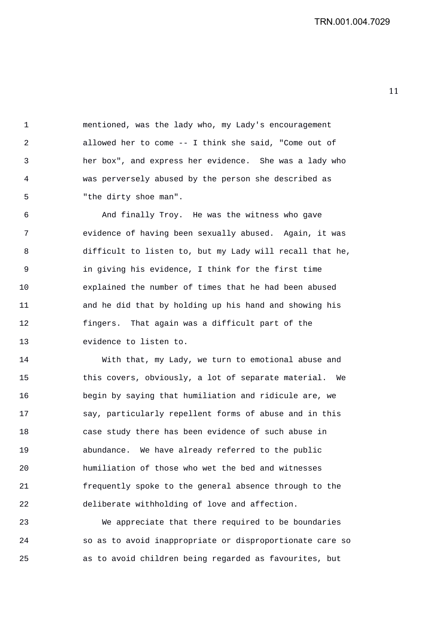1 mentioned, was the lady who, my Lady's encouragement 2 allowed her to come -- I think she said, "Come out of 3 her box", and express her evidence. She was a lady who 4 was perversely abused by the person she described as 5 "the dirty shoe man".

6 And finally Troy. He was the witness who gave 7 evidence of having been sexually abused. Again, it was 8 difficult to listen to, but my Lady will recall that he, 9 in giving his evidence, I think for the first time 10 explained the number of times that he had been abused 11 and he did that by holding up his hand and showing his 12 fingers. That again was a difficult part of the 13 evidence to listen to.

14 With that, my Lady, we turn to emotional abuse and 15 this covers, obviously, a lot of separate material. We 16 begin by saying that humiliation and ridicule are, we 17 say, particularly repellent forms of abuse and in this 18 case study there has been evidence of such abuse in 19 abundance. We have already referred to the public 20 humiliation of those who wet the bed and witnesses 21 frequently spoke to the general absence through to the 22 deliberate withholding of love and affection.

23 We appreciate that there required to be boundaries 24 so as to avoid inappropriate or disproportionate care so 25 as to avoid children being regarded as favourites, but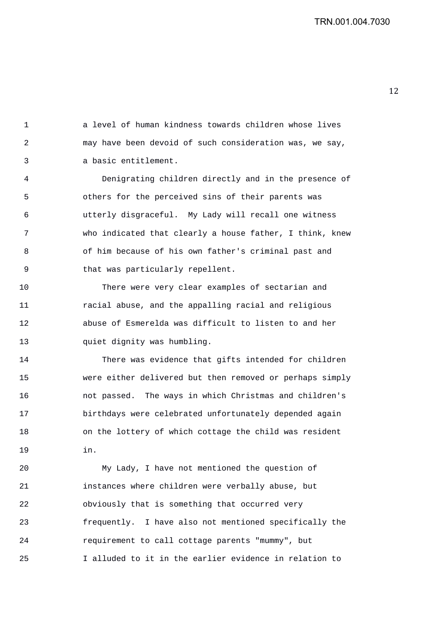1 a level of human kindness towards children whose lives 2 may have been devoid of such consideration was, we say, 3 a basic entitlement.

4 Denigrating children directly and in the presence of 5 others for the perceived sins of their parents was 6 utterly disgraceful. My Lady will recall one witness 7 who indicated that clearly a house father, I think, knew 8 of him because of his own father's criminal past and 9 that was particularly repellent.

10 There were very clear examples of sectarian and 11 racial abuse, and the appalling racial and religious 12 abuse of Esmerelda was difficult to listen to and her 13 quiet dignity was humbling.

14 There was evidence that gifts intended for children 15 were either delivered but then removed or perhaps simply 16 not passed. The ways in which Christmas and children's 17 birthdays were celebrated unfortunately depended again 18 on the lottery of which cottage the child was resident 19 in.

20 My Lady, I have not mentioned the question of 21 instances where children were verbally abuse, but 22 obviously that is something that occurred very 23 frequently. I have also not mentioned specifically the 24 requirement to call cottage parents "mummy", but 25 I alluded to it in the earlier evidence in relation to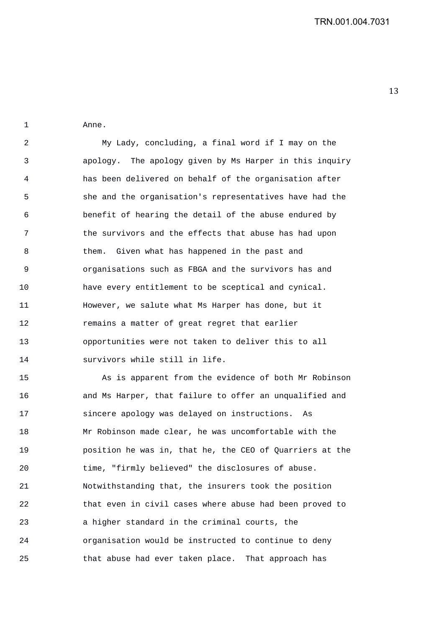1 Anne.

2 My Lady, concluding, a final word if I may on the 3 apology. The apology given by Ms Harper in this inquiry 4 has been delivered on behalf of the organisation after 5 she and the organisation's representatives have had the 6 benefit of hearing the detail of the abuse endured by 7 the survivors and the effects that abuse has had upon 8 them. Given what has happened in the past and 9 organisations such as FBGA and the survivors has and 10 have every entitlement to be sceptical and cynical. 11 However, we salute what Ms Harper has done, but it 12 remains a matter of great regret that earlier 13 opportunities were not taken to deliver this to all 14 survivors while still in life.

15 As is apparent from the evidence of both Mr Robinson 16 and Ms Harper, that failure to offer an unqualified and 17 sincere apology was delayed on instructions. As 18 Mr Robinson made clear, he was uncomfortable with the 19 position he was in, that he, the CEO of Quarriers at the 20 time, "firmly believed" the disclosures of abuse. 21 Notwithstanding that, the insurers took the position 22 that even in civil cases where abuse had been proved to 23 a higher standard in the criminal courts, the 24 organisation would be instructed to continue to deny 25 that abuse had ever taken place. That approach has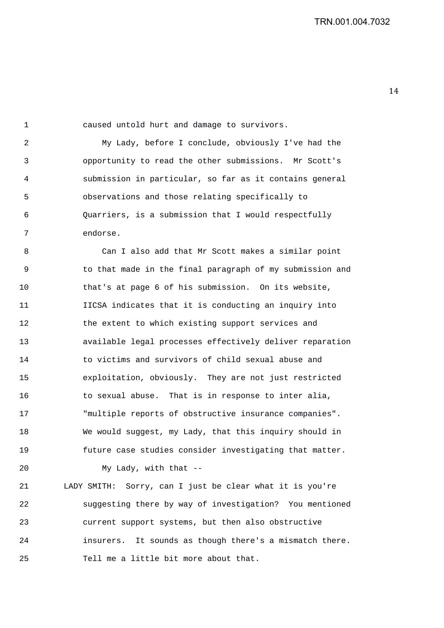1 caused untold hurt and damage to survivors. 2 My Lady, before I conclude, obviously I've had the 3 opportunity to read the other submissions. Mr Scott's 4 submission in particular, so far as it contains general 5 observations and those relating specifically to 6 Quarriers, is a submission that I would respectfully 7 endorse. 8 Can I also add that Mr Scott makes a similar point 9 to that made in the final paragraph of my submission and 10 that's at page 6 of his submission. On its website, 11 IICSA indicates that it is conducting an inquiry into 12 the extent to which existing support services and 13 available legal processes effectively deliver reparation 14 to victims and survivors of child sexual abuse and 15 exploitation, obviously. They are not just restricted 16 to sexual abuse. That is in response to inter alia, 17 "multiple reports of obstructive insurance companies". 18 We would suggest, my Lady, that this inquiry should in 19 future case studies consider investigating that matter. 20 My Lady, with that --

21 LADY SMITH: Sorry, can I just be clear what it is you're 22 suggesting there by way of investigation? You mentioned 23 current support systems, but then also obstructive 24 insurers. It sounds as though there's a mismatch there. 25 Tell me a little bit more about that.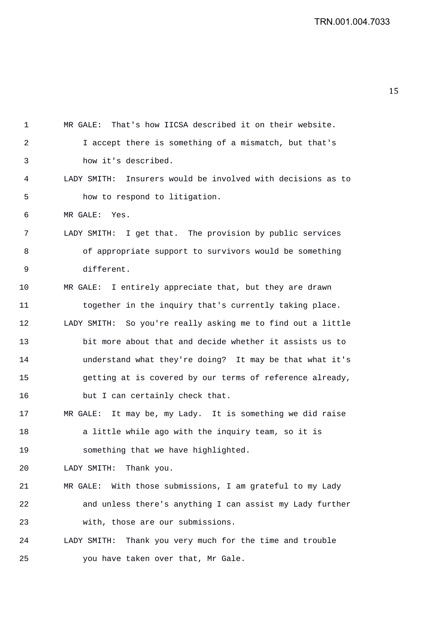| 1  | That's how IICSA described it on their website.<br>MR GALE:    |
|----|----------------------------------------------------------------|
| 2  | I accept there is something of a mismatch, but that's          |
| 3  | how it's described.                                            |
| 4  | Insurers would be involved with decisions as to<br>LADY SMITH: |
| 5  | how to respond to litigation.                                  |
| 6  | MR GALE: Yes.                                                  |
| 7  | LADY SMITH: I get that. The provision by public services       |
| 8  | of appropriate support to survivors would be something         |
| 9  | different.                                                     |
| 10 | MR GALE: I entirely appreciate that, but they are drawn        |
| 11 | together in the inquiry that's currently taking place.         |
| 12 | LADY SMITH: So you're really asking me to find out a little    |
| 13 | bit more about that and decide whether it assists us to        |
| 14 | understand what they're doing? It may be that what it's        |
| 15 | getting at is covered by our terms of reference already,       |
| 16 | but I can certainly check that.                                |
| 17 | MR GALE: It may be, my Lady. It is something we did raise      |
| 18 | a little while ago with the inquiry team, so it is             |
| 19 | something that we have highlighted.                            |
| 20 | LADY SMITH: Thank you.                                         |
| 21 | MR GALE: With those submissions, I am grateful to my Lady      |
| 22 | and unless there's anything I can assist my Lady further       |
| 23 | with, those are our submissions.                               |
| 24 | Thank you very much for the time and trouble<br>LADY SMITH:    |
| 25 | you have taken over that, Mr Gale.                             |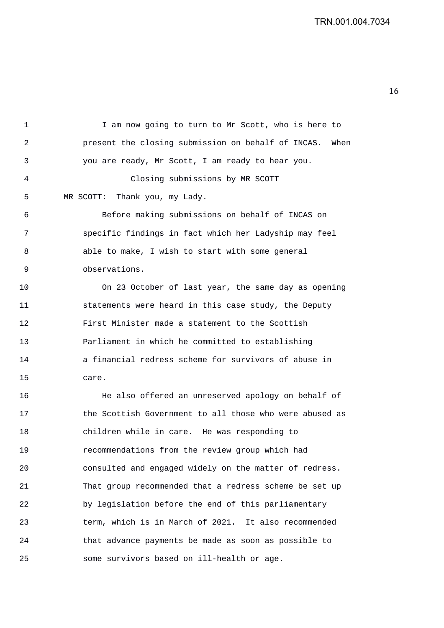1 I am now going to turn to Mr Scott, who is here to 2 present the closing submission on behalf of INCAS. When 3 you are ready, Mr Scott, I am ready to hear you.

4 Closing submissions by MR SCOTT 5 MR SCOTT: Thank you, my Lady.

6 Before making submissions on behalf of INCAS on 7 specific findings in fact which her Ladyship may feel 8 able to make, I wish to start with some general 9 observations.

10 On 23 October of last year, the same day as opening 11 statements were heard in this case study, the Deputy 12 First Minister made a statement to the Scottish 13 Parliament in which he committed to establishing 14 a financial redress scheme for survivors of abuse in 15 care.

16 He also offered an unreserved apology on behalf of 17 the Scottish Government to all those who were abused as 18 children while in care. He was responding to 19 recommendations from the review group which had 20 consulted and engaged widely on the matter of redress. 21 That group recommended that a redress scheme be set up 22 by legislation before the end of this parliamentary 23 term, which is in March of 2021. It also recommended 24 that advance payments be made as soon as possible to 25 some survivors based on ill-health or age.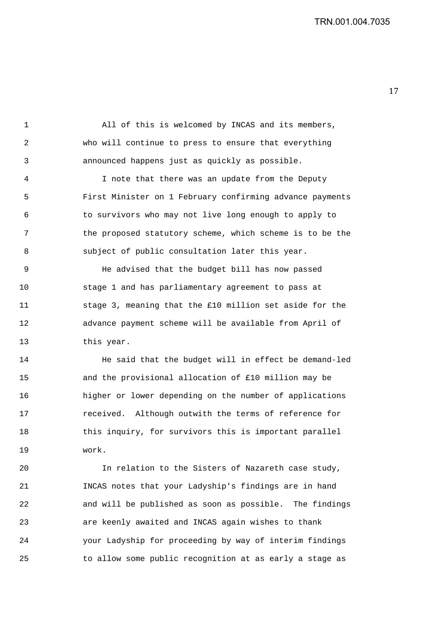1 All of this is welcomed by INCAS and its members, 2 who will continue to press to ensure that everything 3 announced happens just as quickly as possible. 4 I note that there was an update from the Deputy 5 First Minister on 1 February confirming advance payments 6 to survivors who may not live long enough to apply to 7 the proposed statutory scheme, which scheme is to be the

9 He advised that the budget bill has now passed 10 stage 1 and has parliamentary agreement to pass at 11 stage 3, meaning that the £10 million set aside for the 12 advance payment scheme will be available from April of 13 this year.

8 subject of public consultation later this year.

14 He said that the budget will in effect be demand-led 15 and the provisional allocation of £10 million may be 16 higher or lower depending on the number of applications 17 received. Although outwith the terms of reference for 18 this inquiry, for survivors this is important parallel 19 work.

20 In relation to the Sisters of Nazareth case study, 21 INCAS notes that your Ladyship's findings are in hand 22 and will be published as soon as possible. The findings 23 are keenly awaited and INCAS again wishes to thank 24 your Ladyship for proceeding by way of interim findings 25 to allow some public recognition at as early a stage as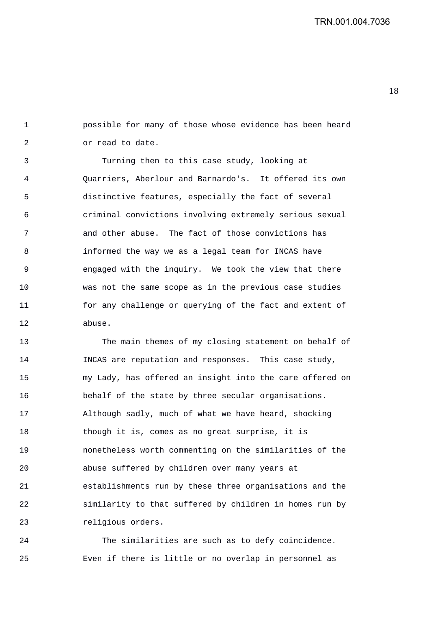18 

1 possible for many of those whose evidence has been heard 2 or read to date.

3 Turning then to this case study, looking at 4 Quarriers, Aberlour and Barnardo's. It offered its own 5 distinctive features, especially the fact of several 6 criminal convictions involving extremely serious sexual 7 and other abuse. The fact of those convictions has 8 informed the way we as a legal team for INCAS have 9 engaged with the inquiry. We took the view that there 10 was not the same scope as in the previous case studies 11 for any challenge or querying of the fact and extent of 12 abuse.

13 The main themes of my closing statement on behalf of 14 INCAS are reputation and responses. This case study, 15 my Lady, has offered an insight into the care offered on 16 behalf of the state by three secular organisations. 17 Although sadly, much of what we have heard, shocking 18 though it is, comes as no great surprise, it is 19 nonetheless worth commenting on the similarities of the 20 abuse suffered by children over many years at 21 establishments run by these three organisations and the 22 similarity to that suffered by children in homes run by 23 religious orders.

24 The similarities are such as to defy coincidence. 25 Even if there is little or no overlap in personnel as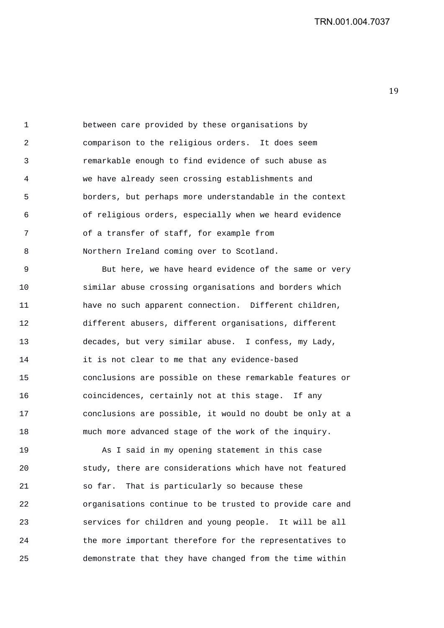1 between care provided by these organisations by 2 comparison to the religious orders. It does seem 3 remarkable enough to find evidence of such abuse as 4 we have already seen crossing establishments and 5 borders, but perhaps more understandable in the context 6 of religious orders, especially when we heard evidence 7 of a transfer of staff, for example from 8 Northern Ireland coming over to Scotland.

9 But here, we have heard evidence of the same or very 10 similar abuse crossing organisations and borders which 11 have no such apparent connection. Different children, 12 different abusers, different organisations, different 13 decades, but very similar abuse. I confess, my Lady, 14 it is not clear to me that any evidence-based 15 conclusions are possible on these remarkable features or 16 coincidences, certainly not at this stage. If any 17 conclusions are possible, it would no doubt be only at a 18 much more advanced stage of the work of the inquiry.

19 As I said in my opening statement in this case 20 study, there are considerations which have not featured 21 so far. That is particularly so because these 22 organisations continue to be trusted to provide care and 23 services for children and young people. It will be all 24 the more important therefore for the representatives to 25 demonstrate that they have changed from the time within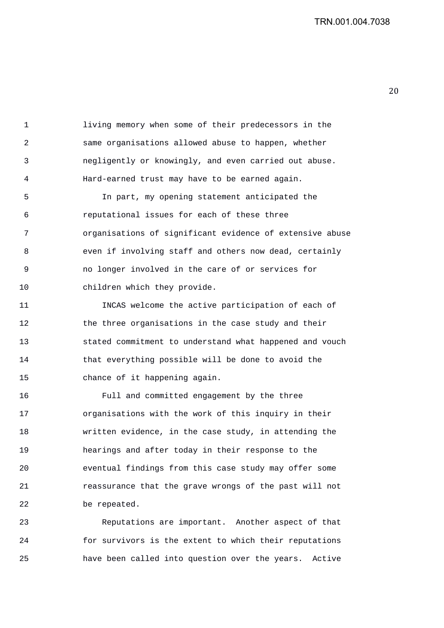1 living memory when some of their predecessors in the 2 same organisations allowed abuse to happen, whether 3 negligently or knowingly, and even carried out abuse. 4 Hard-earned trust may have to be earned again.

5 In part, my opening statement anticipated the 6 reputational issues for each of these three 7 organisations of significant evidence of extensive abuse 8 even if involving staff and others now dead, certainly 9 no longer involved in the care of or services for 10 children which they provide.

11 INCAS welcome the active participation of each of 12 the three organisations in the case study and their 13 stated commitment to understand what happened and vouch 14 that everything possible will be done to avoid the 15 chance of it happening again.

16 Full and committed engagement by the three 17 organisations with the work of this inquiry in their 18 written evidence, in the case study, in attending the 19 hearings and after today in their response to the 20 eventual findings from this case study may offer some 21 reassurance that the grave wrongs of the past will not 22 be repeated.

23 Reputations are important. Another aspect of that 24 for survivors is the extent to which their reputations 25 have been called into question over the years. Active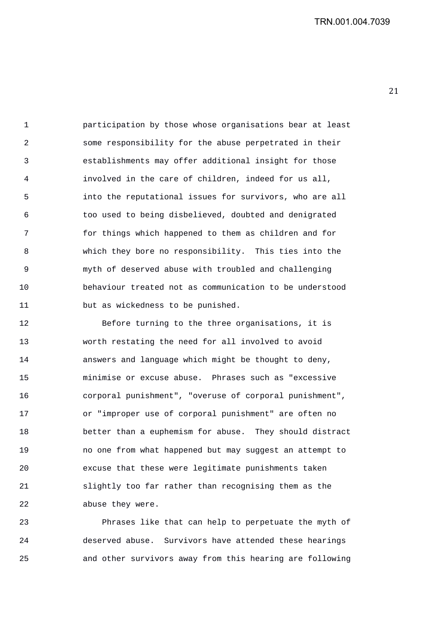1 participation by those whose organisations bear at least 2 some responsibility for the abuse perpetrated in their 3 establishments may offer additional insight for those 4 involved in the care of children, indeed for us all, 5 into the reputational issues for survivors, who are all 6 too used to being disbelieved, doubted and denigrated 7 for things which happened to them as children and for 8 which they bore no responsibility. This ties into the 9 myth of deserved abuse with troubled and challenging 10 behaviour treated not as communication to be understood 11 but as wickedness to be punished.

12 Before turning to the three organisations, it is 13 worth restating the need for all involved to avoid 14 answers and language which might be thought to deny, 15 minimise or excuse abuse. Phrases such as "excessive 16 corporal punishment", "overuse of corporal punishment", 17 or "improper use of corporal punishment" are often no 18 better than a euphemism for abuse. They should distract 19 no one from what happened but may suggest an attempt to 20 excuse that these were legitimate punishments taken 21 slightly too far rather than recognising them as the 22 abuse they were.

23 Phrases like that can help to perpetuate the myth of 24 deserved abuse. Survivors have attended these hearings 25 and other survivors away from this hearing are following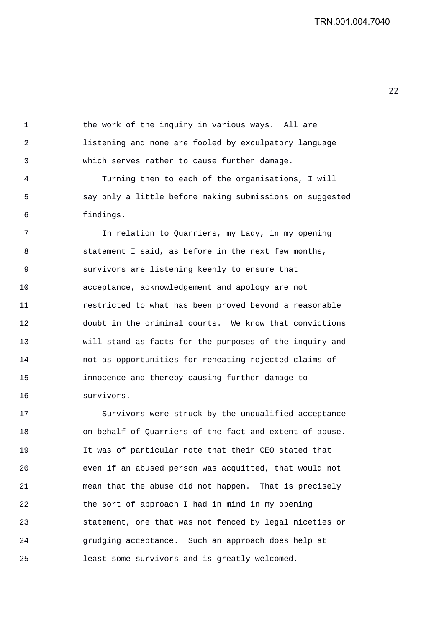1 the work of the inquiry in various ways. All are 2 listening and none are fooled by exculpatory language 3 which serves rather to cause further damage.

4 Turning then to each of the organisations, I will 5 say only a little before making submissions on suggested 6 findings.

7 In relation to Quarriers, my Lady, in my opening 8 statement I said, as before in the next few months, 9 survivors are listening keenly to ensure that 10 acceptance, acknowledgement and apology are not 11 restricted to what has been proved beyond a reasonable 12 doubt in the criminal courts. We know that convictions 13 will stand as facts for the purposes of the inquiry and 14 not as opportunities for reheating rejected claims of 15 innocence and thereby causing further damage to 16 survivors.

17 Survivors were struck by the unqualified acceptance 18 on behalf of Quarriers of the fact and extent of abuse. 19 It was of particular note that their CEO stated that 20 even if an abused person was acquitted, that would not 21 mean that the abuse did not happen. That is precisely 22 the sort of approach I had in mind in my opening 23 statement, one that was not fenced by legal niceties or 24 grudging acceptance. Such an approach does help at 25 least some survivors and is greatly welcomed.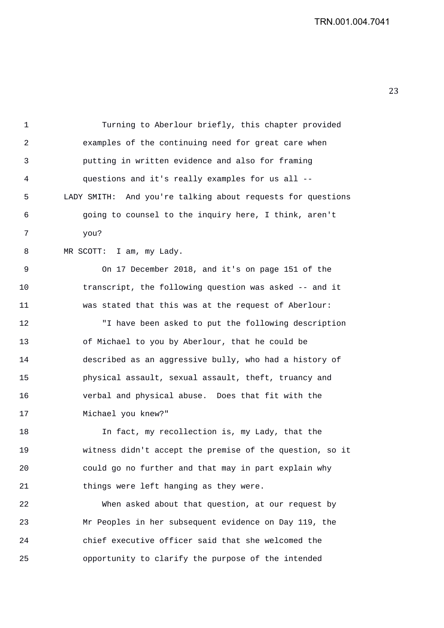1 Turning to Aberlour briefly, this chapter provided 2 examples of the continuing need for great care when 3 putting in written evidence and also for framing 4 questions and it's really examples for us all -- 5 LADY SMITH: And you're talking about requests for questions 6 going to counsel to the inquiry here, I think, aren't 7 you? 8 MR SCOTT: I am, my Lady. 9 On 17 December 2018, and it's on page 151 of the 10 transcript, the following question was asked -- and it 11 was stated that this was at the request of Aberlour: 12 "I have been asked to put the following description 13 of Michael to you by Aberlour, that he could be 14 described as an aggressive bully, who had a history of 15 physical assault, sexual assault, theft, truancy and 16 verbal and physical abuse. Does that fit with the 17 Michael you knew?" 18 In fact, my recollection is, my Lady, that the

19 witness didn't accept the premise of the question, so it 20 could go no further and that may in part explain why 21 things were left hanging as they were.

22 When asked about that question, at our request by 23 Mr Peoples in her subsequent evidence on Day 119, the 24 chief executive officer said that she welcomed the 25 opportunity to clarify the purpose of the intended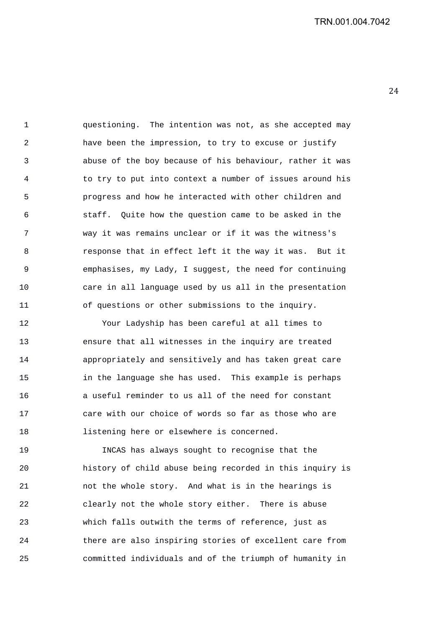1 questioning. The intention was not, as she accepted may 2 have been the impression, to try to excuse or justify 3 abuse of the boy because of his behaviour, rather it was 4 to try to put into context a number of issues around his 5 progress and how he interacted with other children and 6 staff. Quite how the question came to be asked in the 7 way it was remains unclear or if it was the witness's 8 response that in effect left it the way it was. But it 9 emphasises, my Lady, I suggest, the need for continuing 10 care in all language used by us all in the presentation 11 of questions or other submissions to the inquiry.

12 Your Ladyship has been careful at all times to 13 ensure that all witnesses in the inquiry are treated 14 appropriately and sensitively and has taken great care 15 in the language she has used. This example is perhaps 16 a useful reminder to us all of the need for constant 17 care with our choice of words so far as those who are 18 listening here or elsewhere is concerned.

19 INCAS has always sought to recognise that the 20 history of child abuse being recorded in this inquiry is 21 not the whole story. And what is in the hearings is 22 clearly not the whole story either. There is abuse 23 which falls outwith the terms of reference, just as 24 there are also inspiring stories of excellent care from 25 committed individuals and of the triumph of humanity in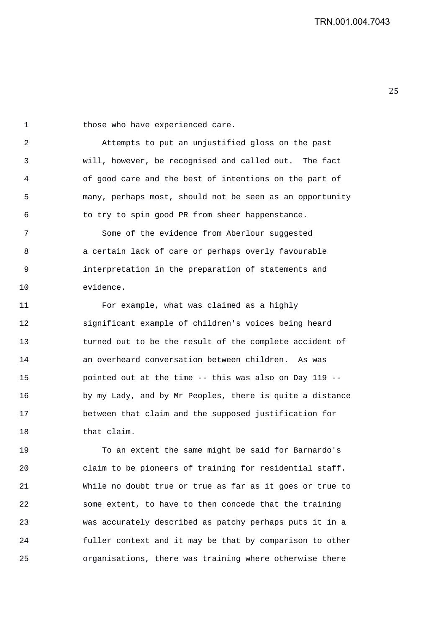1 those who have experienced care.

2 Attempts to put an unjustified gloss on the past 3 will, however, be recognised and called out. The fact 4 of good care and the best of intentions on the part of 5 many, perhaps most, should not be seen as an opportunity 6 to try to spin good PR from sheer happenstance.

7 Some of the evidence from Aberlour suggested 8 a certain lack of care or perhaps overly favourable 9 interpretation in the preparation of statements and 10 evidence.

11 For example, what was claimed as a highly 12 significant example of children's voices being heard 13 turned out to be the result of the complete accident of 14 an overheard conversation between children. As was 15 pointed out at the time -- this was also on Day 119 -- 16 by my Lady, and by Mr Peoples, there is quite a distance 17 between that claim and the supposed justification for 18 that claim.

19 To an extent the same might be said for Barnardo's 20 claim to be pioneers of training for residential staff. 21 While no doubt true or true as far as it goes or true to 22 some extent, to have to then concede that the training 23 was accurately described as patchy perhaps puts it in a 24 fuller context and it may be that by comparison to other 25 organisations, there was training where otherwise there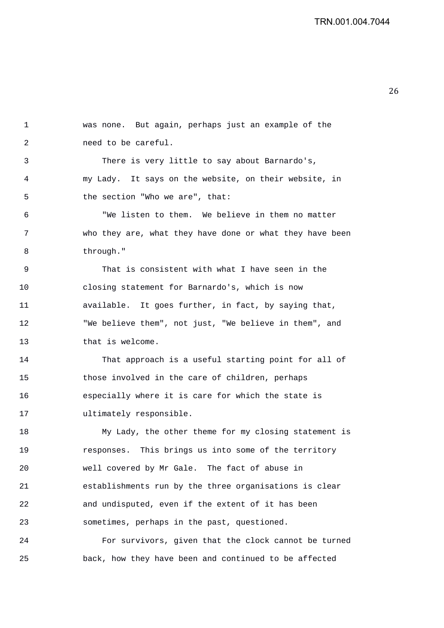1 was none. But again, perhaps just an example of the 2 need to be careful. 3 There is very little to say about Barnardo's, 4 my Lady. It says on the website, on their website, in 5 the section "Who we are", that: 6 "We listen to them. We believe in them no matter 7 who they are, what they have done or what they have been 8 through." 9 That is consistent with what I have seen in the 10 closing statement for Barnardo's, which is now 11 available. It goes further, in fact, by saying that, 12 "We believe them", not just, "We believe in them", and 13 that is welcome. 14 That approach is a useful starting point for all of 15 those involved in the care of children, perhaps 16 especially where it is care for which the state is 17 ultimately responsible. 18 My Lady, the other theme for my closing statement is 19 responses. This brings us into some of the territory 20 well covered by Mr Gale. The fact of abuse in 21 establishments run by the three organisations is clear 22 and undisputed, even if the extent of it has been 23 sometimes, perhaps in the past, questioned.

24 For survivors, given that the clock cannot be turned 25 back, how they have been and continued to be affected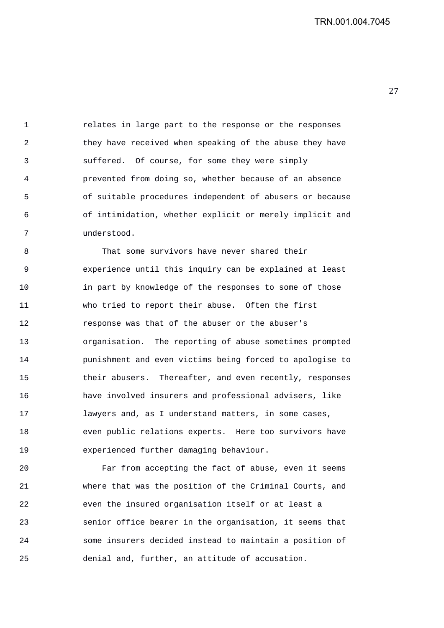1 relates in large part to the response or the responses 2 they have received when speaking of the abuse they have 3 suffered. Of course, for some they were simply 4 prevented from doing so, whether because of an absence 5 of suitable procedures independent of abusers or because 6 of intimidation, whether explicit or merely implicit and 7 understood.

8 That some survivors have never shared their 9 experience until this inquiry can be explained at least 10 in part by knowledge of the responses to some of those 11 who tried to report their abuse. Often the first 12 response was that of the abuser or the abuser's 13 organisation. The reporting of abuse sometimes prompted 14 punishment and even victims being forced to apologise to 15 their abusers. Thereafter, and even recently, responses 16 have involved insurers and professional advisers, like 17 lawyers and, as I understand matters, in some cases, 18 even public relations experts. Here too survivors have 19 experienced further damaging behaviour.

20 Far from accepting the fact of abuse, even it seems 21 where that was the position of the Criminal Courts, and 22 even the insured organisation itself or at least a 23 senior office bearer in the organisation, it seems that 24 some insurers decided instead to maintain a position of 25 denial and, further, an attitude of accusation.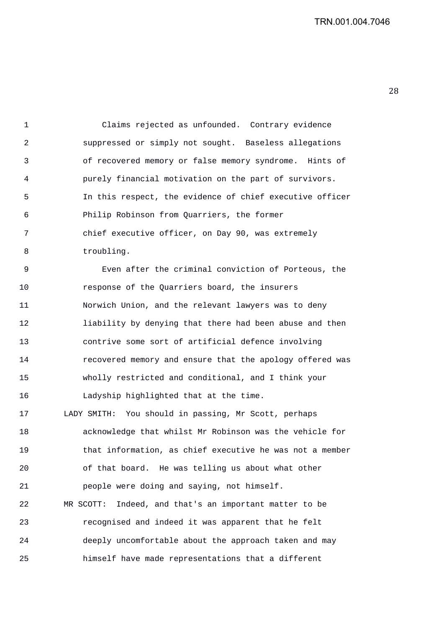1 Claims rejected as unfounded. Contrary evidence 2 suppressed or simply not sought. Baseless allegations 3 of recovered memory or false memory syndrome. Hints of 4 purely financial motivation on the part of survivors. 5 In this respect, the evidence of chief executive officer 6 Philip Robinson from Quarriers, the former 7 chief executive officer, on Day 90, was extremely 8 troubling.

9 Even after the criminal conviction of Porteous, the 10 response of the Quarriers board, the insurers 11 Norwich Union, and the relevant lawyers was to deny 12 liability by denying that there had been abuse and then 13 contrive some sort of artificial defence involving 14 recovered memory and ensure that the apology offered was 15 wholly restricted and conditional, and I think your 16 Ladyship highlighted that at the time.

17 LADY SMITH: You should in passing, Mr Scott, perhaps 18 acknowledge that whilst Mr Robinson was the vehicle for 19 that information, as chief executive he was not a member 20 of that board. He was telling us about what other 21 people were doing and saying, not himself. 22 MR SCOTT: Indeed, and that's an important matter to be 23 recognised and indeed it was apparent that he felt 24 deeply uncomfortable about the approach taken and may 25 himself have made representations that a different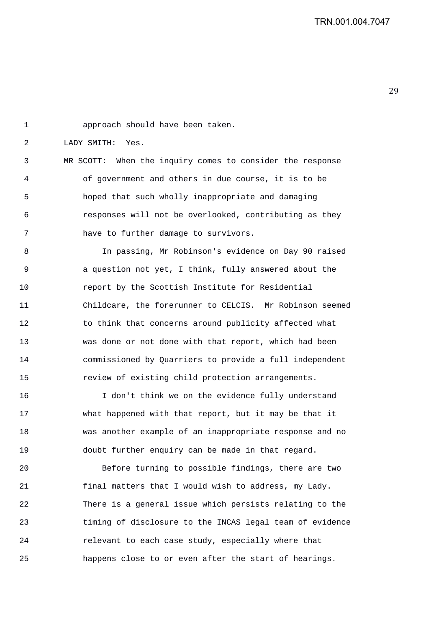| $\mathbf 1$ | approach should have been taken.                          |
|-------------|-----------------------------------------------------------|
| 2           | LADY SMITH: Yes.                                          |
| 3           | MR SCOTT: When the inquiry comes to consider the response |
| 4           | of government and others in due course, it is to be       |
| 5           | hoped that such wholly inappropriate and damaging         |
| 6           | responses will not be overlooked, contributing as they    |
| 7           | have to further damage to survivors.                      |
| 8           | In passing, Mr Robinson's evidence on Day 90 raised       |
| 9           | a question not yet, I think, fully answered about the     |
| 10          | report by the Scottish Institute for Residential          |
| 11          | Childcare, the forerunner to CELCIS. Mr Robinson seemed   |
| 12          | to think that concerns around publicity affected what     |
| 13          | was done or not done with that report, which had been     |
| 14          | commissioned by Quarriers to provide a full independent   |
| 15          | review of existing child protection arrangements.         |
| 16          | I don't think we on the evidence fully understand         |
| 17          | what happened with that report, but it may be that it     |
| 18          | was another example of an inappropriate response and no   |
| 19          | doubt further enquiry can be made in that regard.         |
| 20          | Before turning to possible findings, there are two        |
| 21          | final matters that I would wish to address, my Lady.      |
| 22          | There is a general issue which persists relating to the   |
| 23          | timing of disclosure to the INCAS legal team of evidence  |
| 24          | relevant to each case study, especially where that        |
| 25          | happens close to or even after the start of hearings.     |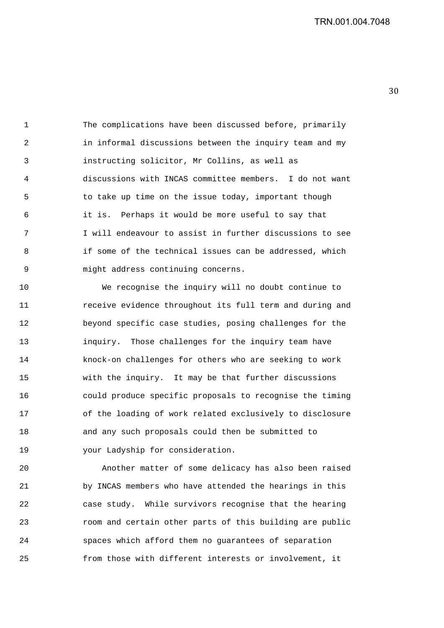1 The complications have been discussed before, primarily 2 in informal discussions between the inquiry team and my 3 instructing solicitor, Mr Collins, as well as 4 discussions with INCAS committee members. I do not want 5 to take up time on the issue today, important though 6 it is. Perhaps it would be more useful to say that 7 I will endeavour to assist in further discussions to see 8 if some of the technical issues can be addressed, which 9 might address continuing concerns.

10 We recognise the inquiry will no doubt continue to 11 receive evidence throughout its full term and during and 12 beyond specific case studies, posing challenges for the 13 inquiry. Those challenges for the inquiry team have 14 knock-on challenges for others who are seeking to work 15 with the inquiry. It may be that further discussions 16 could produce specific proposals to recognise the timing 17 of the loading of work related exclusively to disclosure 18 and any such proposals could then be submitted to 19 your Ladyship for consideration.

20 Another matter of some delicacy has also been raised 21 by INCAS members who have attended the hearings in this 22 case study. While survivors recognise that the hearing 23 room and certain other parts of this building are public 24 spaces which afford them no guarantees of separation 25 from those with different interests or involvement, it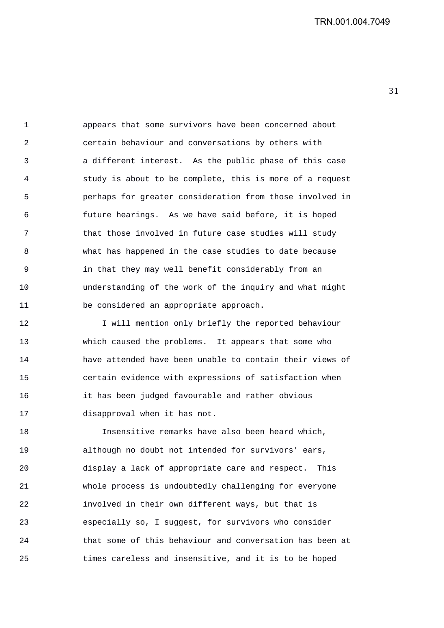1 appears that some survivors have been concerned about 2 certain behaviour and conversations by others with 3 a different interest. As the public phase of this case 4 study is about to be complete, this is more of a request 5 perhaps for greater consideration from those involved in 6 future hearings. As we have said before, it is hoped 7 that those involved in future case studies will study 8 what has happened in the case studies to date because 9 in that they may well benefit considerably from an 10 understanding of the work of the inquiry and what might 11 be considered an appropriate approach.

12 I will mention only briefly the reported behaviour 13 which caused the problems. It appears that some who 14 have attended have been unable to contain their views of 15 certain evidence with expressions of satisfaction when 16 it has been judged favourable and rather obvious 17 disapproval when it has not.

18 Insensitive remarks have also been heard which, 19 although no doubt not intended for survivors' ears, 20 display a lack of appropriate care and respect. This 21 whole process is undoubtedly challenging for everyone 22 involved in their own different ways, but that is 23 especially so, I suggest, for survivors who consider 24 that some of this behaviour and conversation has been at 25 times careless and insensitive, and it is to be hoped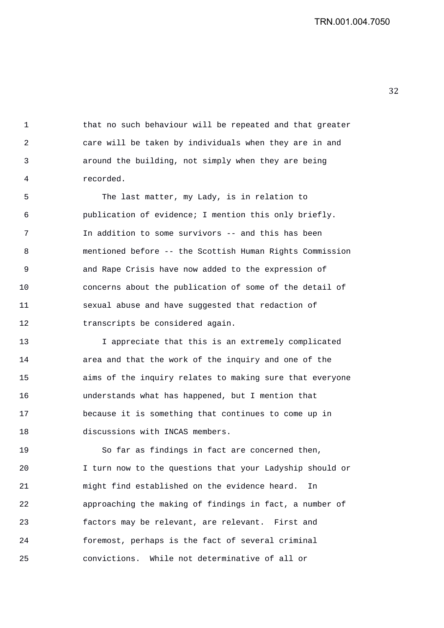1 that no such behaviour will be repeated and that greater 2 care will be taken by individuals when they are in and 3 around the building, not simply when they are being 4 recorded.

5 The last matter, my Lady, is in relation to 6 publication of evidence; I mention this only briefly. 7 In addition to some survivors -- and this has been 8 mentioned before -- the Scottish Human Rights Commission 9 and Rape Crisis have now added to the expression of 10 concerns about the publication of some of the detail of 11 sexual abuse and have suggested that redaction of 12 transcripts be considered again.

13 I appreciate that this is an extremely complicated 14 area and that the work of the inquiry and one of the 15 aims of the inquiry relates to making sure that everyone 16 understands what has happened, but I mention that 17 because it is something that continues to come up in 18 discussions with INCAS members.

19 So far as findings in fact are concerned then, 20 I turn now to the questions that your Ladyship should or 21 might find established on the evidence heard. In 22 approaching the making of findings in fact, a number of 23 factors may be relevant, are relevant. First and 24 foremost, perhaps is the fact of several criminal 25 convictions. While not determinative of all or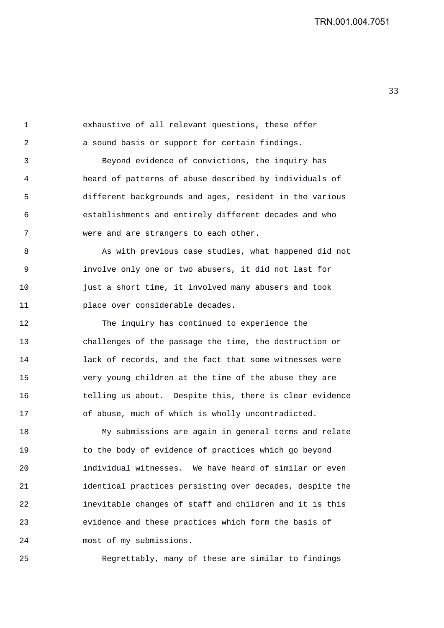1 exhaustive of all relevant questions, these offer 2 a sound basis or support for certain findings.

3 Beyond evidence of convictions, the inquiry has 4 heard of patterns of abuse described by individuals of 5 different backgrounds and ages, resident in the various 6 establishments and entirely different decades and who 7 were and are strangers to each other.

8 As with previous case studies, what happened did not 9 involve only one or two abusers, it did not last for 10 just a short time, it involved many abusers and took 11 place over considerable decades.

12 The inquiry has continued to experience the 13 challenges of the passage the time, the destruction or 14 lack of records, and the fact that some witnesses were 15 very young children at the time of the abuse they are 16 telling us about. Despite this, there is clear evidence 17 of abuse, much of which is wholly uncontradicted.

18 My submissions are again in general terms and relate 19 to the body of evidence of practices which go beyond 20 individual witnesses. We have heard of similar or even 21 identical practices persisting over decades, despite the 22 inevitable changes of staff and children and it is this 23 evidence and these practices which form the basis of 24 most of my submissions.

25 Regrettably, many of these are similar to findings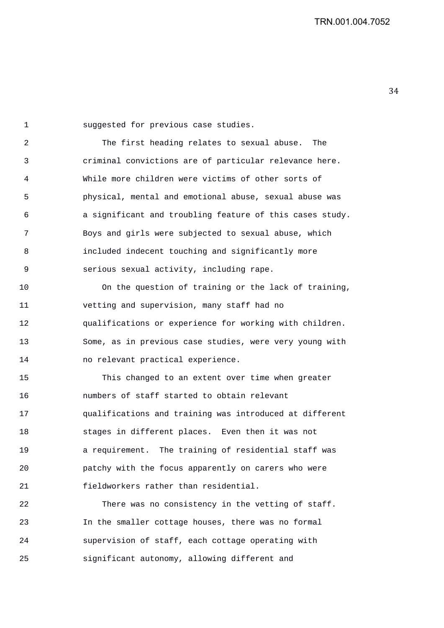1 suggested for previous case studies.

2 The first heading relates to sexual abuse. The 3 criminal convictions are of particular relevance here. 4 While more children were victims of other sorts of 5 physical, mental and emotional abuse, sexual abuse was 6 a significant and troubling feature of this cases study. 7 Boys and girls were subjected to sexual abuse, which 8 included indecent touching and significantly more 9 serious sexual activity, including rape.

10 On the question of training or the lack of training, 11 vetting and supervision, many staff had no 12 qualifications or experience for working with children. 13 Some, as in previous case studies, were very young with 14 no relevant practical experience.

15 This changed to an extent over time when greater 16 numbers of staff started to obtain relevant 17 qualifications and training was introduced at different 18 stages in different places. Even then it was not 19 a requirement. The training of residential staff was 20 patchy with the focus apparently on carers who were 21 fieldworkers rather than residential.

22 There was no consistency in the vetting of staff. 23 In the smaller cottage houses, there was no formal 24 supervision of staff, each cottage operating with 25 significant autonomy, allowing different and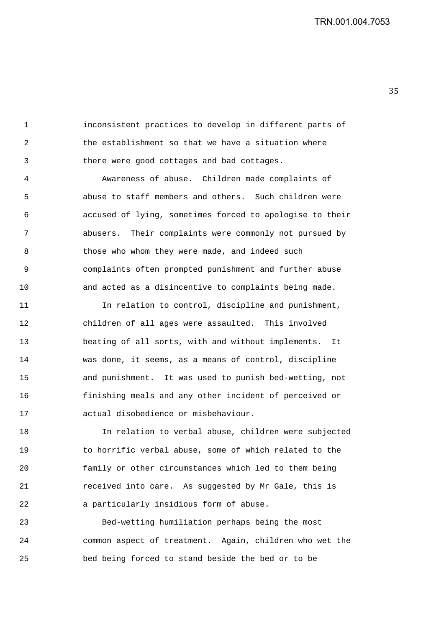1 inconsistent practices to develop in different parts of 2 the establishment so that we have a situation where 3 there were good cottages and bad cottages.

4 Awareness of abuse. Children made complaints of 5 abuse to staff members and others. Such children were 6 accused of lying, sometimes forced to apologise to their 7 abusers. Their complaints were commonly not pursued by 8 those who whom they were made, and indeed such 9 complaints often prompted punishment and further abuse 10 and acted as a disincentive to complaints being made.

11 In relation to control, discipline and punishment, 12 children of all ages were assaulted. This involved 13 beating of all sorts, with and without implements. It 14 was done, it seems, as a means of control, discipline 15 and punishment. It was used to punish bed-wetting, not 16 finishing meals and any other incident of perceived or 17 actual disobedience or misbehaviour.

18 In relation to verbal abuse, children were subjected 19 to horrific verbal abuse, some of which related to the 20 family or other circumstances which led to them being 21 received into care. As suggested by Mr Gale, this is 22 a particularly insidious form of abuse.

23 Bed-wetting humiliation perhaps being the most 24 common aspect of treatment. Again, children who wet the 25 bed being forced to stand beside the bed or to be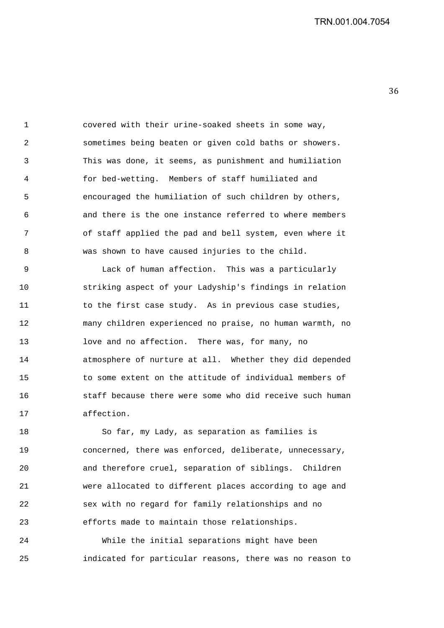1 covered with their urine-soaked sheets in some way, 2 sometimes being beaten or given cold baths or showers. 3 This was done, it seems, as punishment and humiliation 4 for bed-wetting. Members of staff humiliated and 5 encouraged the humiliation of such children by others, 6 and there is the one instance referred to where members 7 of staff applied the pad and bell system, even where it 8 was shown to have caused injuries to the child.

9 Lack of human affection. This was a particularly 10 striking aspect of your Ladyship's findings in relation 11 to the first case study. As in previous case studies, 12 many children experienced no praise, no human warmth, no 13 love and no affection. There was, for many, no 14 atmosphere of nurture at all. Whether they did depended 15 to some extent on the attitude of individual members of 16 staff because there were some who did receive such human 17 affection.

18 So far, my Lady, as separation as families is 19 concerned, there was enforced, deliberate, unnecessary, 20 and therefore cruel, separation of siblings. Children 21 were allocated to different places according to age and 22 sex with no regard for family relationships and no 23 efforts made to maintain those relationships.

24 While the initial separations might have been 25 indicated for particular reasons, there was no reason to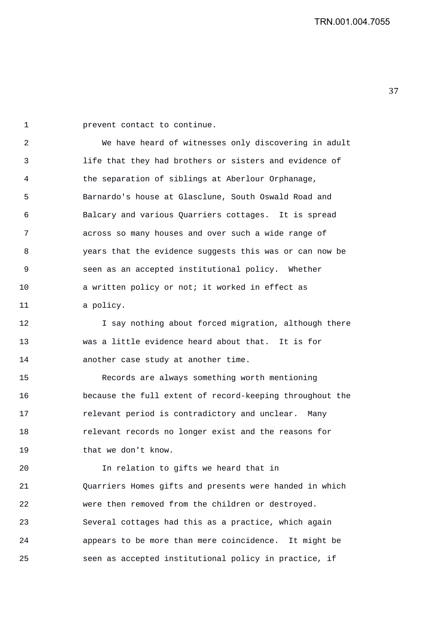1 prevent contact to continue.

2 We have heard of witnesses only discovering in adult 3 life that they had brothers or sisters and evidence of 4 the separation of siblings at Aberlour Orphanage, 5 Barnardo's house at Glasclune, South Oswald Road and 6 Balcary and various Quarriers cottages. It is spread 7 across so many houses and over such a wide range of 8 years that the evidence suggests this was or can now be 9 seen as an accepted institutional policy. Whether 10 a written policy or not; it worked in effect as 11 a policy.

12 I say nothing about forced migration, although there 13 was a little evidence heard about that. It is for 14 another case study at another time.

15 Records are always something worth mentioning 16 because the full extent of record-keeping throughout the 17 relevant period is contradictory and unclear. Many 18 relevant records no longer exist and the reasons for 19 that we don't know.

20 In relation to gifts we heard that in 21 Quarriers Homes gifts and presents were handed in which 22 were then removed from the children or destroyed. 23 Several cottages had this as a practice, which again 24 appears to be more than mere coincidence. It might be 25 seen as accepted institutional policy in practice, if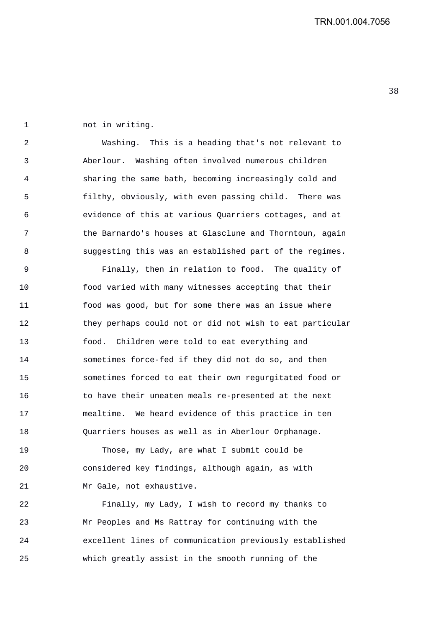1 not in writing.

2 Washing. This is a heading that's not relevant to 3 Aberlour. Washing often involved numerous children 4 sharing the same bath, becoming increasingly cold and 5 filthy, obviously, with even passing child. There was 6 evidence of this at various Quarriers cottages, and at 7 the Barnardo's houses at Glasclune and Thorntoun, again 8 suggesting this was an established part of the regimes.

9 Finally, then in relation to food. The quality of 10 food varied with many witnesses accepting that their 11 food was good, but for some there was an issue where 12 they perhaps could not or did not wish to eat particular 13 food. Children were told to eat everything and 14 sometimes force-fed if they did not do so, and then 15 sometimes forced to eat their own regurgitated food or 16 to have their uneaten meals re-presented at the next 17 mealtime. We heard evidence of this practice in ten 18 Quarriers houses as well as in Aberlour Orphanage.

19 Those, my Lady, are what I submit could be 20 considered key findings, although again, as with 21 Mr Gale, not exhaustive.

22 Finally, my Lady, I wish to record my thanks to 23 Mr Peoples and Ms Rattray for continuing with the 24 excellent lines of communication previously established 25 which greatly assist in the smooth running of the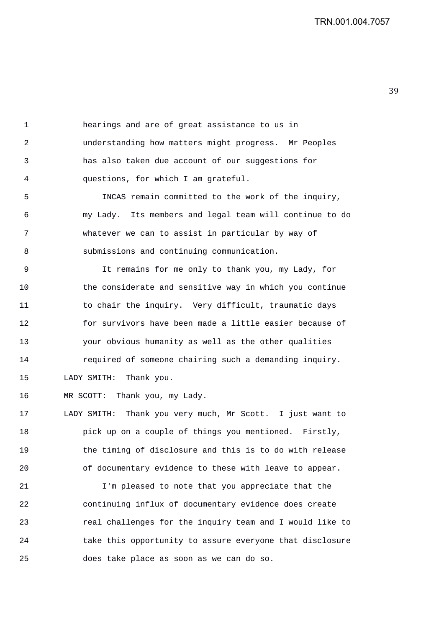1 hearings and are of great assistance to us in 2 understanding how matters might progress. Mr Peoples 3 has also taken due account of our suggestions for 4 questions, for which I am grateful.

5 INCAS remain committed to the work of the inquiry, 6 my Lady. Its members and legal team will continue to do 7 whatever we can to assist in particular by way of 8 submissions and continuing communication.

9 It remains for me only to thank you, my Lady, for 10 the considerate and sensitive way in which you continue 11 to chair the inquiry. Very difficult, traumatic days 12 for survivors have been made a little easier because of 13 your obvious humanity as well as the other qualities 14 required of someone chairing such a demanding inquiry. 15 LADY SMITH: Thank you.

16 MR SCOTT: Thank you, my Lady.

17 LADY SMITH: Thank you very much, Mr Scott. I just want to 18 pick up on a couple of things you mentioned. Firstly, 19 the timing of disclosure and this is to do with release 20 of documentary evidence to these with leave to appear.

21 I'm pleased to note that you appreciate that the 22 continuing influx of documentary evidence does create 23 real challenges for the inquiry team and I would like to 24 take this opportunity to assure everyone that disclosure 25 does take place as soon as we can do so.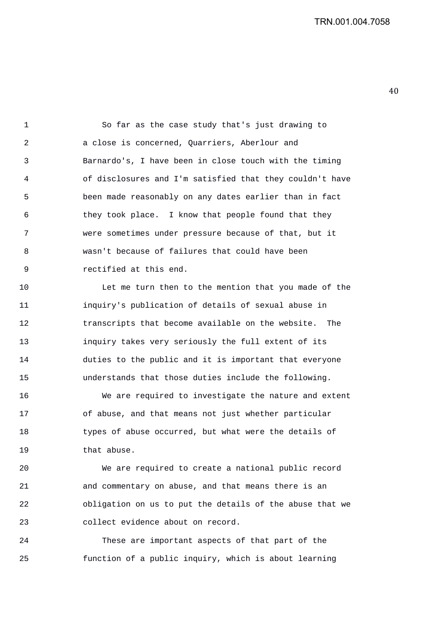1 So far as the case study that's just drawing to 2 a close is concerned, Quarriers, Aberlour and 3 Barnardo's, I have been in close touch with the timing 4 of disclosures and I'm satisfied that they couldn't have 5 been made reasonably on any dates earlier than in fact 6 they took place. I know that people found that they 7 were sometimes under pressure because of that, but it 8 wasn't because of failures that could have been 9 rectified at this end.

10 Let me turn then to the mention that you made of the 11 inquiry's publication of details of sexual abuse in 12 transcripts that become available on the website. The 13 inquiry takes very seriously the full extent of its 14 duties to the public and it is important that everyone 15 understands that those duties include the following.

16 We are required to investigate the nature and extent 17 of abuse, and that means not just whether particular 18 types of abuse occurred, but what were the details of 19 that abuse.

20 We are required to create a national public record 21 and commentary on abuse, and that means there is an 22 obligation on us to put the details of the abuse that we 23 collect evidence about on record.

24 These are important aspects of that part of the 25 function of a public inquiry, which is about learning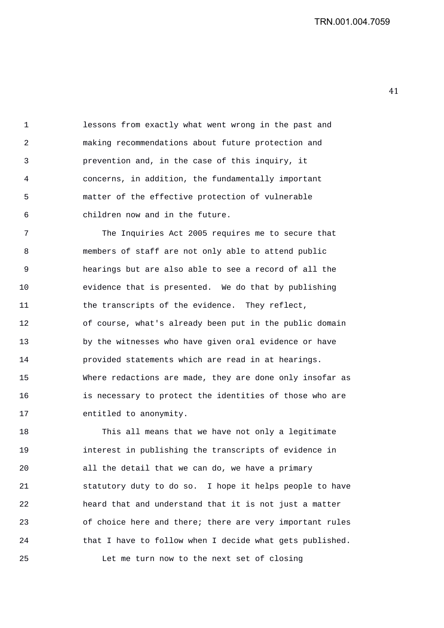1 lessons from exactly what went wrong in the past and 2 making recommendations about future protection and 3 prevention and, in the case of this inquiry, it 4 concerns, in addition, the fundamentally important 5 matter of the effective protection of vulnerable 6 children now and in the future.

7 The Inquiries Act 2005 requires me to secure that 8 members of staff are not only able to attend public 9 hearings but are also able to see a record of all the 10 evidence that is presented. We do that by publishing 11 the transcripts of the evidence. They reflect, 12 of course, what's already been put in the public domain 13 by the witnesses who have given oral evidence or have 14 provided statements which are read in at hearings. 15 Where redactions are made, they are done only insofar as 16 is necessary to protect the identities of those who are 17 entitled to anonymity.

18 This all means that we have not only a legitimate 19 interest in publishing the transcripts of evidence in 20 all the detail that we can do, we have a primary 21 statutory duty to do so. I hope it helps people to have 22 heard that and understand that it is not just a matter 23 of choice here and there; there are very important rules 24 that I have to follow when I decide what gets published. 25 Let me turn now to the next set of closing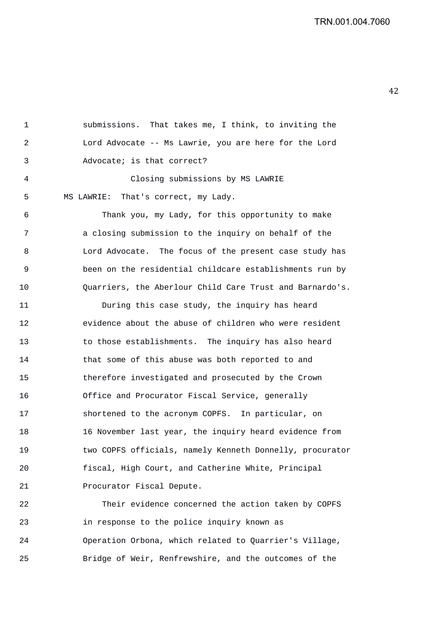1 submissions. That takes me, I think, to inviting the 2 Lord Advocate -- Ms Lawrie, you are here for the Lord 3 Advocate; is that correct? 4 Closing submissions by MS LAWRIE 5 MS LAWRIE: That's correct, my Lady. 6 Thank you, my Lady, for this opportunity to make 7 a closing submission to the inquiry on behalf of the 8 Lord Advocate. The focus of the present case study has 9 been on the residential childcare establishments run by 10 Quarriers, the Aberlour Child Care Trust and Barnardo's. 11 During this case study, the inquiry has heard 12 evidence about the abuse of children who were resident 13 to those establishments. The inquiry has also heard 14 that some of this abuse was both reported to and 15 therefore investigated and prosecuted by the Crown 16 Office and Procurator Fiscal Service, generally 17 shortened to the acronym COPFS. In particular, on 18 16 November last year, the inquiry heard evidence from 19 two COPFS officials, namely Kenneth Donnelly, procurator 20 fiscal, High Court, and Catherine White, Principal

21 Procurator Fiscal Depute.

22 Their evidence concerned the action taken by COPFS 23 in response to the police inquiry known as 24 Operation Orbona, which related to Quarrier's Village, 25 Bridge of Weir, Renfrewshire, and the outcomes of the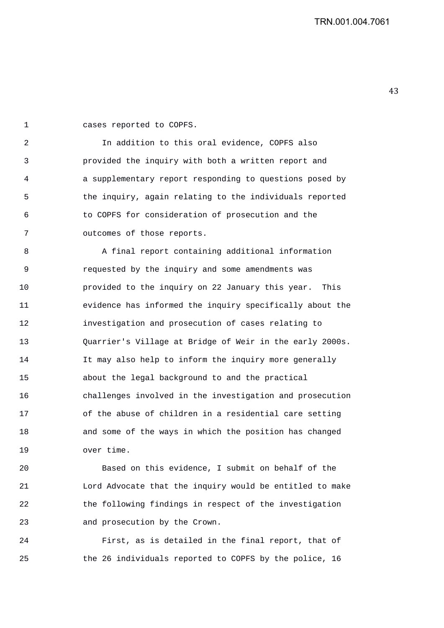1 cases reported to COPFS. 2 In addition to this oral evidence, COPFS also 3 provided the inquiry with both a written report and 4 a supplementary report responding to questions posed by 5 the inquiry, again relating to the individuals reported 6 to COPFS for consideration of prosecution and the 7 outcomes of those reports. 8 A final report containing additional information 9 requested by the inquiry and some amendments was 10 provided to the inquiry on 22 January this year. This 11 evidence has informed the inquiry specifically about the 12 investigation and prosecution of cases relating to

13 Quarrier's Village at Bridge of Weir in the early 2000s. 14 It may also help to inform the inquiry more generally 15 about the legal background to and the practical 16 challenges involved in the investigation and prosecution 17 of the abuse of children in a residential care setting 18 and some of the ways in which the position has changed 19 over time.

20 Based on this evidence, I submit on behalf of the 21 Lord Advocate that the inquiry would be entitled to make 22 the following findings in respect of the investigation 23 and prosecution by the Crown.

24 First, as is detailed in the final report, that of 25 the 26 individuals reported to COPFS by the police, 16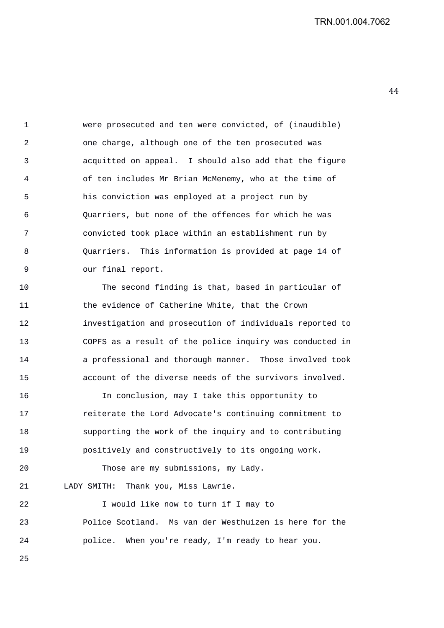1 were prosecuted and ten were convicted, of (inaudible) 2 one charge, although one of the ten prosecuted was 3 acquitted on appeal. I should also add that the figure 4 of ten includes Mr Brian McMenemy, who at the time of 5 his conviction was employed at a project run by 6 Quarriers, but none of the offences for which he was 7 convicted took place within an establishment run by 8 Quarriers. This information is provided at page 14 of 9 our final report.

10 The second finding is that, based in particular of 11 the evidence of Catherine White, that the Crown 12 investigation and prosecution of individuals reported to 13 COPFS as a result of the police inquiry was conducted in 14 a professional and thorough manner. Those involved took 15 account of the diverse needs of the survivors involved.

16 In conclusion, may I take this opportunity to 17 reiterate the Lord Advocate's continuing commitment to 18 supporting the work of the inquiry and to contributing 19 positively and constructively to its ongoing work.

20 Those are my submissions, my Lady. 21 LADY SMITH: Thank you, Miss Lawrie.

22 I would like now to turn if I may to 23 Police Scotland. Ms van der Westhuizen is here for the 24 police. When you're ready, I'm ready to hear you.

25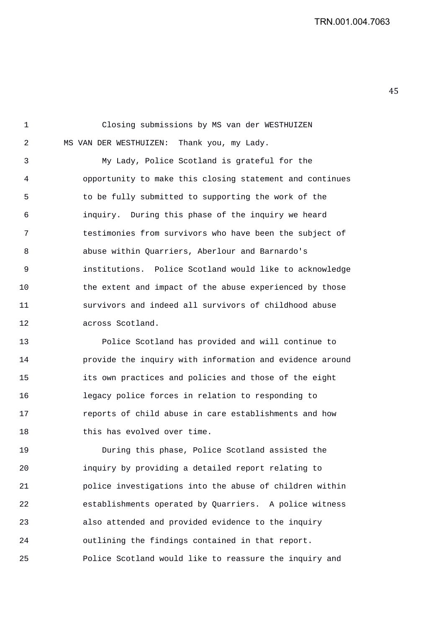1 Closing submissions by MS van der WESTHUIZEN 2 MS VAN DER WESTHUIZEN: Thank you, my Lady. 3 My Lady, Police Scotland is grateful for the 4 opportunity to make this closing statement and continues 5 to be fully submitted to supporting the work of the 6 inquiry. During this phase of the inquiry we heard 7 testimonies from survivors who have been the subject of 8 abuse within Quarriers, Aberlour and Barnardo's 9 institutions. Police Scotland would like to acknowledge 10 the extent and impact of the abuse experienced by those 11 survivors and indeed all survivors of childhood abuse 12 across Scotland.

13 Police Scotland has provided and will continue to 14 provide the inquiry with information and evidence around 15 its own practices and policies and those of the eight 16 legacy police forces in relation to responding to 17 reports of child abuse in care establishments and how 18 this has evolved over time.

19 During this phase, Police Scotland assisted the 20 inquiry by providing a detailed report relating to 21 police investigations into the abuse of children within 22 establishments operated by Quarriers. A police witness 23 also attended and provided evidence to the inquiry 24 outlining the findings contained in that report. 25 Police Scotland would like to reassure the inquiry and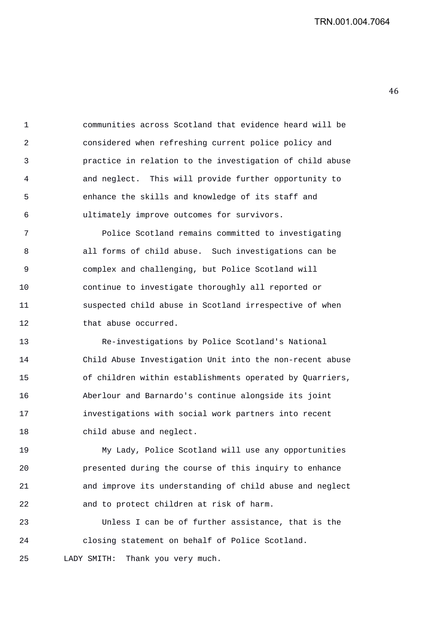1 communities across Scotland that evidence heard will be 2 considered when refreshing current police policy and 3 practice in relation to the investigation of child abuse 4 and neglect. This will provide further opportunity to 5 enhance the skills and knowledge of its staff and 6 ultimately improve outcomes for survivors.

7 Police Scotland remains committed to investigating 8 all forms of child abuse. Such investigations can be 9 complex and challenging, but Police Scotland will 10 continue to investigate thoroughly all reported or 11 suspected child abuse in Scotland irrespective of when 12 that abuse occurred.

13 Re-investigations by Police Scotland's National 14 Child Abuse Investigation Unit into the non-recent abuse 15 of children within establishments operated by Quarriers, 16 Aberlour and Barnardo's continue alongside its joint 17 investigations with social work partners into recent 18 child abuse and neglect.

19 My Lady, Police Scotland will use any opportunities 20 presented during the course of this inquiry to enhance 21 and improve its understanding of child abuse and neglect 22 and to protect children at risk of harm.

23 Unless I can be of further assistance, that is the 24 closing statement on behalf of Police Scotland. 25 LADY SMITH: Thank you very much.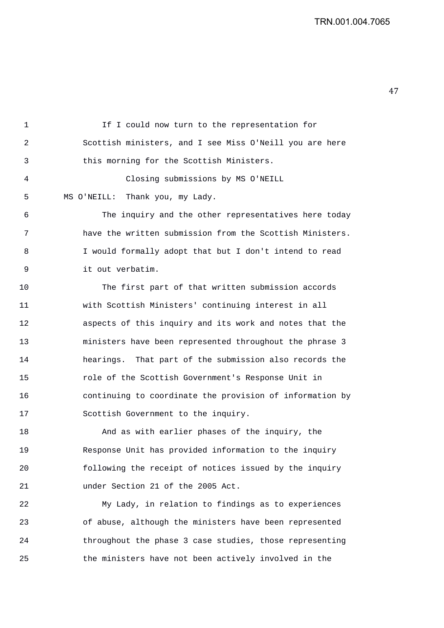47 

| If I could now turn to the representation for           |
|---------------------------------------------------------|
| Scottish ministers, and I see Miss O'Neill you are here |
| this morning for the Scottish Ministers.                |

4 Closing submissions by MS O'NEILL 5 MS O'NEILL: Thank you, my Lady.

6 The inquiry and the other representatives here today 7 have the written submission from the Scottish Ministers. 8 I would formally adopt that but I don't intend to read 9 it out verbatim.

10 The first part of that written submission accords 11 with Scottish Ministers' continuing interest in all 12 aspects of this inquiry and its work and notes that the 13 ministers have been represented throughout the phrase 3 14 hearings. That part of the submission also records the 15 role of the Scottish Government's Response Unit in 16 continuing to coordinate the provision of information by 17 Scottish Government to the inquiry.

18 And as with earlier phases of the inquiry, the 19 Response Unit has provided information to the inquiry 20 following the receipt of notices issued by the inquiry 21 under Section 21 of the 2005 Act.

22 My Lady, in relation to findings as to experiences 23 of abuse, although the ministers have been represented 24 throughout the phase 3 case studies, those representing 25 the ministers have not been actively involved in the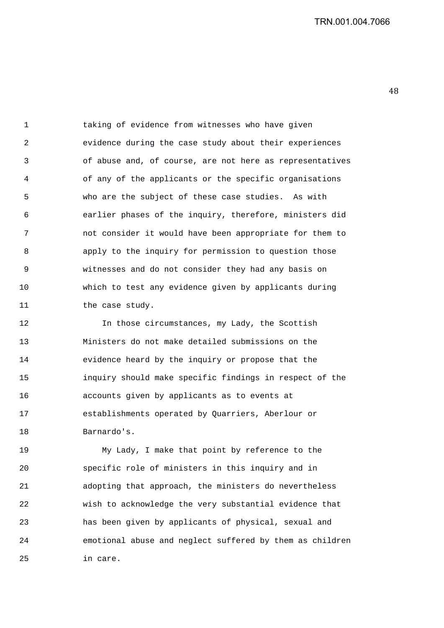1 taking of evidence from witnesses who have given 2 evidence during the case study about their experiences 3 of abuse and, of course, are not here as representatives 4 of any of the applicants or the specific organisations 5 who are the subject of these case studies. As with 6 earlier phases of the inquiry, therefore, ministers did 7 not consider it would have been appropriate for them to 8 apply to the inquiry for permission to question those 9 witnesses and do not consider they had any basis on 10 which to test any evidence given by applicants during 11 the case study.

12 In those circumstances, my Lady, the Scottish 13 Ministers do not make detailed submissions on the 14 evidence heard by the inquiry or propose that the 15 inquiry should make specific findings in respect of the 16 accounts given by applicants as to events at 17 establishments operated by Quarriers, Aberlour or 18 Barnardo's.

19 My Lady, I make that point by reference to the 20 specific role of ministers in this inquiry and in 21 adopting that approach, the ministers do nevertheless 22 wish to acknowledge the very substantial evidence that 23 has been given by applicants of physical, sexual and 24 emotional abuse and neglect suffered by them as children 25 in care.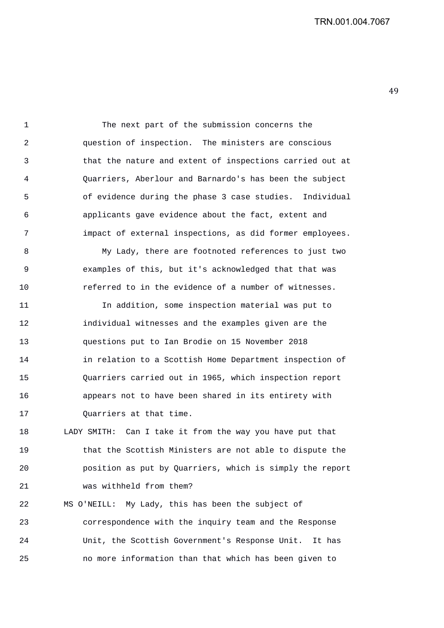1 The next part of the submission concerns the 2 question of inspection. The ministers are conscious 3 that the nature and extent of inspections carried out at 4 Quarriers, Aberlour and Barnardo's has been the subject 5 of evidence during the phase 3 case studies. Individual 6 applicants gave evidence about the fact, extent and 7 impact of external inspections, as did former employees. 8 My Lady, there are footnoted references to just two 9 examples of this, but it's acknowledged that that was 10 referred to in the evidence of a number of witnesses. 11 In addition, some inspection material was put to 12 individual witnesses and the examples given are the 13 questions put to Ian Brodie on 15 November 2018 14 in relation to a Scottish Home Department inspection of

15 Quarriers carried out in 1965, which inspection report 16 appears not to have been shared in its entirety with 17 Ouarriers at that time.

18 LADY SMITH: Can I take it from the way you have put that 19 that the Scottish Ministers are not able to dispute the 20 position as put by Quarriers, which is simply the report 21 was withheld from them?

22 MS O'NEILL: My Lady, this has been the subject of 23 correspondence with the inquiry team and the Response 24 Unit, the Scottish Government's Response Unit. It has 25 no more information than that which has been given to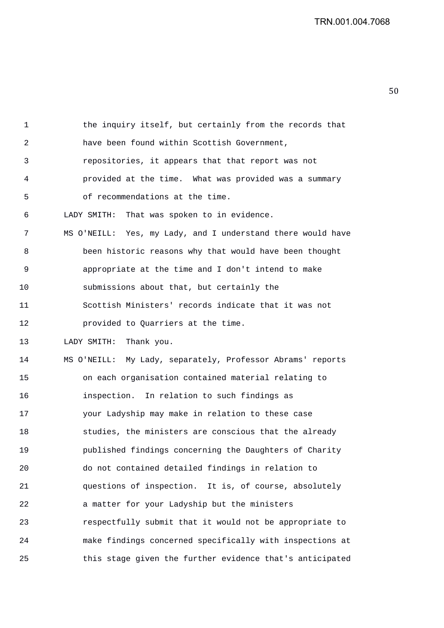1 the inquiry itself, but certainly from the records that 2 have been found within Scottish Government, 3 repositories, it appears that that report was not 4 provided at the time. What was provided was a summary 5 of recommendations at the time. 6 LADY SMITH: That was spoken to in evidence. 7 MS O'NEILL: Yes, my Lady, and I understand there would have 8 been historic reasons why that would have been thought 9 appropriate at the time and I don't intend to make 10 submissions about that, but certainly the 11 Scottish Ministers' records indicate that it was not 12 provided to Quarriers at the time. 13 LADY SMITH: Thank you. 14 MS O'NEILL: My Lady, separately, Professor Abrams' reports 15 on each organisation contained material relating to 16 inspection. In relation to such findings as 17 your Ladyship may make in relation to these case 18 studies, the ministers are conscious that the already 19 published findings concerning the Daughters of Charity 20 do not contained detailed findings in relation to 21 questions of inspection. It is, of course, absolutely 22 a matter for your Ladyship but the ministers 23 respectfully submit that it would not be appropriate to 24 make findings concerned specifically with inspections at 25 this stage given the further evidence that's anticipated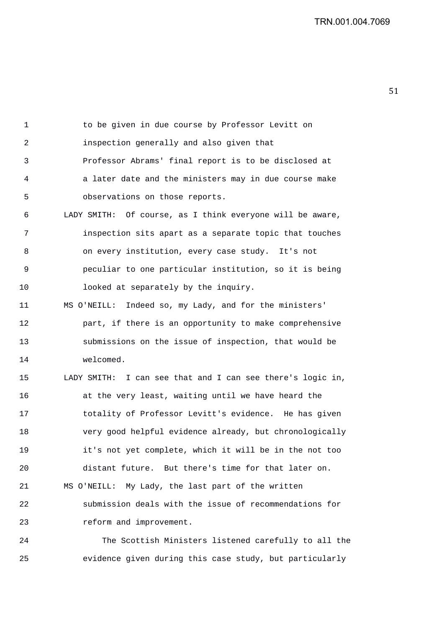1 to be given in due course by Professor Levitt on 2 inspection generally and also given that 3 Professor Abrams' final report is to be disclosed at 4 a later date and the ministers may in due course make 5 observations on those reports. 6 LADY SMITH: Of course, as I think everyone will be aware, 7 inspection sits apart as a separate topic that touches 8 on every institution, every case study. It's not 9 peculiar to one particular institution, so it is being 10 looked at separately by the inquiry. 11 MS O'NEILL: Indeed so, my Lady, and for the ministers' 12 part, if there is an opportunity to make comprehensive 13 submissions on the issue of inspection, that would be 14 welcomed. 15 LADY SMITH: I can see that and I can see there's logic in, 16 at the very least, waiting until we have heard the 17 totality of Professor Levitt's evidence. He has given 18 very good helpful evidence already, but chronologically 19 it's not yet complete, which it will be in the not too 20 distant future. But there's time for that later on. 21 MS O'NEILL: My Lady, the last part of the written 22 submission deals with the issue of recommendations for 23 reform and improvement. 24 The Scottish Ministers listened carefully to all the

25 evidence given during this case study, but particularly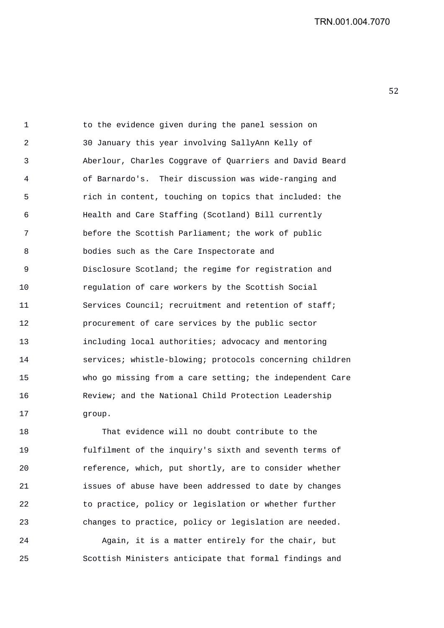1 to the evidence given during the panel session on 2 30 January this year involving SallyAnn Kelly of 3 Aberlour, Charles Coggrave of Quarriers and David Beard 4 of Barnardo's. Their discussion was wide-ranging and 5 rich in content, touching on topics that included: the 6 Health and Care Staffing (Scotland) Bill currently 7 before the Scottish Parliament; the work of public 8 bodies such as the Care Inspectorate and 9 Disclosure Scotland; the regime for registration and 10 regulation of care workers by the Scottish Social 11 Services Council; recruitment and retention of staff; 12 procurement of care services by the public sector 13 including local authorities; advocacy and mentoring 14 services; whistle-blowing; protocols concerning children 15 who go missing from a care setting; the independent Care 16 Review; and the National Child Protection Leadership 17 group.

18 That evidence will no doubt contribute to the 19 fulfilment of the inquiry's sixth and seventh terms of 20 reference, which, put shortly, are to consider whether 21 issues of abuse have been addressed to date by changes 22 to practice, policy or legislation or whether further 23 changes to practice, policy or legislation are needed.

24 Again, it is a matter entirely for the chair, but 25 Scottish Ministers anticipate that formal findings and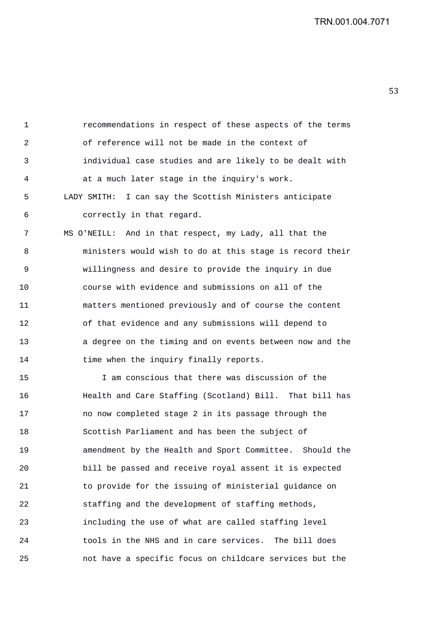1 recommendations in respect of these aspects of the terms 2 of reference will not be made in the context of 3 individual case studies and are likely to be dealt with 4 at a much later stage in the inquiry's work. 5 LADY SMITH: I can say the Scottish Ministers anticipate 6 correctly in that regard.

7 MS O'NEILL: And in that respect, my Lady, all that the 8 ministers would wish to do at this stage is record their 9 willingness and desire to provide the inquiry in due 10 course with evidence and submissions on all of the 11 matters mentioned previously and of course the content 12 of that evidence and any submissions will depend to 13 a degree on the timing and on events between now and the 14 time when the inquiry finally reports.

15 I am conscious that there was discussion of the 16 Health and Care Staffing (Scotland) Bill. That bill has 17 no now completed stage 2 in its passage through the 18 Scottish Parliament and has been the subject of 19 amendment by the Health and Sport Committee. Should the 20 bill be passed and receive royal assent it is expected 21 to provide for the issuing of ministerial guidance on 22 staffing and the development of staffing methods, 23 including the use of what are called staffing level 24 tools in the NHS and in care services. The bill does 25 not have a specific focus on childcare services but the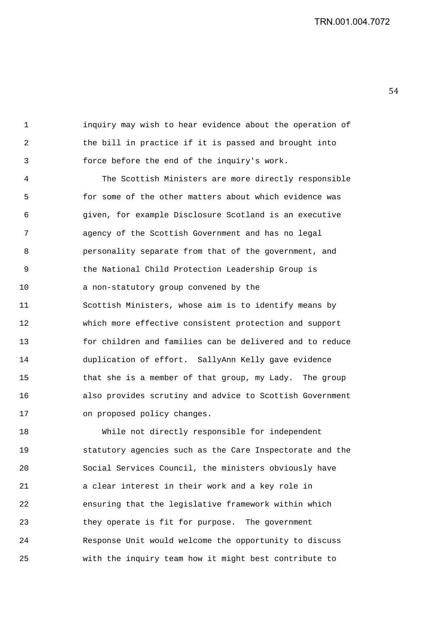1 inquiry may wish to hear evidence about the operation of 2 the bill in practice if it is passed and brought into 3 force before the end of the inquiry's work.

4 The Scottish Ministers are more directly responsible 5 for some of the other matters about which evidence was 6 given, for example Disclosure Scotland is an executive 7 agency of the Scottish Government and has no legal 8 personality separate from that of the government, and 9 the National Child Protection Leadership Group is 10 a non-statutory group convened by the 11 Scottish Ministers, whose aim is to identify means by 12 which more effective consistent protection and support 13 for children and families can be delivered and to reduce 14 duplication of effort. SallyAnn Kelly gave evidence 15 that she is a member of that group, my Lady. The group 16 also provides scrutiny and advice to Scottish Government 17 on proposed policy changes.

18 While not directly responsible for independent 19 statutory agencies such as the Care Inspectorate and the 20 Social Services Council, the ministers obviously have 21 a clear interest in their work and a key role in 22 ensuring that the legislative framework within which 23 they operate is fit for purpose. The government 24 Response Unit would welcome the opportunity to discuss 25 with the inquiry team how it might best contribute to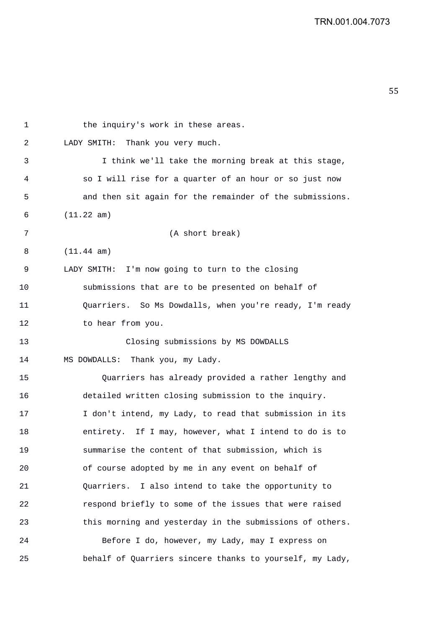| 1  | the inquiry's work in these areas.                       |
|----|----------------------------------------------------------|
| 2  | LADY SMITH: Thank you very much.                         |
| 3  | I think we'll take the morning break at this stage,      |
| 4  | so I will rise for a quarter of an hour or so just now   |
| 5  | and then sit again for the remainder of the submissions. |
| 6  | (11.22 am)                                               |
| 7  | (A short break)                                          |
| 8  | $(11.44 \text{ am})$                                     |
| 9  | LADY SMITH: I'm now going to turn to the closing         |
| 10 | submissions that are to be presented on behalf of        |
| 11 | Quarriers. So Ms Dowdalls, when you're ready, I'm ready  |
| 12 | to hear from you.                                        |
| 13 | Closing submissions by MS DOWDALLS                       |
| 14 | MS DOWDALLS: Thank you, my Lady.                         |
| 15 | Quarriers has already provided a rather lengthy and      |
| 16 | detailed written closing submission to the inquiry.      |
| 17 | I don't intend, my Lady, to read that submission in its  |
| 18 | entirety. If I may, however, what I intend to do is to   |
| 19 | summarise the content of that submission, which is       |
| 20 | of course adopted by me in any event on behalf of        |
| 21 | Quarriers. I also intend to take the opportunity to      |
| 22 | respond briefly to some of the issues that were raised   |
| 23 | this morning and yesterday in the submissions of others. |
| 24 | Before I do, however, my Lady, may I express on          |
| 25 | behalf of Quarriers sincere thanks to yourself, my Lady, |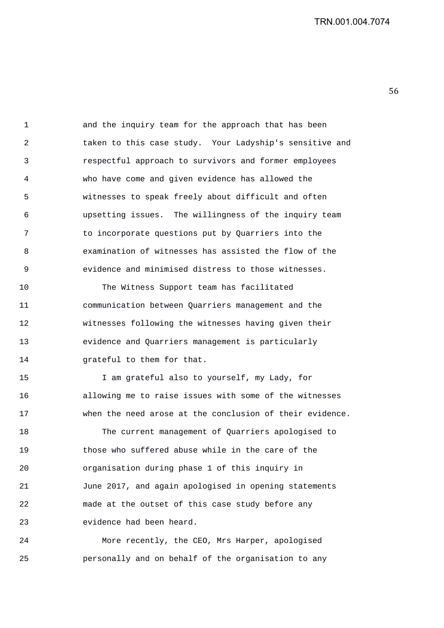1 and the inquiry team for the approach that has been 2 taken to this case study. Your Ladyship's sensitive and 3 respectful approach to survivors and former employees 4 who have come and given evidence has allowed the 5 witnesses to speak freely about difficult and often 6 upsetting issues. The willingness of the inquiry team 7 to incorporate questions put by Quarriers into the 8 examination of witnesses has assisted the flow of the 9 evidence and minimised distress to those witnesses.

10 The Witness Support team has facilitated 11 communication between Quarriers management and the 12 witnesses following the witnesses having given their 13 evidence and Quarriers management is particularly 14 Grateful to them for that.

15 I am grateful also to yourself, my Lady, for 16 allowing me to raise issues with some of the witnesses 17 when the need arose at the conclusion of their evidence.

18 The current management of Quarriers apologised to 19 those who suffered abuse while in the care of the 20 organisation during phase 1 of this inquiry in 21 June 2017, and again apologised in opening statements 22 made at the outset of this case study before any 23 evidence had been heard.

24 More recently, the CEO, Mrs Harper, apologised 25 personally and on behalf of the organisation to any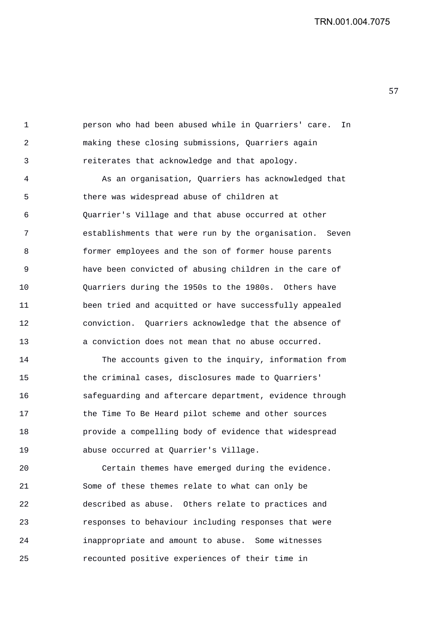1 person who had been abused while in Quarriers' care. In 2 making these closing submissions, Quarriers again 3 reiterates that acknowledge and that apology.

4 As an organisation, Quarriers has acknowledged that 5 there was widespread abuse of children at 6 Quarrier's Village and that abuse occurred at other 7 establishments that were run by the organisation. Seven 8 former employees and the son of former house parents 9 have been convicted of abusing children in the care of 10 Quarriers during the 1950s to the 1980s. Others have 11 been tried and acquitted or have successfully appealed 12 conviction. Quarriers acknowledge that the absence of 13 a conviction does not mean that no abuse occurred.

14 The accounts given to the inquiry, information from 15 the criminal cases, disclosures made to Quarriers' 16 safeguarding and aftercare department, evidence through 17 **the Time To Be Heard pilot scheme and other sources** 18 provide a compelling body of evidence that widespread 19 abuse occurred at Quarrier's Village.

20 Certain themes have emerged during the evidence. 21 Some of these themes relate to what can only be 22 described as abuse. Others relate to practices and 23 responses to behaviour including responses that were 24 inappropriate and amount to abuse. Some witnesses 25 recounted positive experiences of their time in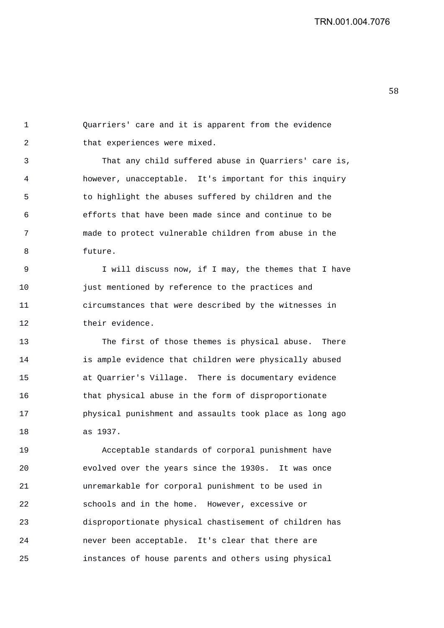1 Quarriers' care and it is apparent from the evidence 2 that experiences were mixed.

3 That any child suffered abuse in Quarriers' care is, 4 however, unacceptable. It's important for this inquiry 5 to highlight the abuses suffered by children and the 6 efforts that have been made since and continue to be 7 made to protect vulnerable children from abuse in the 8 future.

9 I will discuss now, if I may, the themes that I have 10 just mentioned by reference to the practices and 11 circumstances that were described by the witnesses in 12 their evidence.

13 The first of those themes is physical abuse. There 14 is ample evidence that children were physically abused 15 at Quarrier's Village. There is documentary evidence 16 that physical abuse in the form of disproportionate 17 physical punishment and assaults took place as long ago 18 as 1937.

19 Acceptable standards of corporal punishment have 20 evolved over the years since the 1930s. It was once 21 unremarkable for corporal punishment to be used in 22 schools and in the home. However, excessive or 23 disproportionate physical chastisement of children has 24 never been acceptable. It's clear that there are 25 instances of house parents and others using physical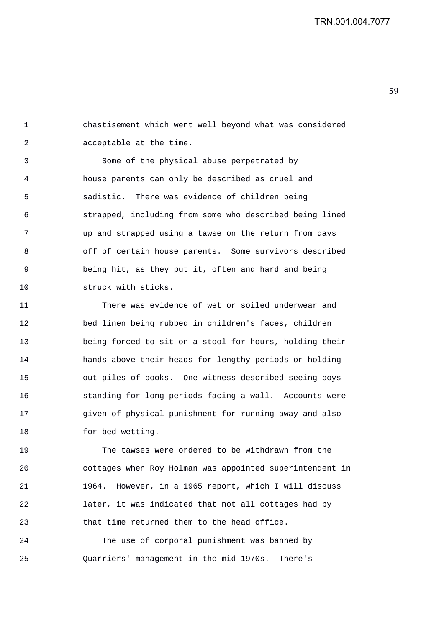1 chastisement which went well beyond what was considered 2 acceptable at the time.

3 Some of the physical abuse perpetrated by 4 house parents can only be described as cruel and 5 sadistic. There was evidence of children being 6 strapped, including from some who described being lined 7 up and strapped using a tawse on the return from days 8 off of certain house parents. Some survivors described 9 being hit, as they put it, often and hard and being 10 struck with sticks.

11 There was evidence of wet or soiled underwear and 12 bed linen being rubbed in children's faces, children 13 being forced to sit on a stool for hours, holding their 14 hands above their heads for lengthy periods or holding 15 out piles of books. One witness described seeing boys 16 standing for long periods facing a wall. Accounts were 17 given of physical punishment for running away and also 18 for bed-wetting.

19 The tawses were ordered to be withdrawn from the 20 cottages when Roy Holman was appointed superintendent in 21 1964. However, in a 1965 report, which I will discuss 22 later, it was indicated that not all cottages had by 23 that time returned them to the head office.

24 The use of corporal punishment was banned by 25 Quarriers' management in the mid-1970s. There's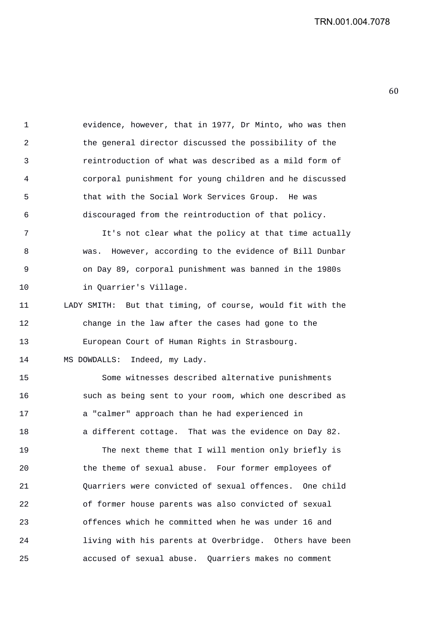1 evidence, however, that in 1977, Dr Minto, who was then 2 the general director discussed the possibility of the 3 reintroduction of what was described as a mild form of 4 corporal punishment for young children and he discussed 5 that with the Social Work Services Group. He was 6 discouraged from the reintroduction of that policy.

7 It's not clear what the policy at that time actually 8 was. However, according to the evidence of Bill Dunbar 9 on Day 89, corporal punishment was banned in the 1980s 10 in Quarrier's Village.

11 LADY SMITH: But that timing, of course, would fit with the 12 change in the law after the cases had gone to the 13 European Court of Human Rights in Strasbourg.

14 MS DOWDALLS: Indeed, my Lady.

15 Some witnesses described alternative punishments 16 such as being sent to your room, which one described as 17 a "calmer" approach than he had experienced in 18 a different cottage. That was the evidence on Day 82.

19 The next theme that I will mention only briefly is 20 the theme of sexual abuse. Four former employees of 21 Quarriers were convicted of sexual offences. One child 22 of former house parents was also convicted of sexual 23 offences which he committed when he was under 16 and 24 living with his parents at Overbridge. Others have been 25 accused of sexual abuse. Quarriers makes no comment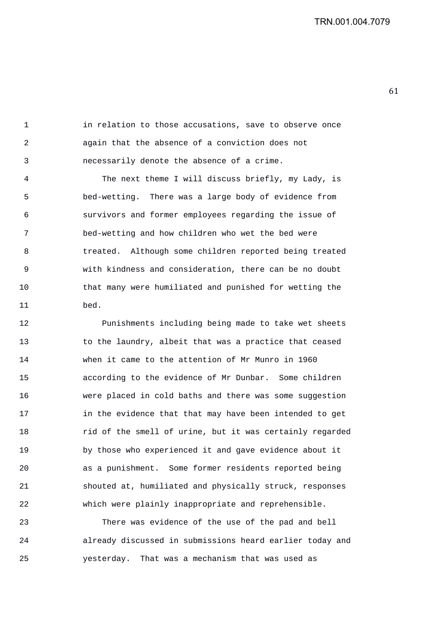1 in relation to those accusations, save to observe once 2 again that the absence of a conviction does not 3 necessarily denote the absence of a crime.

4 The next theme I will discuss briefly, my Lady, is 5 bed-wetting. There was a large body of evidence from 6 survivors and former employees regarding the issue of 7 bed-wetting and how children who wet the bed were 8 treated. Although some children reported being treated 9 with kindness and consideration, there can be no doubt 10 that many were humiliated and punished for wetting the 11 bed.

12 Punishments including being made to take wet sheets 13 to the laundry, albeit that was a practice that ceased 14 when it came to the attention of Mr Munro in 1960 15 according to the evidence of Mr Dunbar. Some children 16 were placed in cold baths and there was some suggestion 17 in the evidence that that may have been intended to get 18 rid of the smell of urine, but it was certainly regarded 19 by those who experienced it and gave evidence about it 20 as a punishment. Some former residents reported being 21 shouted at, humiliated and physically struck, responses 22 which were plainly inappropriate and reprehensible.

23 There was evidence of the use of the pad and bell 24 already discussed in submissions heard earlier today and 25 yesterday. That was a mechanism that was used as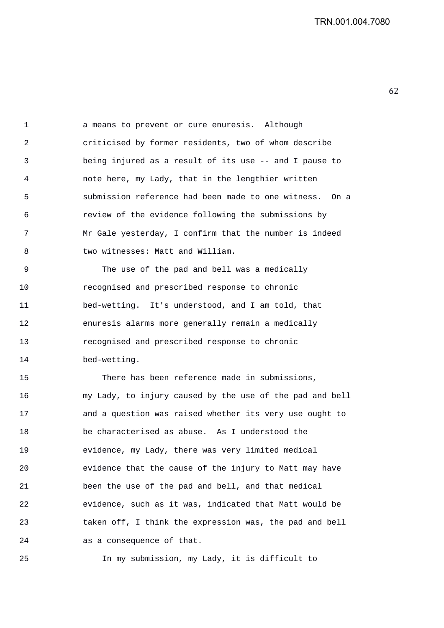1 a means to prevent or cure enuresis. Although 2 criticised by former residents, two of whom describe 3 being injured as a result of its use -- and I pause to 4 note here, my Lady, that in the lengthier written 5 submission reference had been made to one witness. On a 6 review of the evidence following the submissions by 7 Mr Gale yesterday, I confirm that the number is indeed 8 two witnesses: Matt and William.

9 The use of the pad and bell was a medically 10 recognised and prescribed response to chronic 11 bed-wetting. It's understood, and I am told, that 12 enuresis alarms more generally remain a medically 13 recognised and prescribed response to chronic 14 bed-wetting.

15 There has been reference made in submissions, 16 my Lady, to injury caused by the use of the pad and bell 17 and a question was raised whether its very use ought to 18 be characterised as abuse. As I understood the 19 evidence, my Lady, there was very limited medical 20 evidence that the cause of the injury to Matt may have 21 been the use of the pad and bell, and that medical 22 evidence, such as it was, indicated that Matt would be 23 taken off, I think the expression was, the pad and bell 24 as a consequence of that.

25 In my submission, my Lady, it is difficult to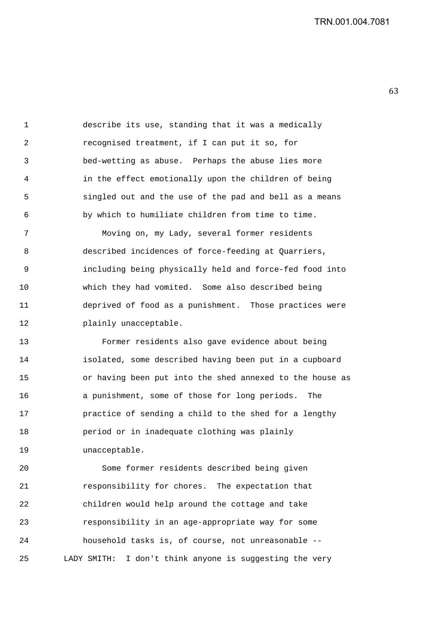1 describe its use, standing that it was a medically 2 recognised treatment, if I can put it so, for 3 bed-wetting as abuse. Perhaps the abuse lies more 4 in the effect emotionally upon the children of being 5 singled out and the use of the pad and bell as a means 6 by which to humiliate children from time to time.

7 Moving on, my Lady, several former residents 8 described incidences of force-feeding at Quarriers, 9 including being physically held and force-fed food into 10 which they had vomited. Some also described being 11 deprived of food as a punishment. Those practices were 12 plainly unacceptable.

13 Former residents also gave evidence about being 14 isolated, some described having been put in a cupboard 15 or having been put into the shed annexed to the house as 16 a punishment, some of those for long periods. The 17 practice of sending a child to the shed for a lengthy 18 period or in inadequate clothing was plainly 19 unacceptable.

20 Some former residents described being given 21 responsibility for chores. The expectation that 22 children would help around the cottage and take 23 responsibility in an age-appropriate way for some 24 household tasks is, of course, not unreasonable -- 25 LADY SMITH: I don't think anyone is suggesting the very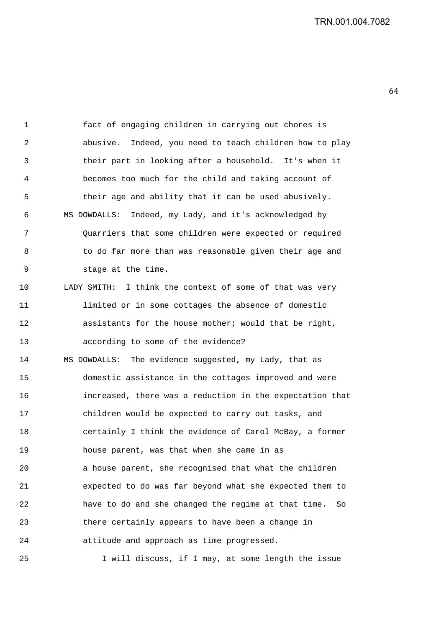1 fact of engaging children in carrying out chores is 2 abusive. Indeed, you need to teach children how to play 3 their part in looking after a household. It's when it 4 becomes too much for the child and taking account of 5 their age and ability that it can be used abusively. 6 MS DOWDALLS: Indeed, my Lady, and it's acknowledged by 7 Quarriers that some children were expected or required 8 to do far more than was reasonable given their age and 9 stage at the time. 10 LADY SMITH: I think the context of some of that was very 11 limited or in some cottages the absence of domestic 12 assistants for the house mother; would that be right, 13 according to some of the evidence? 14 MS DOWDALLS: The evidence suggested, my Lady, that as 15 domestic assistance in the cottages improved and were 16 increased, there was a reduction in the expectation that 17 children would be expected to carry out tasks, and 18 certainly I think the evidence of Carol McBay, a former 19 house parent, was that when she came in as 20 a house parent, she recognised that what the children 21 expected to do was far beyond what she expected them to 22 have to do and she changed the regime at that time. So 23 there certainly appears to have been a change in 24 attitude and approach as time progressed.

25 I will discuss, if I may, at some length the issue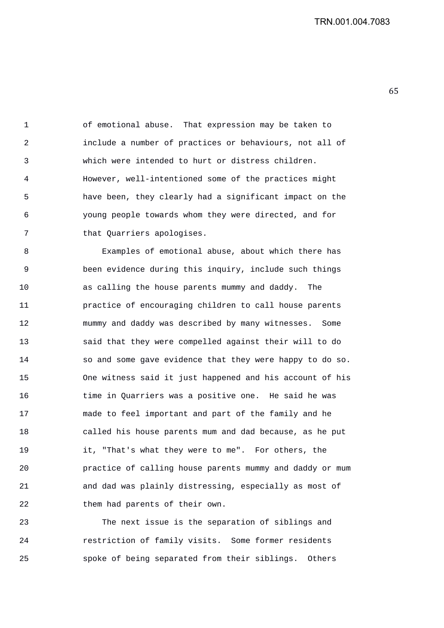1 of emotional abuse. That expression may be taken to 2 include a number of practices or behaviours, not all of 3 which were intended to hurt or distress children. 4 However, well-intentioned some of the practices might 5 have been, they clearly had a significant impact on the 6 young people towards whom they were directed, and for 7 that Quarriers apologises.

8 Examples of emotional abuse, about which there has 9 been evidence during this inquiry, include such things 10 as calling the house parents mummy and daddy. The 11 practice of encouraging children to call house parents 12 mummy and daddy was described by many witnesses. Some 13 said that they were compelled against their will to do 14 so and some gave evidence that they were happy to do so. 15 One witness said it just happened and his account of his 16 time in Quarriers was a positive one. He said he was 17 made to feel important and part of the family and he 18 called his house parents mum and dad because, as he put 19 it, "That's what they were to me". For others, the 20 practice of calling house parents mummy and daddy or mum 21 and dad was plainly distressing, especially as most of 22 them had parents of their own.

23 The next issue is the separation of siblings and 24 restriction of family visits. Some former residents 25 spoke of being separated from their siblings. Others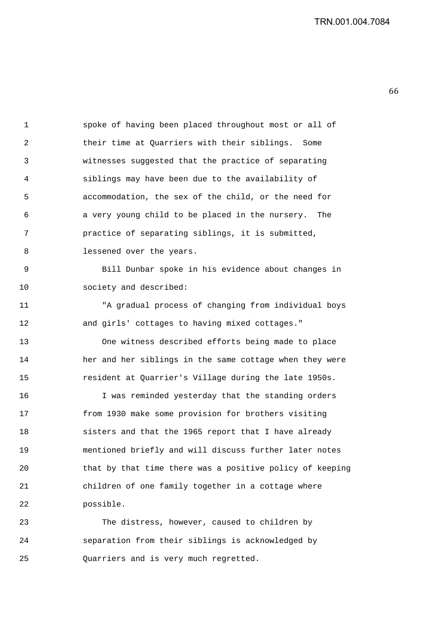1 spoke of having been placed throughout most or all of 2 their time at Quarriers with their siblings. Some 3 witnesses suggested that the practice of separating 4 siblings may have been due to the availability of 5 accommodation, the sex of the child, or the need for 6 a very young child to be placed in the nursery. The 7 practice of separating siblings, it is submitted, 8 lessened over the years. 9 Bill Dunbar spoke in his evidence about changes in 10 society and described: 11 "A gradual process of changing from individual boys 12 and girls' cottages to having mixed cottages." 13 One witness described efforts being made to place 14 her and her siblings in the same cottage when they were 15 resident at Quarrier's Village during the late 1950s. 16 I was reminded yesterday that the standing orders

17 from 1930 make some provision for brothers visiting 18 sisters and that the 1965 report that I have already 19 mentioned briefly and will discuss further later notes 20 that by that time there was a positive policy of keeping 21 children of one family together in a cottage where 22 possible.

23 The distress, however, caused to children by 24 separation from their siblings is acknowledged by 25 Quarriers and is very much regretted.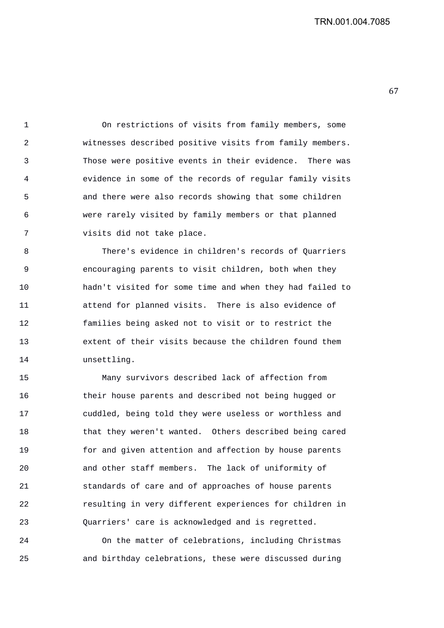1 On restrictions of visits from family members, some 2 witnesses described positive visits from family members. 3 Those were positive events in their evidence. There was 4 evidence in some of the records of regular family visits 5 and there were also records showing that some children 6 were rarely visited by family members or that planned 7 visits did not take place.

8 There's evidence in children's records of Quarriers 9 encouraging parents to visit children, both when they 10 hadn't visited for some time and when they had failed to 11 attend for planned visits. There is also evidence of 12 families being asked not to visit or to restrict the 13 extent of their visits because the children found them 14 unsettling.

15 Many survivors described lack of affection from 16 their house parents and described not being hugged or 17 cuddled, being told they were useless or worthless and 18 that they weren't wanted. Others described being cared 19 for and given attention and affection by house parents 20 and other staff members. The lack of uniformity of 21 standards of care and of approaches of house parents 22 resulting in very different experiences for children in 23 Quarriers' care is acknowledged and is regretted.

24 On the matter of celebrations, including Christmas 25 and birthday celebrations, these were discussed during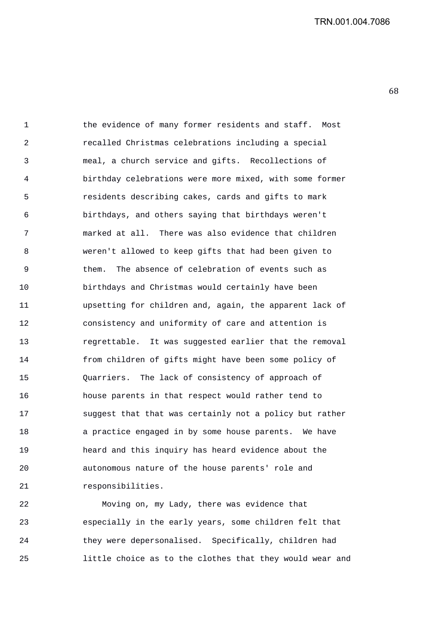1 the evidence of many former residents and staff. Most 2 recalled Christmas celebrations including a special 3 meal, a church service and gifts. Recollections of 4 birthday celebrations were more mixed, with some former 5 residents describing cakes, cards and gifts to mark 6 birthdays, and others saying that birthdays weren't 7 marked at all. There was also evidence that children 8 weren't allowed to keep gifts that had been given to 9 them. The absence of celebration of events such as 10 birthdays and Christmas would certainly have been 11 upsetting for children and, again, the apparent lack of 12 consistency and uniformity of care and attention is 13 regrettable. It was suggested earlier that the removal 14 from children of gifts might have been some policy of 15 Quarriers. The lack of consistency of approach of 16 house parents in that respect would rather tend to 17 suggest that that was certainly not a policy but rather 18 a practice engaged in by some house parents. We have 19 heard and this inquiry has heard evidence about the 20 autonomous nature of the house parents' role and 21 responsibilities.

22 Moving on, my Lady, there was evidence that 23 especially in the early years, some children felt that 24 they were depersonalised. Specifically, children had 25 little choice as to the clothes that they would wear and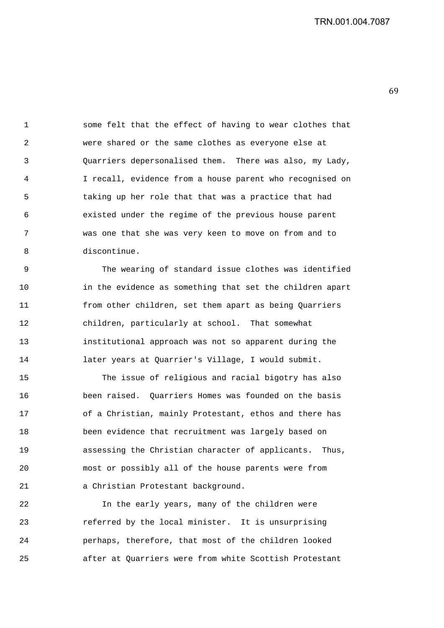1 some felt that the effect of having to wear clothes that 2 were shared or the same clothes as everyone else at 3 Quarriers depersonalised them. There was also, my Lady, 4 I recall, evidence from a house parent who recognised on 5 taking up her role that that was a practice that had 6 existed under the regime of the previous house parent 7 was one that she was very keen to move on from and to 8 discontinue.

9 The wearing of standard issue clothes was identified 10 in the evidence as something that set the children apart 11 from other children, set them apart as being Quarriers 12 children, particularly at school. That somewhat 13 institutional approach was not so apparent during the 14 later years at Quarrier's Village, I would submit.

15 The issue of religious and racial bigotry has also 16 been raised. Quarriers Homes was founded on the basis 17 of a Christian, mainly Protestant, ethos and there has 18 been evidence that recruitment was largely based on 19 assessing the Christian character of applicants. Thus, 20 most or possibly all of the house parents were from 21 a Christian Protestant background.

22 In the early years, many of the children were 23 referred by the local minister. It is unsurprising 24 perhaps, therefore, that most of the children looked 25 after at Quarriers were from white Scottish Protestant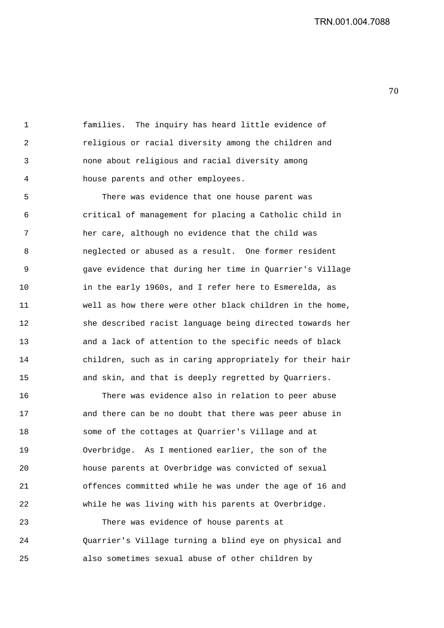1 families. The inquiry has heard little evidence of 2 religious or racial diversity among the children and 3 none about religious and racial diversity among 4 house parents and other employees.

5 There was evidence that one house parent was 6 critical of management for placing a Catholic child in 7 her care, although no evidence that the child was 8 neglected or abused as a result. One former resident 9 gave evidence that during her time in Quarrier's Village 10 in the early 1960s, and I refer here to Esmerelda, as 11 well as how there were other black children in the home, 12 she described racist language being directed towards her 13 and a lack of attention to the specific needs of black 14 children, such as in caring appropriately for their hair 15 and skin, and that is deeply regretted by Quarriers.

16 There was evidence also in relation to peer abuse 17 and there can be no doubt that there was peer abuse in 18 some of the cottages at Quarrier's Village and at 19 Overbridge. As I mentioned earlier, the son of the 20 house parents at Overbridge was convicted of sexual 21 offences committed while he was under the age of 16 and 22 while he was living with his parents at Overbridge.

23 There was evidence of house parents at 24 Quarrier's Village turning a blind eye on physical and 25 also sometimes sexual abuse of other children by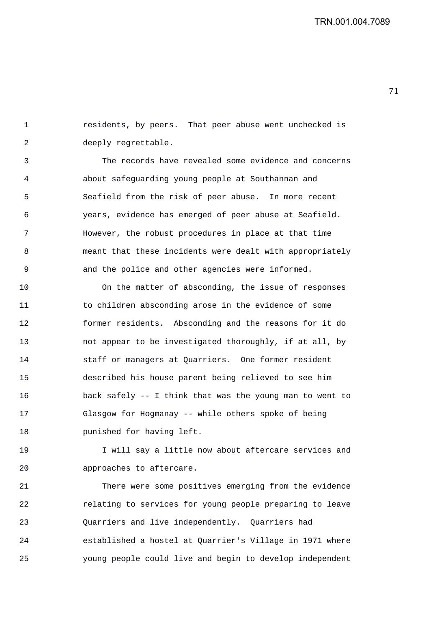71 

1 residents, by peers. That peer abuse went unchecked is 2 deeply regrettable.

3 The records have revealed some evidence and concerns 4 about safeguarding young people at Southannan and 5 Seafield from the risk of peer abuse. In more recent 6 years, evidence has emerged of peer abuse at Seafield. 7 However, the robust procedures in place at that time 8 meant that these incidents were dealt with appropriately 9 and the police and other agencies were informed.

10 On the matter of absconding, the issue of responses 11 to children absconding arose in the evidence of some 12 former residents. Absconding and the reasons for it do 13 not appear to be investigated thoroughly, if at all, by 14 staff or managers at Quarriers. One former resident 15 described his house parent being relieved to see him 16 back safely -- I think that was the young man to went to 17 Glasgow for Hogmanay -- while others spoke of being 18 punished for having left.

19 I will say a little now about aftercare services and 20 approaches to aftercare.

21 There were some positives emerging from the evidence 22 relating to services for young people preparing to leave 23 Quarriers and live independently. Quarriers had 24 established a hostel at Quarrier's Village in 1971 where 25 young people could live and begin to develop independent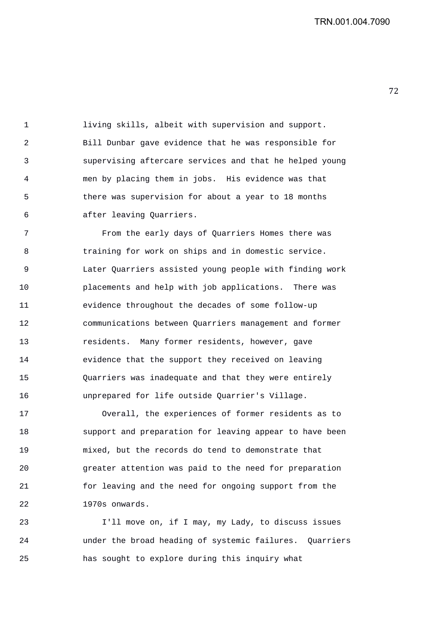1 living skills, albeit with supervision and support. 2 Bill Dunbar gave evidence that he was responsible for 3 supervising aftercare services and that he helped young 4 men by placing them in jobs. His evidence was that 5 there was supervision for about a year to 18 months 6 after leaving Quarriers.

7 From the early days of Quarriers Homes there was 8 training for work on ships and in domestic service. 9 Later Quarriers assisted young people with finding work 10 placements and help with job applications. There was 11 evidence throughout the decades of some follow-up 12 communications between Quarriers management and former 13 residents. Many former residents, however, gave 14 evidence that the support they received on leaving 15 Quarriers was inadequate and that they were entirely 16 unprepared for life outside Quarrier's Village.

17 Overall, the experiences of former residents as to 18 support and preparation for leaving appear to have been 19 mixed, but the records do tend to demonstrate that 20 greater attention was paid to the need for preparation 21 for leaving and the need for ongoing support from the 22 1970s onwards.

23 I'll move on, if I may, my Lady, to discuss issues 24 under the broad heading of systemic failures. Quarriers 25 has sought to explore during this inquiry what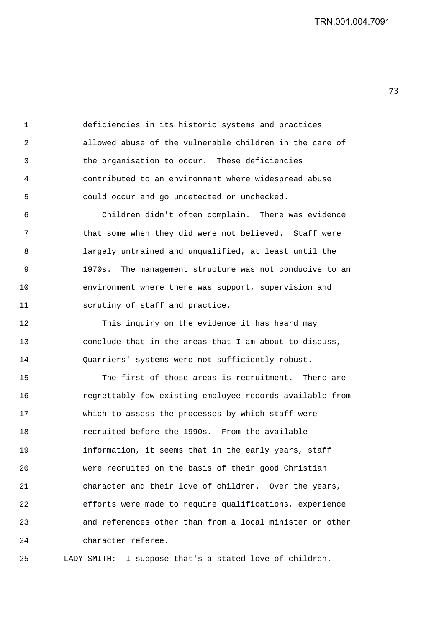1 deficiencies in its historic systems and practices 2 allowed abuse of the vulnerable children in the care of 3 the organisation to occur. These deficiencies 4 contributed to an environment where widespread abuse 5 could occur and go undetected or unchecked.

6 Children didn't often complain. There was evidence 7 that some when they did were not believed. Staff were 8 largely untrained and unqualified, at least until the 9 1970s. The management structure was not conducive to an 10 environment where there was support, supervision and 11 scrutiny of staff and practice.

12 This inquiry on the evidence it has heard may 13 conclude that in the areas that I am about to discuss, 14 Quarriers' systems were not sufficiently robust.

15 The first of those areas is recruitment. There are 16 regrettably few existing employee records available from 17 which to assess the processes by which staff were 18 recruited before the 1990s. From the available 19 information, it seems that in the early years, staff 20 were recruited on the basis of their good Christian 21 character and their love of children. Over the years, 22 efforts were made to require qualifications, experience 23 and references other than from a local minister or other 24 character referee.

25 LADY SMITH: I suppose that's a stated love of children.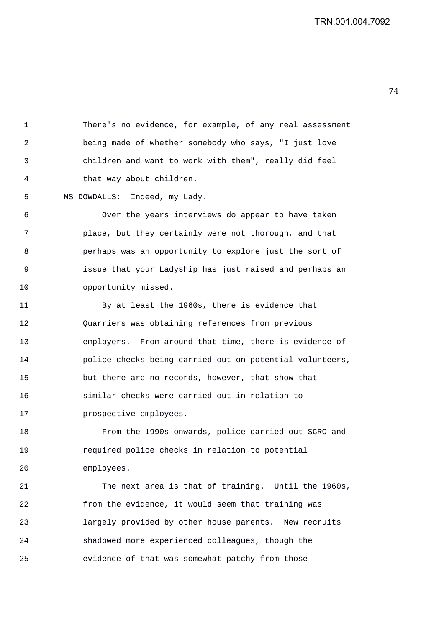1 There's no evidence, for example, of any real assessment 2 being made of whether somebody who says, "I just love 3 children and want to work with them", really did feel 4 that way about children.

5 MS DOWDALLS: Indeed, my Lady.

6 Over the years interviews do appear to have taken 7 place, but they certainly were not thorough, and that 8 perhaps was an opportunity to explore just the sort of 9 issue that your Ladyship has just raised and perhaps an 10 opportunity missed.

11 By at least the 1960s, there is evidence that 12 Quarriers was obtaining references from previous 13 employers. From around that time, there is evidence of 14 police checks being carried out on potential volunteers, 15 but there are no records, however, that show that 16 similar checks were carried out in relation to 17 **prospective employees.** 

18 From the 1990s onwards, police carried out SCRO and 19 required police checks in relation to potential 20 employees.

21 The next area is that of training. Until the 1960s, 22 from the evidence, it would seem that training was 23 largely provided by other house parents. New recruits 24 shadowed more experienced colleagues, though the 25 evidence of that was somewhat patchy from those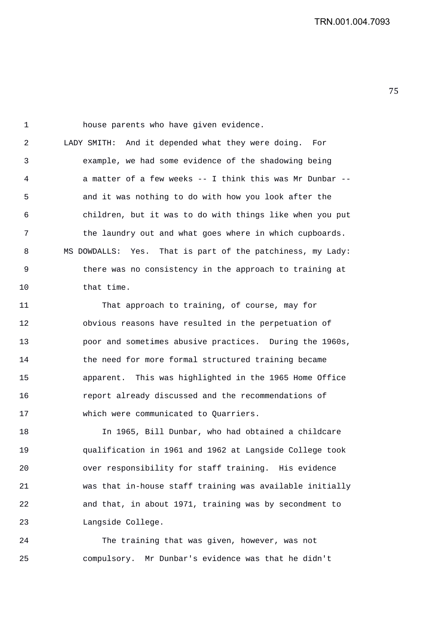1 house parents who have given evidence. 2 LADY SMITH: And it depended what they were doing. For 3 example, we had some evidence of the shadowing being 4 a matter of a few weeks -- I think this was Mr Dunbar -- 5 and it was nothing to do with how you look after the 6 children, but it was to do with things like when you put 7 the laundry out and what goes where in which cupboards. 8 MS DOWDALLS: Yes. That is part of the patchiness, my Lady: 9 there was no consistency in the approach to training at 10 that time.

11 That approach to training, of course, may for 12 obvious reasons have resulted in the perpetuation of 13 poor and sometimes abusive practices. During the 1960s, 14 the need for more formal structured training became 15 apparent. This was highlighted in the 1965 Home Office 16 report already discussed and the recommendations of 17 which were communicated to Quarriers.

18 In 1965, Bill Dunbar, who had obtained a childcare 19 qualification in 1961 and 1962 at Langside College took 20 over responsibility for staff training. His evidence 21 was that in-house staff training was available initially 22 and that, in about 1971, training was by secondment to 23 Langside College.

24 The training that was given, however, was not 25 compulsory. Mr Dunbar's evidence was that he didn't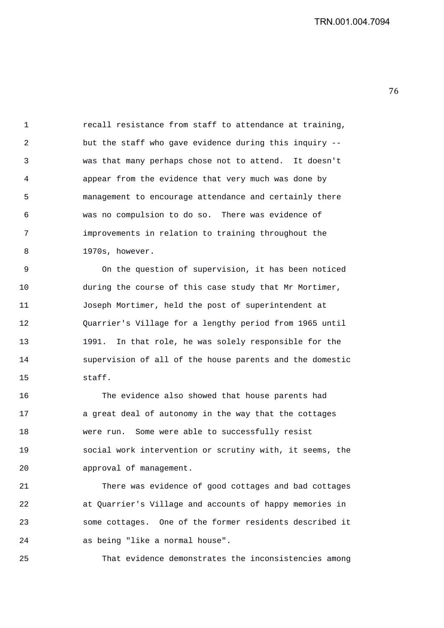1 recall resistance from staff to attendance at training, 2 but the staff who gave evidence during this inquiry -- 3 was that many perhaps chose not to attend. It doesn't 4 appear from the evidence that very much was done by 5 management to encourage attendance and certainly there 6 was no compulsion to do so. There was evidence of 7 improvements in relation to training throughout the 8 1970s, however.

9 On the question of supervision, it has been noticed 10 during the course of this case study that Mr Mortimer, 11 Joseph Mortimer, held the post of superintendent at 12 Quarrier's Village for a lengthy period from 1965 until 13 1991. In that role, he was solely responsible for the 14 supervision of all of the house parents and the domestic 15 staff.

16 The evidence also showed that house parents had 17 a great deal of autonomy in the way that the cottages 18 were run. Some were able to successfully resist 19 social work intervention or scrutiny with, it seems, the 20 approval of management.

21 There was evidence of good cottages and bad cottages 22 at Quarrier's Village and accounts of happy memories in 23 some cottages. One of the former residents described it 24 as being "like a normal house".

25 That evidence demonstrates the inconsistencies among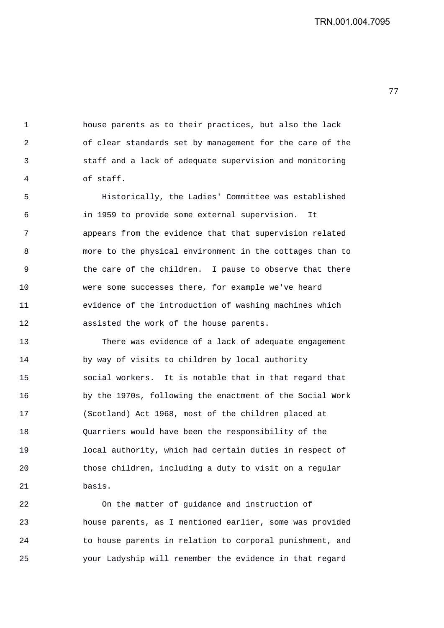1 house parents as to their practices, but also the lack 2 of clear standards set by management for the care of the 3 staff and a lack of adequate supervision and monitoring 4 of staff.

5 Historically, the Ladies' Committee was established 6 in 1959 to provide some external supervision. It 7 appears from the evidence that that supervision related 8 more to the physical environment in the cottages than to 9 the care of the children. I pause to observe that there 10 were some successes there, for example we've heard 11 evidence of the introduction of washing machines which 12 assisted the work of the house parents.

13 There was evidence of a lack of adequate engagement 14 by way of visits to children by local authority 15 social workers. It is notable that in that regard that 16 by the 1970s, following the enactment of the Social Work 17 (Scotland) Act 1968, most of the children placed at 18 Quarriers would have been the responsibility of the 19 local authority, which had certain duties in respect of 20 those children, including a duty to visit on a regular 21 basis.

22 On the matter of guidance and instruction of 23 house parents, as I mentioned earlier, some was provided 24 to house parents in relation to corporal punishment, and 25 your Ladyship will remember the evidence in that regard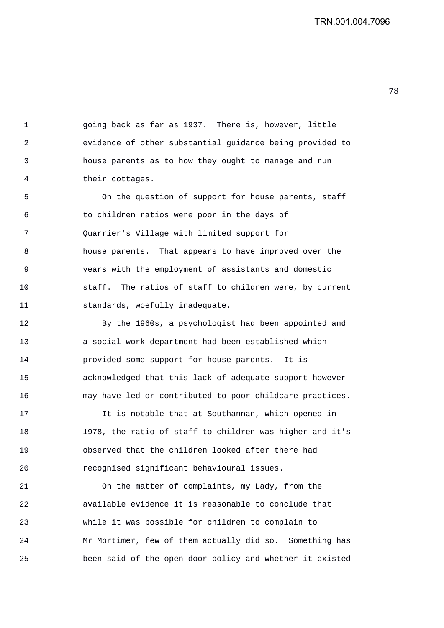1 going back as far as 1937. There is, however, little 2 evidence of other substantial guidance being provided to 3 house parents as to how they ought to manage and run 4 their cottages.

5 On the question of support for house parents, staff 6 to children ratios were poor in the days of 7 Quarrier's Village with limited support for 8 house parents. That appears to have improved over the 9 years with the employment of assistants and domestic 10 staff. The ratios of staff to children were, by current 11 standards, woefully inadequate.

12 By the 1960s, a psychologist had been appointed and 13 a social work department had been established which 14 provided some support for house parents. It is 15 acknowledged that this lack of adequate support however 16 may have led or contributed to poor childcare practices.

17 It is notable that at Southannan, which opened in 18 1978, the ratio of staff to children was higher and it's 19 observed that the children looked after there had 20 recognised significant behavioural issues.

21 On the matter of complaints, my Lady, from the 22 available evidence it is reasonable to conclude that 23 while it was possible for children to complain to 24 Mr Mortimer, few of them actually did so. Something has 25 been said of the open-door policy and whether it existed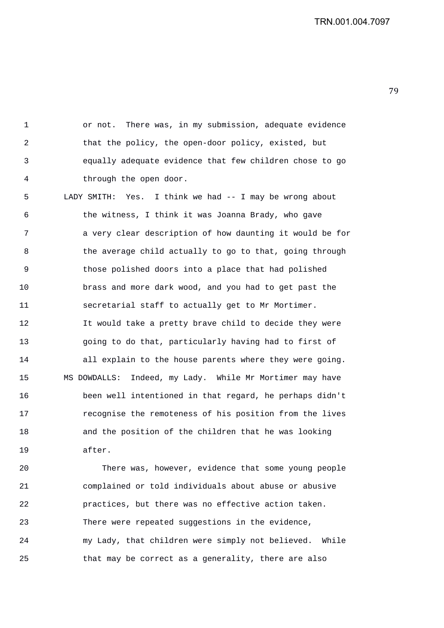1 or not. There was, in my submission, adequate evidence 2 that the policy, the open-door policy, existed, but 3 equally adequate evidence that few children chose to go 4 through the open door. 5 LADY SMITH: Yes. I think we had -- I may be wrong about 6 the witness, I think it was Joanna Brady, who gave 7 a very clear description of how daunting it would be for 8 the average child actually to go to that, going through 9 those polished doors into a place that had polished 10 brass and more dark wood, and you had to get past the 11 secretarial staff to actually get to Mr Mortimer. 12 It would take a pretty brave child to decide they were 13 going to do that, particularly having had to first of 14 all explain to the house parents where they were going. 15 MS DOWDALLS: Indeed, my Lady. While Mr Mortimer may have 16 been well intentioned in that regard, he perhaps didn't 17 recognise the remoteness of his position from the lives 18 and the position of the children that he was looking 19 after.

20 There was, however, evidence that some young people 21 complained or told individuals about abuse or abusive 22 practices, but there was no effective action taken. 23 There were repeated suggestions in the evidence, 24 my Lady, that children were simply not believed. While 25 that may be correct as a generality, there are also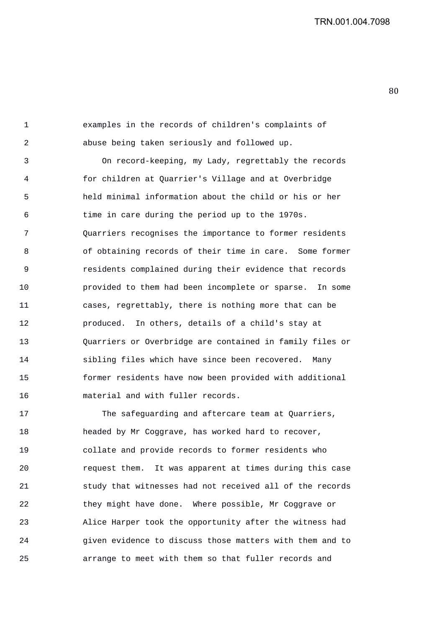1 examples in the records of children's complaints of 2 abuse being taken seriously and followed up.

3 On record-keeping, my Lady, regrettably the records 4 for children at Quarrier's Village and at Overbridge 5 held minimal information about the child or his or her 6 time in care during the period up to the 1970s. 7 Quarriers recognises the importance to former residents 8 of obtaining records of their time in care. Some former 9 residents complained during their evidence that records 10 provided to them had been incomplete or sparse. In some 11 cases, regrettably, there is nothing more that can be 12 produced. In others, details of a child's stay at 13 Quarriers or Overbridge are contained in family files or 14 sibling files which have since been recovered. Many 15 former residents have now been provided with additional 16 material and with fuller records.

17 The safeguarding and aftercare team at Quarriers, 18 headed by Mr Coggrave, has worked hard to recover, 19 collate and provide records to former residents who 20 request them. It was apparent at times during this case 21 study that witnesses had not received all of the records 22 they might have done. Where possible, Mr Coggrave or 23 Alice Harper took the opportunity after the witness had 24 given evidence to discuss those matters with them and to 25 arrange to meet with them so that fuller records and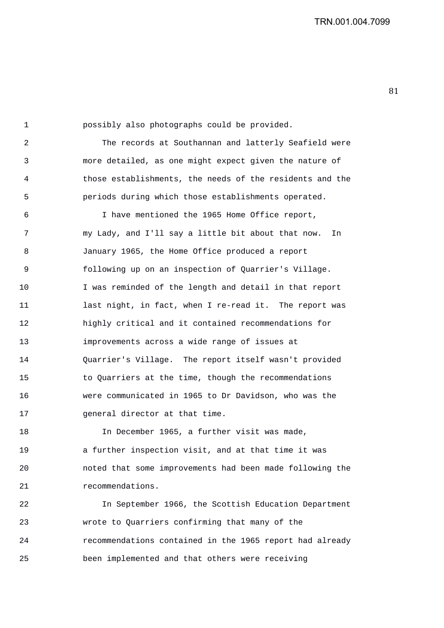1 possibly also photographs could be provided. 2 The records at Southannan and latterly Seafield were 3 more detailed, as one might expect given the nature of 4 those establishments, the needs of the residents and the 5 periods during which those establishments operated. 6 I have mentioned the 1965 Home Office report, 7 my Lady, and I'll say a little bit about that now. In 8 January 1965, the Home Office produced a report 9 following up on an inspection of Quarrier's Village. 10 I was reminded of the length and detail in that report 11 last night, in fact, when I re-read it. The report was 12 highly critical and it contained recommendations for 13 improvements across a wide range of issues at 14 Quarrier's Village. The report itself wasn't provided 15 to Quarriers at the time, though the recommendations 16 were communicated in 1965 to Dr Davidson, who was the 17 general director at that time.

18 In December 1965, a further visit was made, 19 a further inspection visit, and at that time it was 20 noted that some improvements had been made following the 21 recommendations.

22 In September 1966, the Scottish Education Department 23 wrote to Quarriers confirming that many of the 24 recommendations contained in the 1965 report had already 25 been implemented and that others were receiving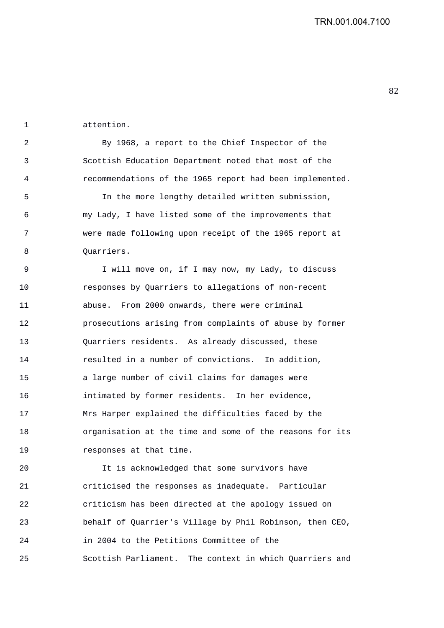1 attention.

2 By 1968, a report to the Chief Inspector of the 3 Scottish Education Department noted that most of the 4 recommendations of the 1965 report had been implemented.

5 In the more lengthy detailed written submission, 6 my Lady, I have listed some of the improvements that 7 were made following upon receipt of the 1965 report at 8 Ouarriers.

9 I will move on, if I may now, my Lady, to discuss 10 responses by Quarriers to allegations of non-recent 11 abuse. From 2000 onwards, there were criminal 12 prosecutions arising from complaints of abuse by former 13 Quarriers residents. As already discussed, these 14 resulted in a number of convictions. In addition, 15 a large number of civil claims for damages were 16 intimated by former residents. In her evidence, 17 Mrs Harper explained the difficulties faced by the 18 organisation at the time and some of the reasons for its 19 responses at that time.

20 It is acknowledged that some survivors have 21 criticised the responses as inadequate. Particular 22 criticism has been directed at the apology issued on 23 behalf of Quarrier's Village by Phil Robinson, then CEO, 24 in 2004 to the Petitions Committee of the 25 Scottish Parliament. The context in which Quarriers and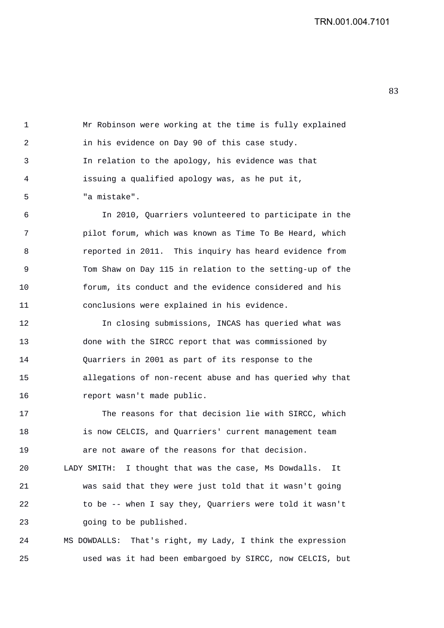1 Mr Robinson were working at the time is fully explained 2 in his evidence on Day 90 of this case study. 3 In relation to the apology, his evidence was that 4 issuing a qualified apology was, as he put it, 5 "a mistake".

6 In 2010, Quarriers volunteered to participate in the 7 pilot forum, which was known as Time To Be Heard, which 8 reported in 2011. This inquiry has heard evidence from 9 Tom Shaw on Day 115 in relation to the setting-up of the 10 forum, its conduct and the evidence considered and his 11 conclusions were explained in his evidence.

12 In closing submissions, INCAS has queried what was 13 done with the SIRCC report that was commissioned by 14 Quarriers in 2001 as part of its response to the 15 allegations of non-recent abuse and has queried why that 16 report wasn't made public.

17 The reasons for that decision lie with SIRCC, which 18 is now CELCIS, and Quarriers' current management team 19 are not aware of the reasons for that decision. 20 LADY SMITH: I thought that was the case, Ms Dowdalls. It

21 was said that they were just told that it wasn't going 22 to be -- when I say they, Quarriers were told it wasn't 23 going to be published.

24 MS DOWDALLS: That's right, my Lady, I think the expression 25 used was it had been embargoed by SIRCC, now CELCIS, but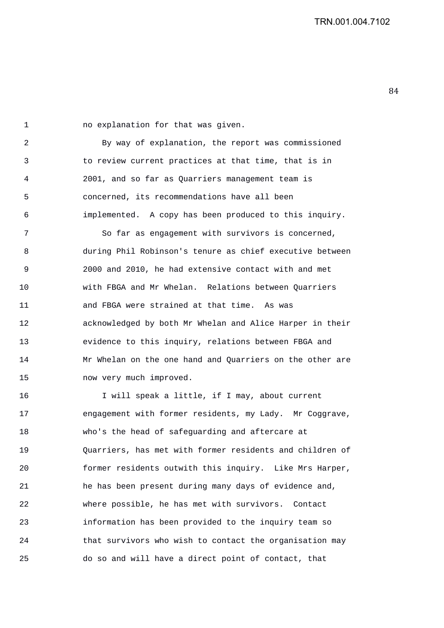1 no explanation for that was given. 2 By way of explanation, the report was commissioned 3 to review current practices at that time, that is in 4 2001, and so far as Quarriers management team is 5 concerned, its recommendations have all been 6 implemented. A copy has been produced to this inquiry. 7 So far as engagement with survivors is concerned, 8 during Phil Robinson's tenure as chief executive between 9 2000 and 2010, he had extensive contact with and met 10 with FBGA and Mr Whelan. Relations between Quarriers 11 and FBGA were strained at that time. As was 12 acknowledged by both Mr Whelan and Alice Harper in their 13 evidence to this inquiry, relations between FBGA and 14 Mr Whelan on the one hand and Quarriers on the other are 15 now very much improved.

16 I will speak a little, if I may, about current 17 engagement with former residents, my Lady. Mr Coggrave, 18 who's the head of safeguarding and aftercare at 19 Quarriers, has met with former residents and children of 20 former residents outwith this inquiry. Like Mrs Harper, 21 he has been present during many days of evidence and, 22 where possible, he has met with survivors. Contact 23 information has been provided to the inquiry team so 24 that survivors who wish to contact the organisation may 25 do so and will have a direct point of contact, that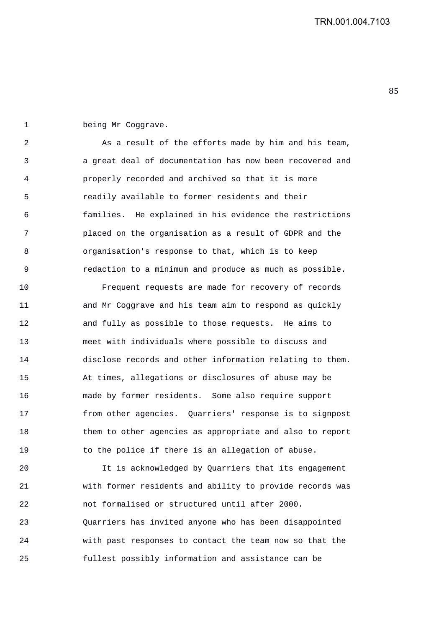1 being Mr Coggrave.

2 As a result of the efforts made by him and his team, 3 a great deal of documentation has now been recovered and 4 properly recorded and archived so that it is more 5 readily available to former residents and their 6 families. He explained in his evidence the restrictions 7 placed on the organisation as a result of GDPR and the 8 organisation's response to that, which is to keep 9 redaction to a minimum and produce as much as possible.

10 Frequent requests are made for recovery of records 11 and Mr Coggrave and his team aim to respond as quickly 12 and fully as possible to those requests. He aims to 13 meet with individuals where possible to discuss and 14 disclose records and other information relating to them. 15 At times, allegations or disclosures of abuse may be 16 made by former residents. Some also require support 17 from other agencies. Quarriers' response is to signpost 18 them to other agencies as appropriate and also to report 19 to the police if there is an allegation of abuse.

20 It is acknowledged by Quarriers that its engagement 21 with former residents and ability to provide records was 22 not formalised or structured until after 2000. 23 Quarriers has invited anyone who has been disappointed 24 with past responses to contact the team now so that the 25 fullest possibly information and assistance can be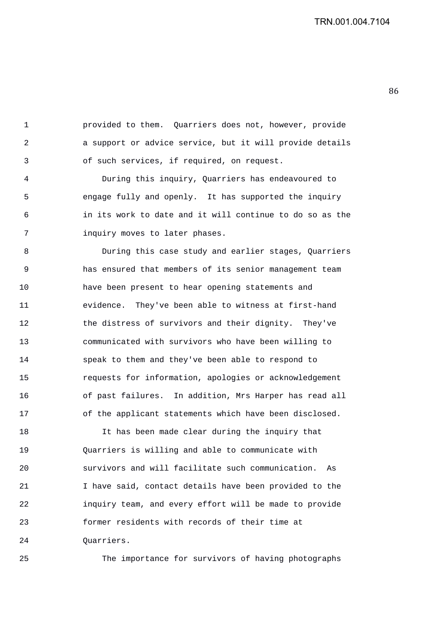1 provided to them. Quarriers does not, however, provide 2 a support or advice service, but it will provide details 3 of such services, if required, on request.

4 During this inquiry, Quarriers has endeavoured to 5 engage fully and openly. It has supported the inquiry 6 in its work to date and it will continue to do so as the 7 inquiry moves to later phases.

8 During this case study and earlier stages, Quarriers 9 has ensured that members of its senior management team 10 have been present to hear opening statements and 11 evidence. They've been able to witness at first-hand 12 the distress of survivors and their dignity. They've 13 communicated with survivors who have been willing to 14 speak to them and they've been able to respond to 15 requests for information, apologies or acknowledgement 16 of past failures. In addition, Mrs Harper has read all 17 of the applicant statements which have been disclosed.

18 It has been made clear during the inquiry that 19 Quarriers is willing and able to communicate with 20 survivors and will facilitate such communication. As 21 I have said, contact details have been provided to the 22 inquiry team, and every effort will be made to provide 23 former residents with records of their time at 24 Quarriers.

25 The importance for survivors of having photographs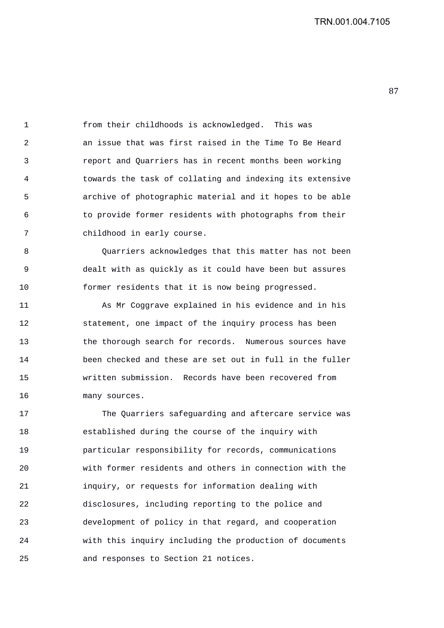1 from their childhoods is acknowledged. This was 2 an issue that was first raised in the Time To Be Heard 3 report and Quarriers has in recent months been working 4 towards the task of collating and indexing its extensive 5 archive of photographic material and it hopes to be able 6 to provide former residents with photographs from their 7 childhood in early course.

8 Quarriers acknowledges that this matter has not been 9 dealt with as quickly as it could have been but assures 10 former residents that it is now being progressed.

11 As Mr Coggrave explained in his evidence and in his 12 statement, one impact of the inquiry process has been 13 the thorough search for records. Numerous sources have 14 been checked and these are set out in full in the fuller 15 written submission. Records have been recovered from 16 many sources.

17 The Quarriers safeguarding and aftercare service was 18 established during the course of the inquiry with 19 particular responsibility for records, communications 20 with former residents and others in connection with the 21 inquiry, or requests for information dealing with 22 disclosures, including reporting to the police and 23 development of policy in that regard, and cooperation 24 with this inquiry including the production of documents 25 and responses to Section 21 notices.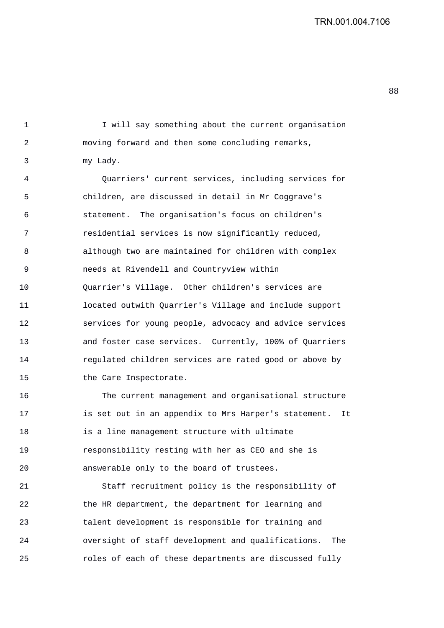1 I will say something about the current organisation

2 moving forward and then some concluding remarks, 3 my Lady.

4 Quarriers' current services, including services for 5 children, are discussed in detail in Mr Coggrave's 6 statement. The organisation's focus on children's 7 residential services is now significantly reduced, 8 although two are maintained for children with complex 9 needs at Rivendell and Countryview within 10 Quarrier's Village. Other children's services are 11 located outwith Quarrier's Village and include support 12 services for young people, advocacy and advice services 13 and foster case services. Currently, 100% of Quarriers 14 regulated children services are rated good or above by 15 the Care Inspectorate.

16 The current management and organisational structure 17 is set out in an appendix to Mrs Harper's statement. It 18 is a line management structure with ultimate 19 responsibility resting with her as CEO and she is 20 answerable only to the board of trustees.

21 Staff recruitment policy is the responsibility of 22 the HR department, the department for learning and 23 talent development is responsible for training and 24 oversight of staff development and qualifications. The 25 roles of each of these departments are discussed fully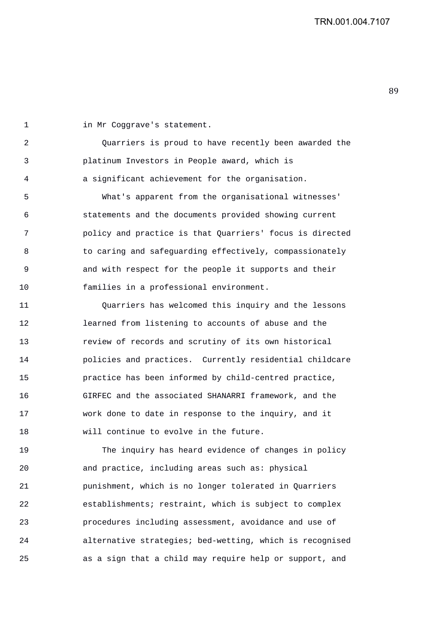1 in Mr Coggrave's statement. 2 Quarriers is proud to have recently been awarded the 3 platinum Investors in People award, which is 4 a significant achievement for the organisation. 5 What's apparent from the organisational witnesses' 6 statements and the documents provided showing current 7 policy and practice is that Quarriers' focus is directed 8 to caring and safeguarding effectively, compassionately 9 and with respect for the people it supports and their 10 families in a professional environment. 11 Quarriers has welcomed this inquiry and the lessons 12 learned from listening to accounts of abuse and the 13 review of records and scrutiny of its own historical 14 policies and practices. Currently residential childcare 15 practice has been informed by child-centred practice, 16 GIRFEC and the associated SHANARRI framework, and the 17 work done to date in response to the inquiry, and it 18 will continue to evolve in the future. 19 The inquiry has heard evidence of changes in policy 20 and practice, including areas such as: physical 21 punishment, which is no longer tolerated in Quarriers 22 establishments; restraint, which is subject to complex

23 procedures including assessment, avoidance and use of 24 alternative strategies; bed-wetting, which is recognised 25 as a sign that a child may require help or support, and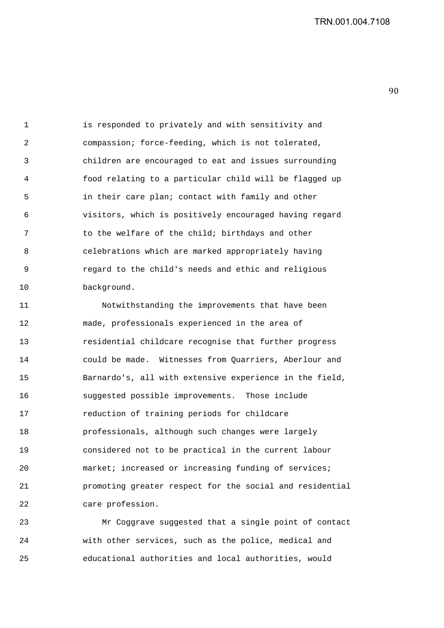1 is responded to privately and with sensitivity and 2 compassion; force-feeding, which is not tolerated, 3 children are encouraged to eat and issues surrounding 4 food relating to a particular child will be flagged up 5 in their care plan; contact with family and other 6 visitors, which is positively encouraged having regard 7 to the welfare of the child; birthdays and other 8 celebrations which are marked appropriately having 9 regard to the child's needs and ethic and religious 10 background.

11 Notwithstanding the improvements that have been 12 made, professionals experienced in the area of 13 residential childcare recognise that further progress 14 could be made. Witnesses from Quarriers, Aberlour and 15 Barnardo's, all with extensive experience in the field, 16 suggested possible improvements. Those include 17 reduction of training periods for childcare 18 professionals, although such changes were largely 19 considered not to be practical in the current labour 20 market; increased or increasing funding of services; 21 promoting greater respect for the social and residential 22 care profession.

23 Mr Coggrave suggested that a single point of contact 24 with other services, such as the police, medical and 25 educational authorities and local authorities, would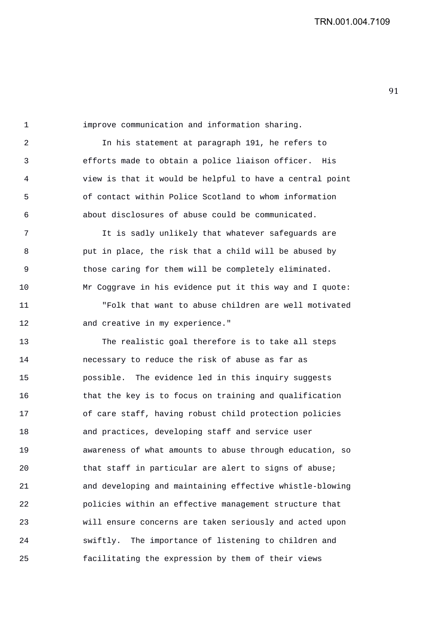1 improve communication and information sharing. 2 In his statement at paragraph 191, he refers to 3 efforts made to obtain a police liaison officer. His 4 view is that it would be helpful to have a central point 5 of contact within Police Scotland to whom information 6 about disclosures of abuse could be communicated. 7 It is sadly unlikely that whatever safeguards are 8 put in place, the risk that a child will be abused by 9 those caring for them will be completely eliminated. 10 Mr Coggrave in his evidence put it this way and I quote: 11 "Folk that want to abuse children are well motivated 12 and creative in my experience." 13 The realistic goal therefore is to take all steps 14 necessary to reduce the risk of abuse as far as 15 possible. The evidence led in this inquiry suggests 16 that the key is to focus on training and qualification 17 of care staff, having robust child protection policies 18 and practices, developing staff and service user 19 awareness of what amounts to abuse through education, so 20 that staff in particular are alert to signs of abuse; 21 and developing and maintaining effective whistle-blowing 22 policies within an effective management structure that 23 will ensure concerns are taken seriously and acted upon 24 swiftly. The importance of listening to children and 25 facilitating the expression by them of their views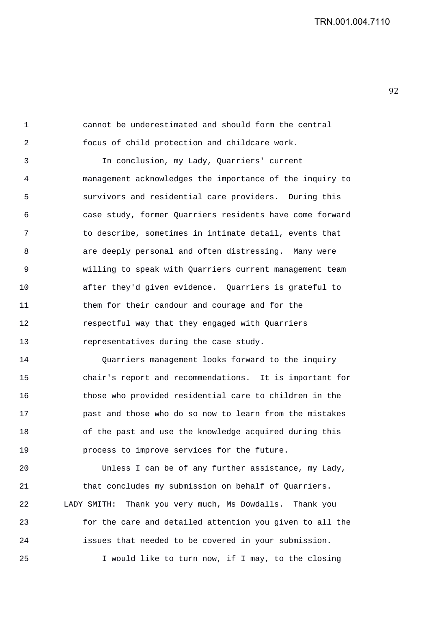1 cannot be underestimated and should form the central 2 focus of child protection and childcare work.

3 In conclusion, my Lady, Quarriers' current 4 management acknowledges the importance of the inquiry to 5 survivors and residential care providers. During this 6 case study, former Quarriers residents have come forward 7 to describe, sometimes in intimate detail, events that 8 are deeply personal and often distressing. Many were 9 willing to speak with Quarriers current management team 10 after they'd given evidence. Quarriers is grateful to 11 them for their candour and courage and for the 12 respectful way that they engaged with Quarriers 13 representatives during the case study.

14 Quarriers management looks forward to the inquiry 15 chair's report and recommendations. It is important for 16 those who provided residential care to children in the 17 past and those who do so now to learn from the mistakes 18 of the past and use the knowledge acquired during this 19 process to improve services for the future.

20 Unless I can be of any further assistance, my Lady, 21 that concludes my submission on behalf of Quarriers. 22 LADY SMITH: Thank you very much, Ms Dowdalls. Thank you 23 for the care and detailed attention you given to all the 24 issues that needed to be covered in your submission. 25 I would like to turn now, if I may, to the closing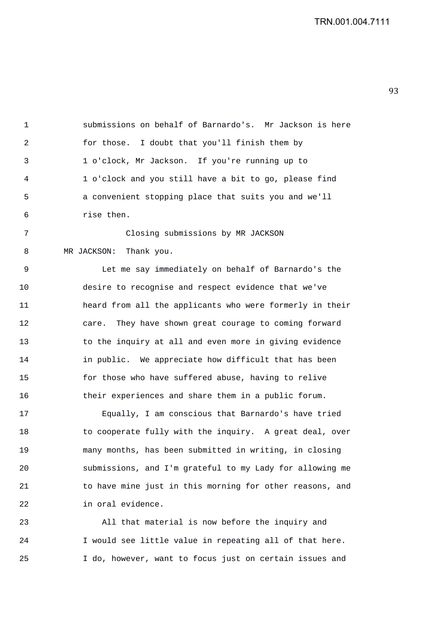1 submissions on behalf of Barnardo's. Mr Jackson is here 2 for those. I doubt that you'll finish them by 3 1 o'clock, Mr Jackson. If you're running up to 4 1 o'clock and you still have a bit to go, please find 5 a convenient stopping place that suits you and we'll 6 rise then. 7 Closing submissions by MR JACKSON

8 MR JACKSON: Thank you. 9 Let me say immediately on behalf of Barnardo's the 10 desire to recognise and respect evidence that we've 11 heard from all the applicants who were formerly in their 12 care. They have shown great courage to coming forward 13 to the inquiry at all and even more in giving evidence 14 in public. We appreciate how difficult that has been 15 for those who have suffered abuse, having to relive

16 their experiences and share them in a public forum.

17 Equally, I am conscious that Barnardo's have tried 18 to cooperate fully with the inquiry. A great deal, over 19 many months, has been submitted in writing, in closing 20 submissions, and I'm grateful to my Lady for allowing me 21 to have mine just in this morning for other reasons, and 22 in oral evidence.

23 All that material is now before the inquiry and 24 I would see little value in repeating all of that here. 25 I do, however, want to focus just on certain issues and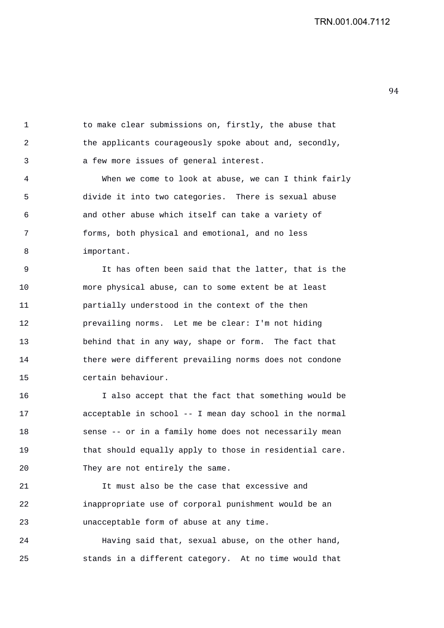1 to make clear submissions on, firstly, the abuse that 2 the applicants courageously spoke about and, secondly, 3 a few more issues of general interest.

4 When we come to look at abuse, we can I think fairly 5 divide it into two categories. There is sexual abuse 6 and other abuse which itself can take a variety of 7 forms, both physical and emotional, and no less 8 important.

9 It has often been said that the latter, that is the 10 more physical abuse, can to some extent be at least 11 partially understood in the context of the then 12 prevailing norms. Let me be clear: I'm not hiding 13 behind that in any way, shape or form. The fact that 14 there were different prevailing norms does not condone 15 certain behaviour.

16 I also accept that the fact that something would be 17 acceptable in school -- I mean day school in the normal 18 sense -- or in a family home does not necessarily mean 19 that should equally apply to those in residential care. 20 They are not entirely the same.

21 It must also be the case that excessive and 22 inappropriate use of corporal punishment would be an 23 unacceptable form of abuse at any time.

24 Having said that, sexual abuse, on the other hand, 25 stands in a different category. At no time would that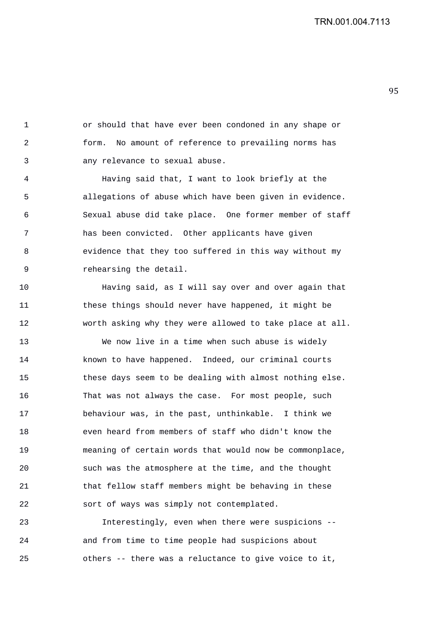1 or should that have ever been condoned in any shape or 2 form. No amount of reference to prevailing norms has 3 any relevance to sexual abuse.

4 Having said that, I want to look briefly at the 5 allegations of abuse which have been given in evidence. 6 Sexual abuse did take place. One former member of staff 7 has been convicted. Other applicants have given 8 evidence that they too suffered in this way without my 9 rehearsing the detail.

10 Having said, as I will say over and over again that 11 these things should never have happened, it might be 12 worth asking why they were allowed to take place at all.

13 We now live in a time when such abuse is widely 14 known to have happened. Indeed, our criminal courts 15 these days seem to be dealing with almost nothing else. 16 That was not always the case. For most people, such 17 behaviour was, in the past, unthinkable. I think we 18 even heard from members of staff who didn't know the 19 meaning of certain words that would now be commonplace, 20 such was the atmosphere at the time, and the thought 21 that fellow staff members might be behaving in these 22 sort of ways was simply not contemplated.

23 Interestingly, even when there were suspicions -- 24 and from time to time people had suspicions about 25 others -- there was a reluctance to give voice to it,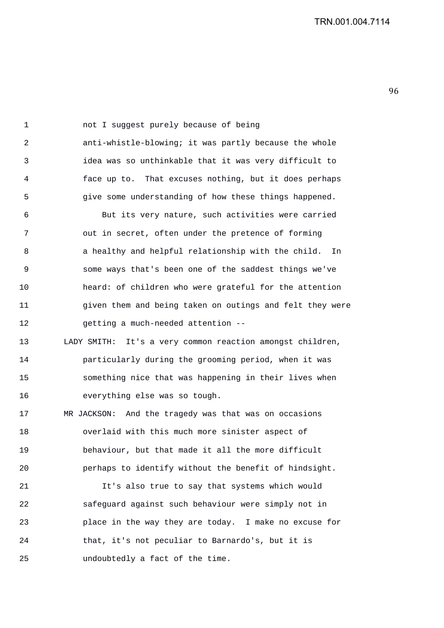1 not I suggest purely because of being 2 anti-whistle-blowing; it was partly because the whole 3 idea was so unthinkable that it was very difficult to 4 face up to. That excuses nothing, but it does perhaps 5 give some understanding of how these things happened.

6 But its very nature, such activities were carried 7 out in secret, often under the pretence of forming 8 a healthy and helpful relationship with the child. In 9 some ways that's been one of the saddest things we've 10 heard: of children who were grateful for the attention 11 given them and being taken on outings and felt they were 12 getting a much-needed attention --

13 LADY SMITH: It's a very common reaction amongst children, 14 particularly during the grooming period, when it was 15 something nice that was happening in their lives when 16 everything else was so tough.

17 MR JACKSON: And the tragedy was that was on occasions 18 overlaid with this much more sinister aspect of 19 behaviour, but that made it all the more difficult 20 perhaps to identify without the benefit of hindsight.

21 It's also true to say that systems which would 22 safeguard against such behaviour were simply not in 23 place in the way they are today. I make no excuse for 24 that, it's not peculiar to Barnardo's, but it is 25 undoubtedly a fact of the time.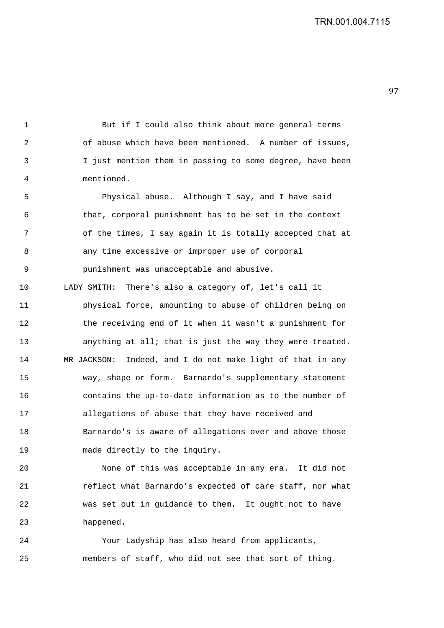1 But if I could also think about more general terms 2 of abuse which have been mentioned. A number of issues, 3 I just mention them in passing to some degree, have been 4 mentioned. 5 Physical abuse. Although I say, and I have said 6 that, corporal punishment has to be set in the context 7 of the times, I say again it is totally accepted that at 8 any time excessive or improper use of corporal 9 punishment was unacceptable and abusive. 10 LADY SMITH: There's also a category of, let's call it 11 physical force, amounting to abuse of children being on 12 the receiving end of it when it wasn't a punishment for 13 anything at all; that is just the way they were treated. 14 MR JACKSON: Indeed, and I do not make light of that in any 15 way, shape or form. Barnardo's supplementary statement 16 contains the up-to-date information as to the number of 17 allegations of abuse that they have received and 18 Barnardo's is aware of allegations over and above those 19 made directly to the inquiry.

20 None of this was acceptable in any era. It did not 21 reflect what Barnardo's expected of care staff, nor what 22 was set out in guidance to them. It ought not to have 23 happened.

24 Your Ladyship has also heard from applicants, 25 members of staff, who did not see that sort of thing.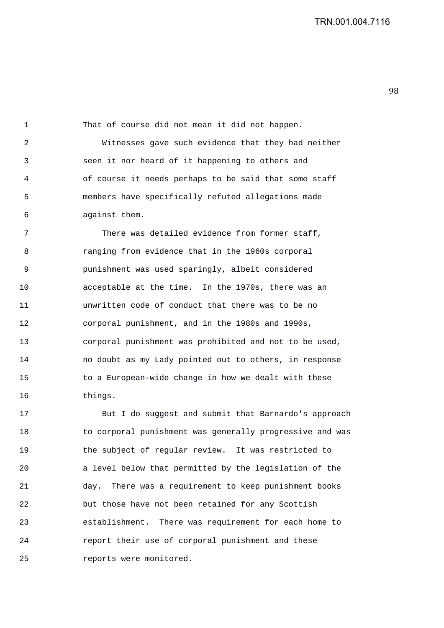1 That of course did not mean it did not happen. 2 Witnesses gave such evidence that they had neither 3 seen it nor heard of it happening to others and 4 of course it needs perhaps to be said that some staff 5 members have specifically refuted allegations made 6 against them. 7 There was detailed evidence from former staff, 8 ranging from evidence that in the 1960s corporal 9 punishment was used sparingly, albeit considered 10 acceptable at the time. In the 1970s, there was an 11 unwritten code of conduct that there was to be no 12 corporal punishment, and in the 1980s and 1990s, 13 corporal punishment was prohibited and not to be used, 14 no doubt as my Lady pointed out to others, in response 15 to a European-wide change in how we dealt with these

16 things. 17 But I do suggest and submit that Barnardo's approach 18 to corporal punishment was generally progressive and was 19 the subject of regular review. It was restricted to 20 a level below that permitted by the legislation of the 21 day. There was a requirement to keep punishment books 22 but those have not been retained for any Scottish 23 establishment. There was requirement for each home to 24 report their use of corporal punishment and these

25 reports were monitored.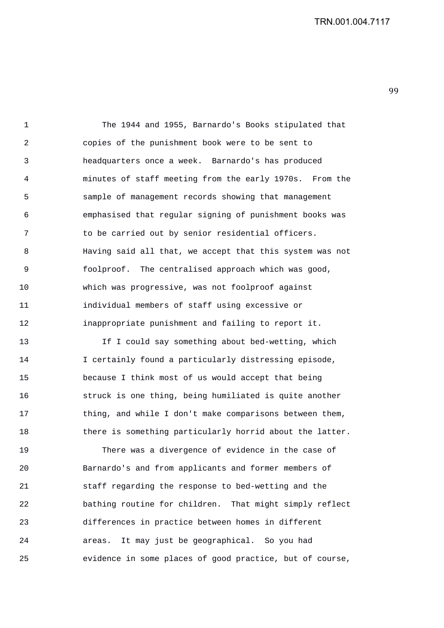99 

1 The 1944 and 1955, Barnardo's Books stipulated that 2 copies of the punishment book were to be sent to 3 headquarters once a week. Barnardo's has produced 4 minutes of staff meeting from the early 1970s. From the 5 sample of management records showing that management 6 emphasised that regular signing of punishment books was 7 to be carried out by senior residential officers. 8 Having said all that, we accept that this system was not 9 foolproof. The centralised approach which was good, 10 which was progressive, was not foolproof against 11 individual members of staff using excessive or 12 inappropriate punishment and failing to report it.

13 If I could say something about bed-wetting, which 14 I certainly found a particularly distressing episode, 15 because I think most of us would accept that being 16 struck is one thing, being humiliated is quite another 17 thing, and while I don't make comparisons between them, 18 there is something particularly horrid about the latter.

19 There was a divergence of evidence in the case of 20 Barnardo's and from applicants and former members of 21 staff regarding the response to bed-wetting and the 22 bathing routine for children. That might simply reflect 23 differences in practice between homes in different 24 areas. It may just be geographical. So you had 25 evidence in some places of good practice, but of course,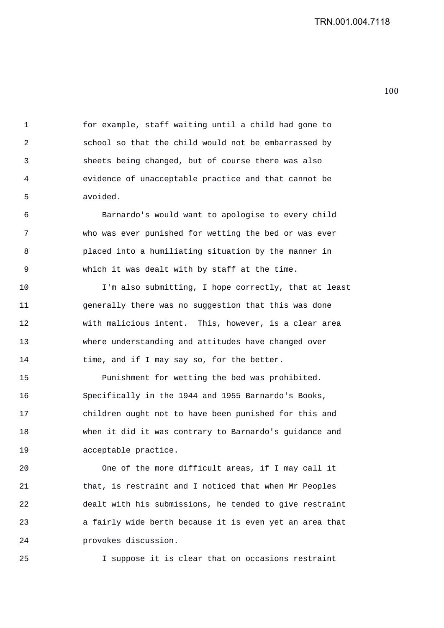100 

1 for example, staff waiting until a child had gone to 2 school so that the child would not be embarrassed by 3 sheets being changed, but of course there was also 4 evidence of unacceptable practice and that cannot be 5 avoided.

6 Barnardo's would want to apologise to every child 7 who was ever punished for wetting the bed or was ever 8 placed into a humiliating situation by the manner in 9 which it was dealt with by staff at the time.

10 I'm also submitting, I hope correctly, that at least 11 generally there was no suggestion that this was done 12 with malicious intent. This, however, is a clear area 13 where understanding and attitudes have changed over 14 time, and if I may say so, for the better.

15 Punishment for wetting the bed was prohibited. 16 Specifically in the 1944 and 1955 Barnardo's Books, 17 children ought not to have been punished for this and 18 when it did it was contrary to Barnardo's guidance and 19 acceptable practice.

20 One of the more difficult areas, if I may call it 21 that, is restraint and I noticed that when Mr Peoples 22 dealt with his submissions, he tended to give restraint 23 a fairly wide berth because it is even yet an area that 24 provokes discussion.

25 I suppose it is clear that on occasions restraint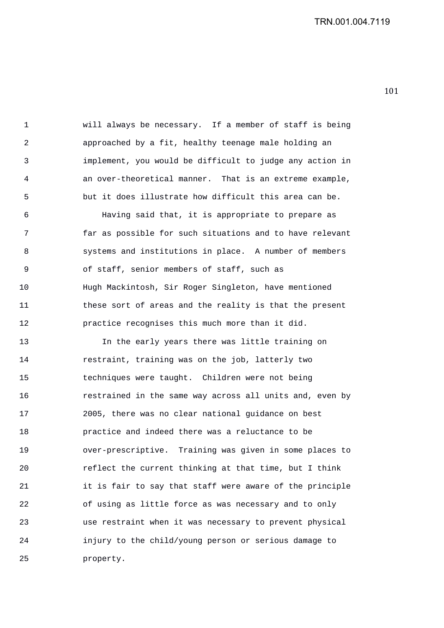1 will always be necessary. If a member of staff is being 2 approached by a fit, healthy teenage male holding an 3 implement, you would be difficult to judge any action in 4 an over-theoretical manner. That is an extreme example, 5 but it does illustrate how difficult this area can be.

6 Having said that, it is appropriate to prepare as 7 far as possible for such situations and to have relevant 8 systems and institutions in place. A number of members 9 of staff, senior members of staff, such as 10 Hugh Mackintosh, Sir Roger Singleton, have mentioned 11 these sort of areas and the reality is that the present 12 practice recognises this much more than it did.

13 In the early years there was little training on 14 restraint, training was on the job, latterly two 15 techniques were taught. Children were not being 16 restrained in the same way across all units and, even by 17 2005, there was no clear national guidance on best 18 practice and indeed there was a reluctance to be 19 over-prescriptive. Training was given in some places to 20 reflect the current thinking at that time, but I think 21 it is fair to say that staff were aware of the principle 22 of using as little force as was necessary and to only 23 use restraint when it was necessary to prevent physical 24 injury to the child/young person or serious damage to 25 property.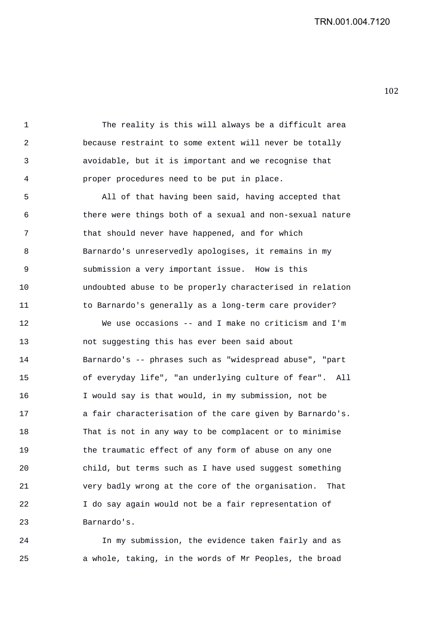1 The reality is this will always be a difficult area 2 because restraint to some extent will never be totally 3 avoidable, but it is important and we recognise that 4 proper procedures need to be put in place.

5 All of that having been said, having accepted that 6 there were things both of a sexual and non-sexual nature 7 that should never have happened, and for which 8 Barnardo's unreservedly apologises, it remains in my 9 submission a very important issue. How is this 10 undoubted abuse to be properly characterised in relation 11 to Barnardo's generally as a long-term care provider?

12 We use occasions -- and I make no criticism and I'm 13 not suggesting this has ever been said about 14 Barnardo's -- phrases such as "widespread abuse", "part 15 of everyday life", "an underlying culture of fear". All 16 I would say is that would, in my submission, not be 17 a fair characterisation of the care given by Barnardo's. 18 That is not in any way to be complacent or to minimise 19 the traumatic effect of any form of abuse on any one 20 child, but terms such as I have used suggest something 21 very badly wrong at the core of the organisation. That 22 I do say again would not be a fair representation of 23 Barnardo's.

24 In my submission, the evidence taken fairly and as 25 a whole, taking, in the words of Mr Peoples, the broad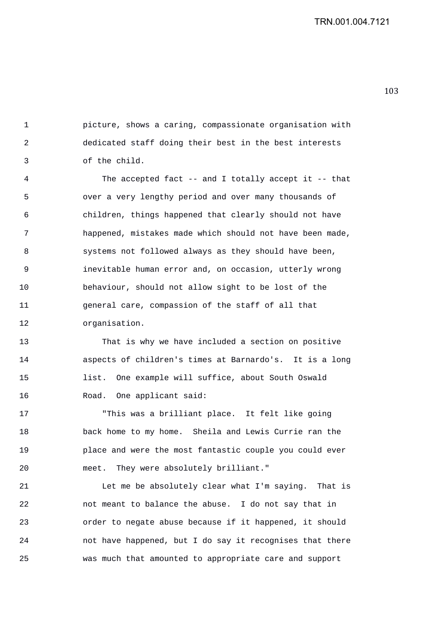103 

1 picture, shows a caring, compassionate organisation with 2 dedicated staff doing their best in the best interests 3 of the child.

4 The accepted fact -- and I totally accept it -- that 5 over a very lengthy period and over many thousands of 6 children, things happened that clearly should not have 7 happened, mistakes made which should not have been made, 8 systems not followed always as they should have been, 9 inevitable human error and, on occasion, utterly wrong 10 behaviour, should not allow sight to be lost of the 11 general care, compassion of the staff of all that 12 organisation.

13 That is why we have included a section on positive 14 aspects of children's times at Barnardo's. It is a long 15 list. One example will suffice, about South Oswald 16 Road. One applicant said:

17 "This was a brilliant place. It felt like going 18 back home to my home. Sheila and Lewis Currie ran the 19 place and were the most fantastic couple you could ever 20 meet. They were absolutely brilliant."

21 Let me be absolutely clear what I'm saying. That is 22 not meant to balance the abuse. I do not say that in 23 order to negate abuse because if it happened, it should 24 not have happened, but I do say it recognises that there 25 was much that amounted to appropriate care and support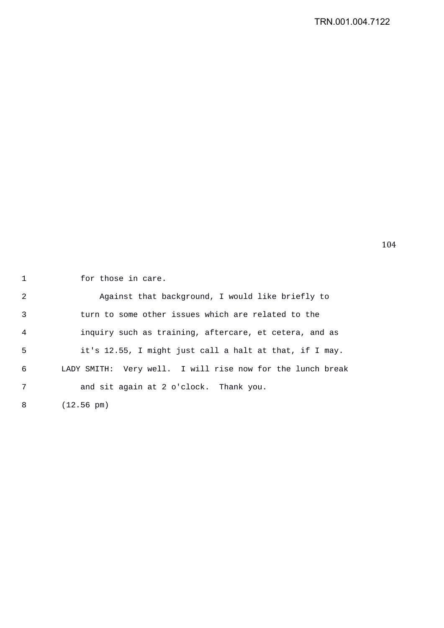1 for those in care.

2 Against that background, I would like briefly to 3 turn to some other issues which are related to the 4 inquiry such as training, aftercare, et cetera, and as 5 it's 12.55, I might just call a halt at that, if I may. 6 LADY SMITH: Very well. I will rise now for the lunch break 7 and sit again at 2 o'clock. Thank you. 8 (12.56 pm)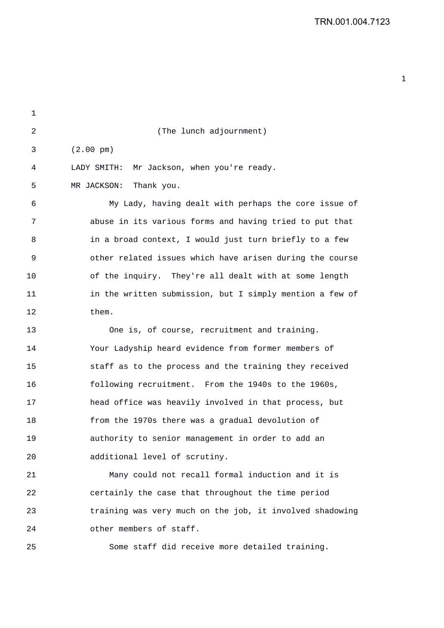| 1  |                                                          |
|----|----------------------------------------------------------|
| 2  | (The lunch adjournment)                                  |
| 3  | $(2.00 \text{ pm})$                                      |
| 4  | LADY SMITH:<br>Mr Jackson, when you're ready.            |
| 5  | MR JACKSON:<br>Thank you.                                |
| 6  | My Lady, having dealt with perhaps the core issue of     |
| 7  | abuse in its various forms and having tried to put that  |
| 8  | in a broad context, I would just turn briefly to a few   |
| 9  | other related issues which have arisen during the course |
| 10 | of the inquiry. They're all dealt with at some length    |
| 11 | in the written submission, but I simply mention a few of |
| 12 | them.                                                    |
| 13 | One is, of course, recruitment and training.             |
| 14 | Your Ladyship heard evidence from former members of      |
| 15 | staff as to the process and the training they received   |
| 16 | following recruitment. From the 1940s to the 1960s,      |
| 17 | head office was heavily involved in that process, but    |
| 18 | from the 1970s there was a gradual devolution of         |
| 19 | authority to senior management in order to add an        |
| 20 | additional level of scrutiny.                            |
| 21 | Many could not recall formal induction and it is         |
| 22 | certainly the case that throughout the time period       |
| 23 | training was very much on the job, it involved shadowing |
| 24 | other members of staff.                                  |
| 25 | Some staff did receive more detailed training.           |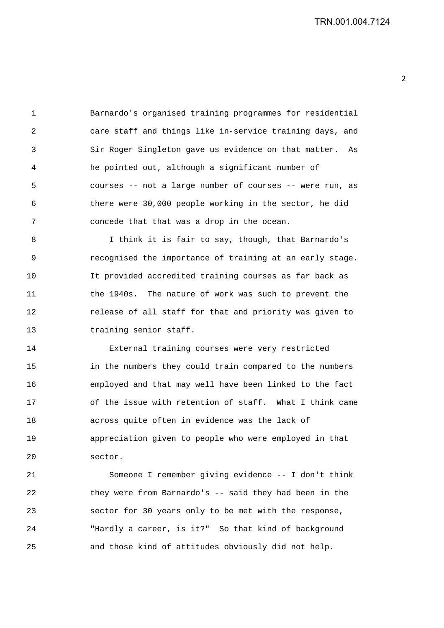1 Barnardo's organised training programmes for residential 2 care staff and things like in-service training days, and 3 Sir Roger Singleton gave us evidence on that matter. As 4 he pointed out, although a significant number of 5 courses -- not a large number of courses -- were run, as 6 there were 30,000 people working in the sector, he did 7 concede that that was a drop in the ocean.

8 I think it is fair to say, though, that Barnardo's 9 recognised the importance of training at an early stage. 10 It provided accredited training courses as far back as 11 the 1940s. The nature of work was such to prevent the 12 release of all staff for that and priority was given to 13 training senior staff.

14 External training courses were very restricted 15 in the numbers they could train compared to the numbers 16 employed and that may well have been linked to the fact 17 of the issue with retention of staff. What I think came 18 across quite often in evidence was the lack of 19 appreciation given to people who were employed in that 20 sector.

21 Someone I remember giving evidence -- I don't think 22 they were from Barnardo's -- said they had been in the 23 sector for 30 years only to be met with the response, 24 "Hardly a career, is it?" So that kind of background 25 and those kind of attitudes obviously did not help.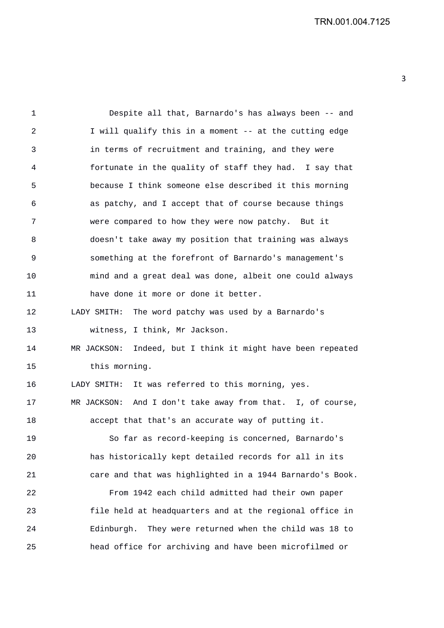1 Despite all that, Barnardo's has always been -- and 2 I will qualify this in a moment -- at the cutting edge 3 in terms of recruitment and training, and they were 4 fortunate in the quality of staff they had. I say that 5 because I think someone else described it this morning 6 as patchy, and I accept that of course because things 7 were compared to how they were now patchy. But it 8 doesn't take away my position that training was always 9 something at the forefront of Barnardo's management's 10 mind and a great deal was done, albeit one could always 11 have done it more or done it better. 12 LADY SMITH: The word patchy was used by a Barnardo's 13 witness, I think, Mr Jackson. 14 MR JACKSON: Indeed, but I think it might have been repeated 15 this morning. 16 LADY SMITH: It was referred to this morning, yes. 17 MR JACKSON: And I don't take away from that. I, of course, 18 accept that that's an accurate way of putting it. 19 So far as record-keeping is concerned, Barnardo's 20 has historically kept detailed records for all in its 21 care and that was highlighted in a 1944 Barnardo's Book. 22 From 1942 each child admitted had their own paper 23 file held at headquarters and at the regional office in 24 Edinburgh. They were returned when the child was 18 to 25 head office for archiving and have been microfilmed or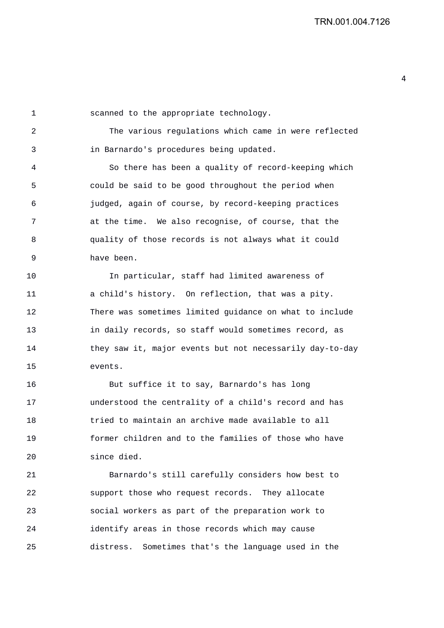1 scanned to the appropriate technology.

2 The various regulations which came in were reflected 3 in Barnardo's procedures being updated.

4 So there has been a quality of record-keeping which 5 could be said to be good throughout the period when 6 judged, again of course, by record-keeping practices 7 at the time. We also recognise, of course, that the 8 quality of those records is not always what it could 9 have been.

10 In particular, staff had limited awareness of 11 a child's history. On reflection, that was a pity. 12 There was sometimes limited guidance on what to include 13 in daily records, so staff would sometimes record, as 14 they saw it, major events but not necessarily day-to-day 15 events.

16 But suffice it to say, Barnardo's has long 17 understood the centrality of a child's record and has 18 tried to maintain an archive made available to all 19 former children and to the families of those who have 20 since died.

21 Barnardo's still carefully considers how best to 22 support those who request records. They allocate 23 social workers as part of the preparation work to 24 identify areas in those records which may cause 25 distress. Sometimes that's the language used in the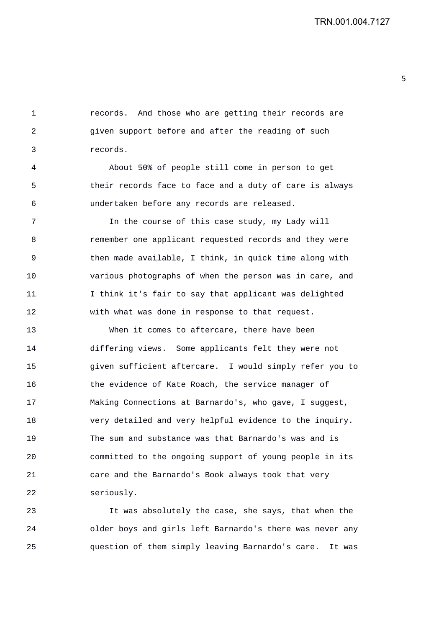1 records. And those who are getting their records are 2 given support before and after the reading of such 3 records.

4 About 50% of people still come in person to get 5 their records face to face and a duty of care is always 6 undertaken before any records are released.

7 In the course of this case study, my Lady will 8 remember one applicant requested records and they were 9 then made available, I think, in quick time along with 10 various photographs of when the person was in care, and 11 I think it's fair to say that applicant was delighted 12 with what was done in response to that request.

13 When it comes to aftercare, there have been 14 differing views. Some applicants felt they were not 15 given sufficient aftercare. I would simply refer you to 16 the evidence of Kate Roach, the service manager of 17 Making Connections at Barnardo's, who gave, I suggest, 18 very detailed and very helpful evidence to the inquiry. 19 The sum and substance was that Barnardo's was and is 20 committed to the ongoing support of young people in its 21 care and the Barnardo's Book always took that very 22 seriously.

23 It was absolutely the case, she says, that when the 24 older boys and girls left Barnardo's there was never any 25 question of them simply leaving Barnardo's care. It was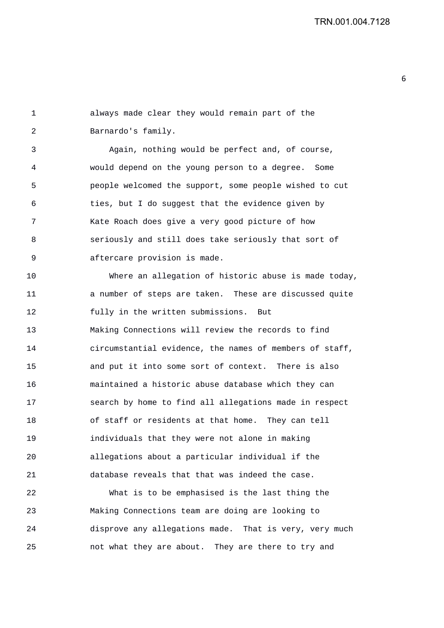6

1 always made clear they would remain part of the 2 Barnardo's family. 3 Again, nothing would be perfect and, of course, 4 would depend on the young person to a degree. Some 5 people welcomed the support, some people wished to cut 6 ties, but I do suggest that the evidence given by 7 Kate Roach does give a very good picture of how 8 seriously and still does take seriously that sort of 9 aftercare provision is made. 10 Where an allegation of historic abuse is made today, 11 a number of steps are taken. These are discussed quite 12 fully in the written submissions. But 13 Making Connections will review the records to find 14 circumstantial evidence, the names of members of staff, 15 and put it into some sort of context. There is also 16 maintained a historic abuse database which they can 17 search by home to find all allegations made in respect 18 of staff or residents at that home. They can tell 19 individuals that they were not alone in making 20 allegations about a particular individual if the 21 database reveals that that was indeed the case.

22 What is to be emphasised is the last thing the 23 Making Connections team are doing are looking to 24 disprove any allegations made. That is very, very much 25 not what they are about. They are there to try and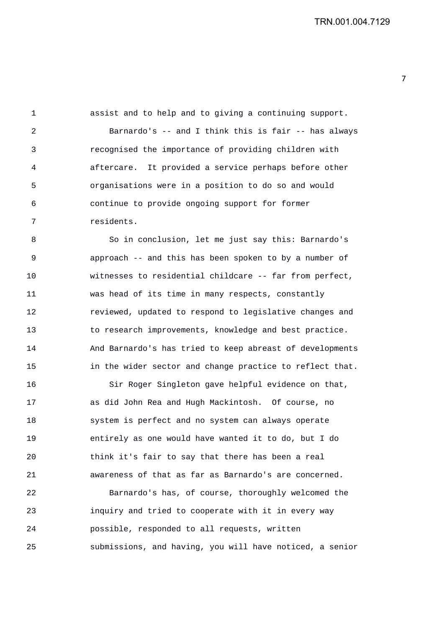1 assist and to help and to giving a continuing support. 2 Barnardo's -- and I think this is fair -- has always 3 recognised the importance of providing children with 4 aftercare. It provided a service perhaps before other 5 organisations were in a position to do so and would 6 continue to provide ongoing support for former 7 residents.

8 So in conclusion, let me just say this: Barnardo's 9 approach -- and this has been spoken to by a number of 10 witnesses to residential childcare -- far from perfect, 11 was head of its time in many respects, constantly 12 reviewed, updated to respond to legislative changes and 13 to research improvements, knowledge and best practice. 14 And Barnardo's has tried to keep abreast of developments 15 in the wider sector and change practice to reflect that.

16 Sir Roger Singleton gave helpful evidence on that, 17 as did John Rea and Hugh Mackintosh. Of course, no 18 system is perfect and no system can always operate 19 entirely as one would have wanted it to do, but I do 20 think it's fair to say that there has been a real 21 awareness of that as far as Barnardo's are concerned.

22 Barnardo's has, of course, thoroughly welcomed the 23 inquiry and tried to cooperate with it in every way 24 possible, responded to all requests, written 25 submissions, and having, you will have noticed, a senior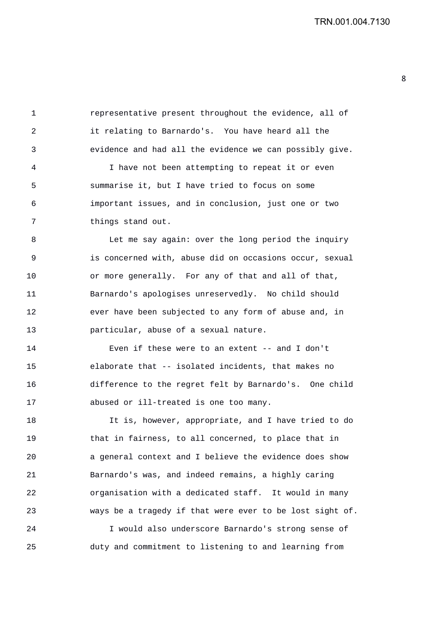1 representative present throughout the evidence, all of 2 it relating to Barnardo's. You have heard all the 3 evidence and had all the evidence we can possibly give. 4 I have not been attempting to repeat it or even 5 summarise it, but I have tried to focus on some 6 important issues, and in conclusion, just one or two 7 things stand out. 8 Let me say again: over the long period the inquiry 9 is concerned with, abuse did on occasions occur, sexual 10 or more generally. For any of that and all of that, 11 Barnardo's apologises unreservedly. No child should 12 ever have been subjected to any form of abuse and, in 13 particular, abuse of a sexual nature. 14 Even if these were to an extent -- and I don't 15 elaborate that -- isolated incidents, that makes no 16 difference to the regret felt by Barnardo's. One child 17 abused or ill-treated is one too many.

18 It is, however, appropriate, and I have tried to do 19 that in fairness, to all concerned, to place that in 20 a general context and I believe the evidence does show 21 Barnardo's was, and indeed remains, a highly caring 22 organisation with a dedicated staff. It would in many 23 ways be a tragedy if that were ever to be lost sight of.

24 I would also underscore Barnardo's strong sense of 25 duty and commitment to listening to and learning from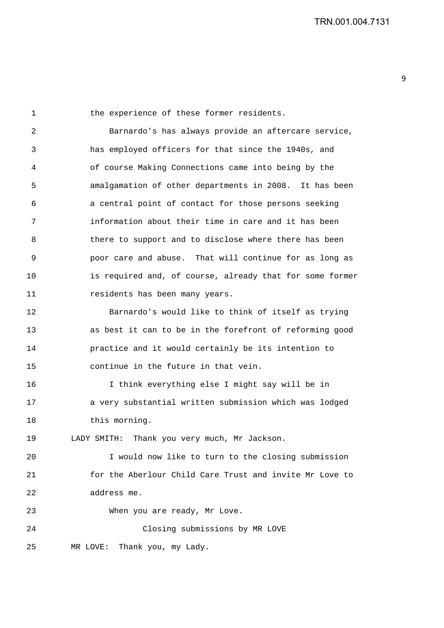1 the experience of these former residents. 2 Barnardo's has always provide an aftercare service, 3 has employed officers for that since the 1940s, and 4 of course Making Connections came into being by the 5 amalgamation of other departments in 2008. It has been 6 a central point of contact for those persons seeking 7 information about their time in care and it has been 8 there to support and to disclose where there has been 9 poor care and abuse. That will continue for as long as 10 is required and, of course, already that for some former 11 residents has been many years. 12 Barnardo's would like to think of itself as trying 13 as best it can to be in the forefront of reforming good 14 practice and it would certainly be its intention to

16 I think everything else I might say will be in 17 a very substantial written submission which was lodged 18 this morning.

19 LADY SMITH: Thank you very much, Mr Jackson.

15 continue in the future in that vein.

20 I would now like to turn to the closing submission 21 for the Aberlour Child Care Trust and invite Mr Love to 22 address me.

23 When you are ready, Mr Love.

24 Closing submissions by MR LOVE

25 MR LOVE: Thank you, my Lady.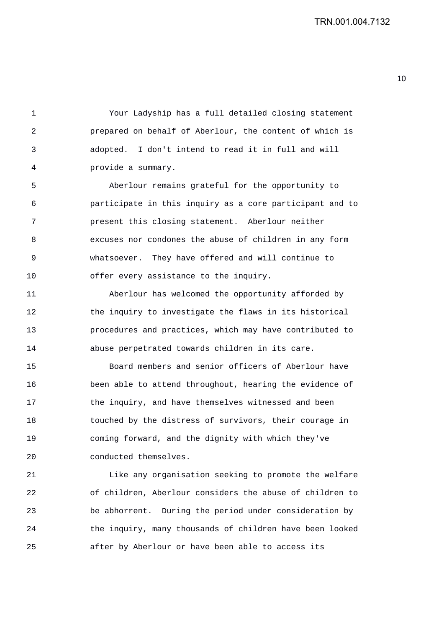1 Your Ladyship has a full detailed closing statement 2 prepared on behalf of Aberlour, the content of which is 3 adopted. I don't intend to read it in full and will 4 provide a summary.

5 Aberlour remains grateful for the opportunity to 6 participate in this inquiry as a core participant and to 7 present this closing statement. Aberlour neither 8 excuses nor condones the abuse of children in any form 9 whatsoever. They have offered and will continue to 10 offer every assistance to the inquiry.

11 Aberlour has welcomed the opportunity afforded by 12 the inquiry to investigate the flaws in its historical 13 procedures and practices, which may have contributed to 14 abuse perpetrated towards children in its care.

15 Board members and senior officers of Aberlour have 16 been able to attend throughout, hearing the evidence of 17 the inquiry, and have themselves witnessed and been 18 touched by the distress of survivors, their courage in 19 coming forward, and the dignity with which they've 20 conducted themselves.

21 Like any organisation seeking to promote the welfare 22 of children, Aberlour considers the abuse of children to 23 be abhorrent. During the period under consideration by 24 the inquiry, many thousands of children have been looked 25 after by Aberlour or have been able to access its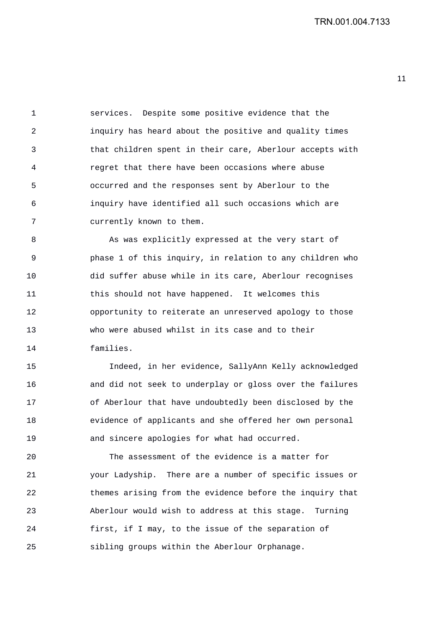1 services. Despite some positive evidence that the 2 inquiry has heard about the positive and quality times 3 that children spent in their care, Aberlour accepts with 4 regret that there have been occasions where abuse 5 occurred and the responses sent by Aberlour to the 6 inquiry have identified all such occasions which are 7 currently known to them.

8 As was explicitly expressed at the very start of 9 phase 1 of this inquiry, in relation to any children who 10 did suffer abuse while in its care, Aberlour recognises 11 this should not have happened. It welcomes this 12 opportunity to reiterate an unreserved apology to those 13 who were abused whilst in its case and to their 14 families.

15 Indeed, in her evidence, SallyAnn Kelly acknowledged 16 and did not seek to underplay or gloss over the failures 17 of Aberlour that have undoubtedly been disclosed by the 18 evidence of applicants and she offered her own personal 19 and sincere apologies for what had occurred.

20 The assessment of the evidence is a matter for 21 your Ladyship. There are a number of specific issues or 22 themes arising from the evidence before the inquiry that 23 Aberlour would wish to address at this stage. Turning 24 first, if I may, to the issue of the separation of 25 sibling groups within the Aberlour Orphanage.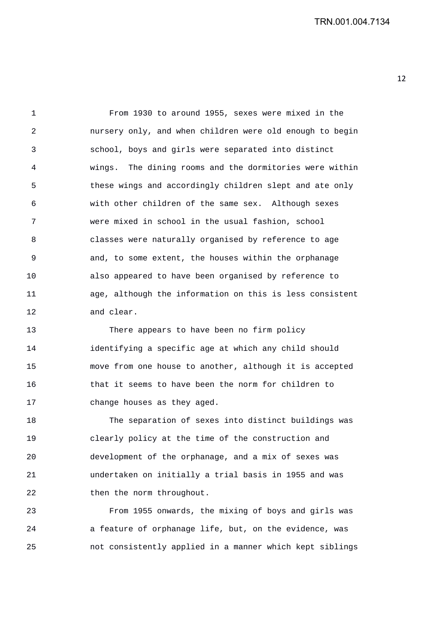1 From 1930 to around 1955, sexes were mixed in the 2 nursery only, and when children were old enough to begin 3 school, boys and girls were separated into distinct 4 wings. The dining rooms and the dormitories were within 5 these wings and accordingly children slept and ate only 6 with other children of the same sex. Although sexes 7 were mixed in school in the usual fashion, school 8 classes were naturally organised by reference to age 9 and, to some extent, the houses within the orphanage 10 also appeared to have been organised by reference to 11 age, although the information on this is less consistent 12 and clear.

13 There appears to have been no firm policy 14 identifying a specific age at which any child should 15 move from one house to another, although it is accepted 16 that it seems to have been the norm for children to 17 change houses as they aged.

18 The separation of sexes into distinct buildings was 19 clearly policy at the time of the construction and 20 development of the orphanage, and a mix of sexes was 21 undertaken on initially a trial basis in 1955 and was 22 then the norm throughout.

23 From 1955 onwards, the mixing of boys and girls was 24 a feature of orphanage life, but, on the evidence, was 25 not consistently applied in a manner which kept siblings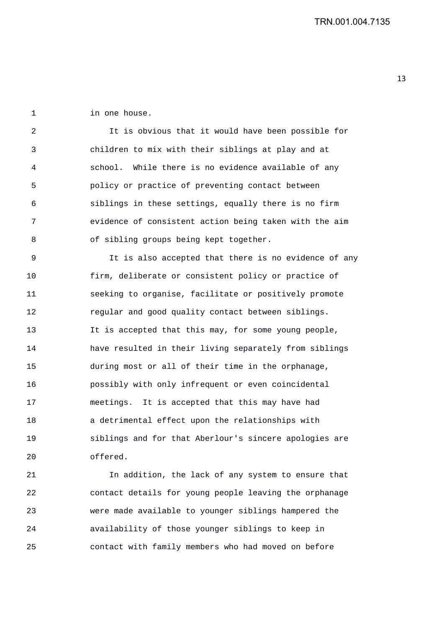1 in one house.

2 It is obvious that it would have been possible for 3 children to mix with their siblings at play and at 4 school. While there is no evidence available of any 5 policy or practice of preventing contact between 6 siblings in these settings, equally there is no firm 7 evidence of consistent action being taken with the aim 8 of sibling groups being kept together.

9 It is also accepted that there is no evidence of any 10 firm, deliberate or consistent policy or practice of 11 seeking to organise, facilitate or positively promote 12 regular and good quality contact between siblings. 13 It is accepted that this may, for some young people, 14 have resulted in their living separately from siblings 15 during most or all of their time in the orphanage, 16 possibly with only infrequent or even coincidental 17 meetings. It is accepted that this may have had 18 a detrimental effect upon the relationships with 19 siblings and for that Aberlour's sincere apologies are 20 offered.

21 In addition, the lack of any system to ensure that 22 contact details for young people leaving the orphanage 23 were made available to younger siblings hampered the 24 availability of those younger siblings to keep in 25 contact with family members who had moved on before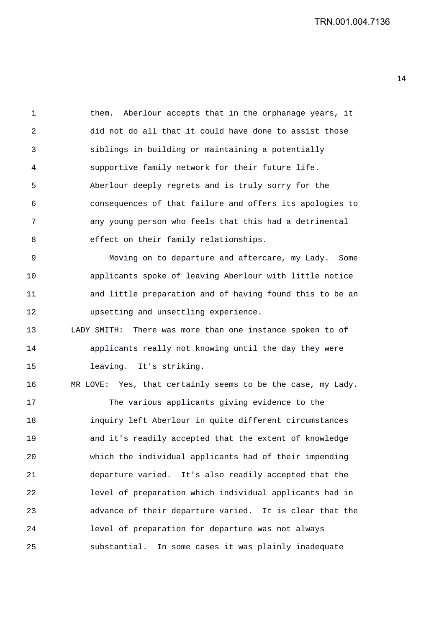1 them. Aberlour accepts that in the orphanage years, it 2 did not do all that it could have done to assist those 3 siblings in building or maintaining a potentially 4 supportive family network for their future life. 5 Aberlour deeply regrets and is truly sorry for the 6 consequences of that failure and offers its apologies to 7 any young person who feels that this had a detrimental 8 effect on their family relationships. 9 Moving on to departure and aftercare, my Lady. Some 10 applicants spoke of leaving Aberlour with little notice 11 and little preparation and of having found this to be an 12 upsetting and unsettling experience. 13 LADY SMITH: There was more than one instance spoken to of 14 applicants really not knowing until the day they were 15 leaving. It's striking.

16 MR LOVE: Yes, that certainly seems to be the case, my Lady. 17 The various applicants giving evidence to the 18 inquiry left Aberlour in quite different circumstances 19 and it's readily accepted that the extent of knowledge 20 which the individual applicants had of their impending 21 departure varied. It's also readily accepted that the 22 level of preparation which individual applicants had in 23 advance of their departure varied. It is clear that the 24 level of preparation for departure was not always 25 substantial. In some cases it was plainly inadequate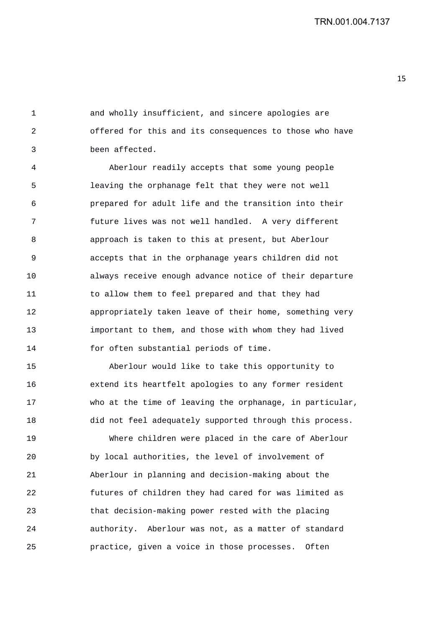1 and wholly insufficient, and sincere apologies are 2 offered for this and its consequences to those who have 3 been affected.

4 Aberlour readily accepts that some young people 5 leaving the orphanage felt that they were not well 6 prepared for adult life and the transition into their 7 future lives was not well handled. A very different 8 approach is taken to this at present, but Aberlour 9 accepts that in the orphanage years children did not 10 always receive enough advance notice of their departure 11 to allow them to feel prepared and that they had 12 appropriately taken leave of their home, something very 13 important to them, and those with whom they had lived 14 for often substantial periods of time.

15 Aberlour would like to take this opportunity to 16 extend its heartfelt apologies to any former resident 17 who at the time of leaving the orphanage, in particular, 18 did not feel adequately supported through this process.

19 Where children were placed in the care of Aberlour 20 by local authorities, the level of involvement of 21 Aberlour in planning and decision-making about the 22 futures of children they had cared for was limited as 23 that decision-making power rested with the placing 24 authority. Aberlour was not, as a matter of standard 25 practice, given a voice in those processes. Often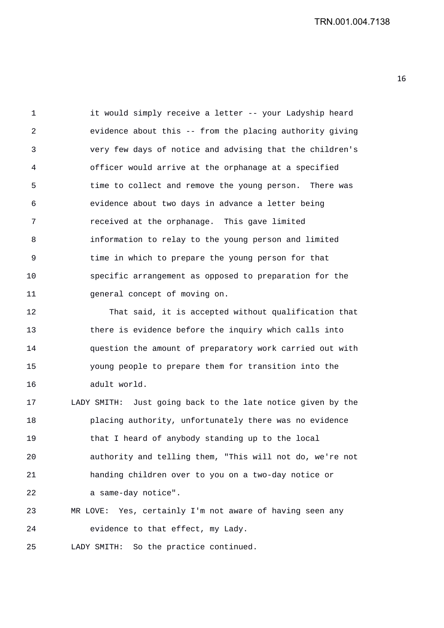1 it would simply receive a letter -- your Ladyship heard 2 evidence about this -- from the placing authority giving 3 very few days of notice and advising that the children's 4 officer would arrive at the orphanage at a specified 5 time to collect and remove the young person. There was 6 evidence about two days in advance a letter being 7 received at the orphanage. This gave limited 8 information to relay to the young person and limited 9 time in which to prepare the young person for that 10 specific arrangement as opposed to preparation for the 11 general concept of moving on.

12 That said, it is accepted without qualification that 13 there is evidence before the inquiry which calls into 14 question the amount of preparatory work carried out with 15 young people to prepare them for transition into the 16 adult world.

17 LADY SMITH: Just going back to the late notice given by the 18 placing authority, unfortunately there was no evidence 19 that I heard of anybody standing up to the local 20 authority and telling them, "This will not do, we're not 21 handing children over to you on a two-day notice or 22 a same-day notice".

23 MR LOVE: Yes, certainly I'm not aware of having seen any 24 evidence to that effect, my Lady.

25 LADY SMITH: So the practice continued.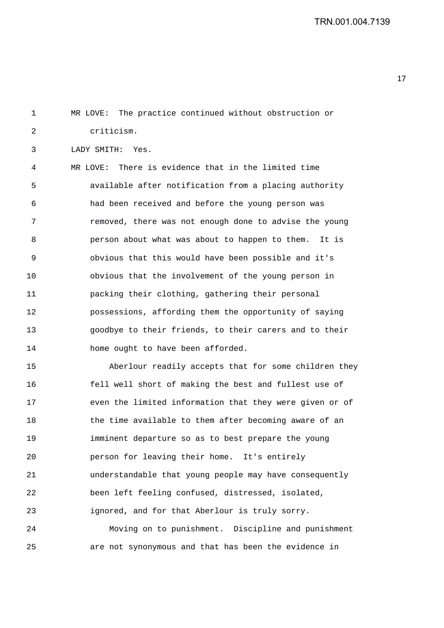1 MR LOVE: The practice continued without obstruction or 2 criticism. 3 LADY SMITH: Yes. 4 MR LOVE: There is evidence that in the limited time 5 available after notification from a placing authority 6 had been received and before the young person was 7 removed, there was not enough done to advise the young 8 person about what was about to happen to them. It is 9 obvious that this would have been possible and it's 10 obvious that the involvement of the young person in 11 packing their clothing, gathering their personal 12 possessions, affording them the opportunity of saying 13 goodbye to their friends, to their carers and to their 14 home ought to have been afforded. 15 Aberlour readily accepts that for some children they 16 fell well short of making the best and fullest use of 17 even the limited information that they were given or of

21 understandable that young people may have consequently 22 been left feeling confused, distressed, isolated, 23 ignored, and for that Aberlour is truly sorry. 24 Moving on to punishment. Discipline and punishment

18 the time available to them after becoming aware of an

19 imminent departure so as to best prepare the young

20 person for leaving their home. It's entirely

25 are not synonymous and that has been the evidence in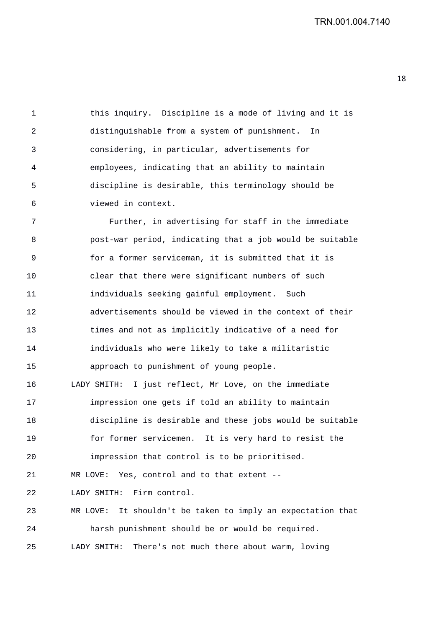1 this inquiry. Discipline is a mode of living and it is 2 distinguishable from a system of punishment. In 3 considering, in particular, advertisements for 4 employees, indicating that an ability to maintain 5 discipline is desirable, this terminology should be 6 viewed in context.

7 Further, in advertising for staff in the immediate 8 post-war period, indicating that a job would be suitable 9 for a former serviceman, it is submitted that it is 10 clear that there were significant numbers of such 11 individuals seeking gainful employment. Such 12 advertisements should be viewed in the context of their 13 times and not as implicitly indicative of a need for 14 individuals who were likely to take a militaristic 15 approach to punishment of young people. 16 LADY SMITH: I just reflect, Mr Love, on the immediate 17 impression one gets if told an ability to maintain 18 discipline is desirable and these jobs would be suitable 19 for former servicemen. It is very hard to resist the 20 impression that control is to be prioritised. 21 MR LOVE: Yes, control and to that extent -- 22 LADY SMITH: Firm control. 23 MR LOVE: It shouldn't be taken to imply an expectation that 24 harsh punishment should be or would be required. 25 LADY SMITH: There's not much there about warm, loving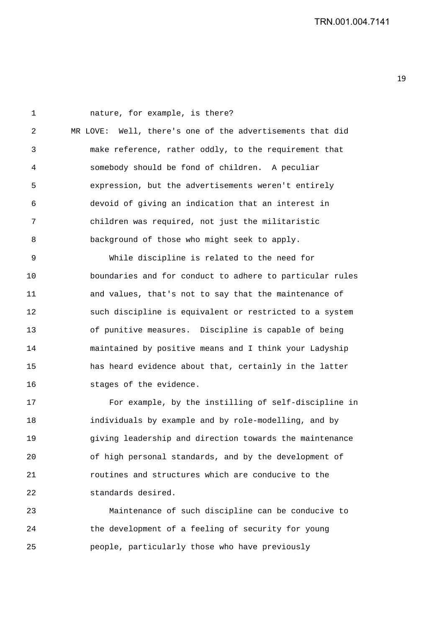1 nature, for example, is there? 2 MR LOVE: Well, there's one of the advertisements that did 3 make reference, rather oddly, to the requirement that 4 somebody should be fond of children. A peculiar 5 expression, but the advertisements weren't entirely 6 devoid of giving an indication that an interest in 7 children was required, not just the militaristic 8 background of those who might seek to apply. 9 While discipline is related to the need for

10 boundaries and for conduct to adhere to particular rules 11 and values, that's not to say that the maintenance of 12 such discipline is equivalent or restricted to a system 13 of punitive measures. Discipline is capable of being 14 maintained by positive means and I think your Ladyship 15 has heard evidence about that, certainly in the latter 16 stages of the evidence.

17 For example, by the instilling of self-discipline in 18 individuals by example and by role-modelling, and by 19 giving leadership and direction towards the maintenance 20 of high personal standards, and by the development of 21 routines and structures which are conducive to the 22 standards desired.

23 Maintenance of such discipline can be conducive to 24 the development of a feeling of security for young 25 people, particularly those who have previously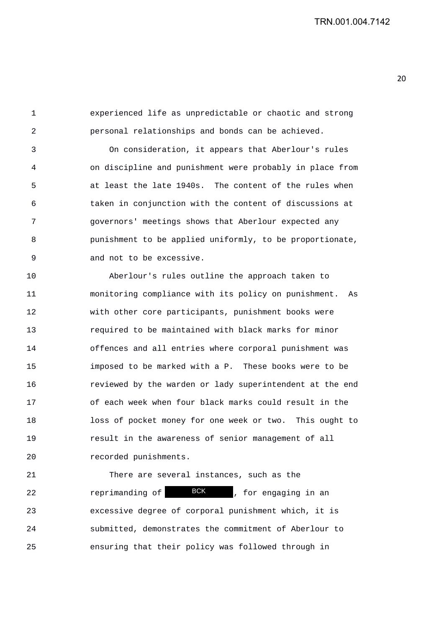1 experienced life as unpredictable or chaotic and strong 2 personal relationships and bonds can be achieved.

3 On consideration, it appears that Aberlour's rules 4 on discipline and punishment were probably in place from 5 at least the late 1940s. The content of the rules when 6 taken in conjunction with the content of discussions at 7 governors' meetings shows that Aberlour expected any 8 punishment to be applied uniformly, to be proportionate, 9 and not to be excessive.

10 Aberlour's rules outline the approach taken to 11 monitoring compliance with its policy on punishment. As 12 with other core participants, punishment books were 13 required to be maintained with black marks for minor 14 offences and all entries where corporal punishment was 15 imposed to be marked with a P. These books were to be 16 reviewed by the warden or lady superintendent at the end 17 of each week when four black marks could result in the 18 loss of pocket money for one week or two. This ought to 19 result in the awareness of senior management of all 20 recorded punishments.

21 There are several instances, such as the 22 reprimanding of **BCK**, for engaging in an 23 excessive degree of corporal punishment which, it is 24 submitted, demonstrates the commitment of Aberlour to 25 ensuring that their policy was followed through in BCK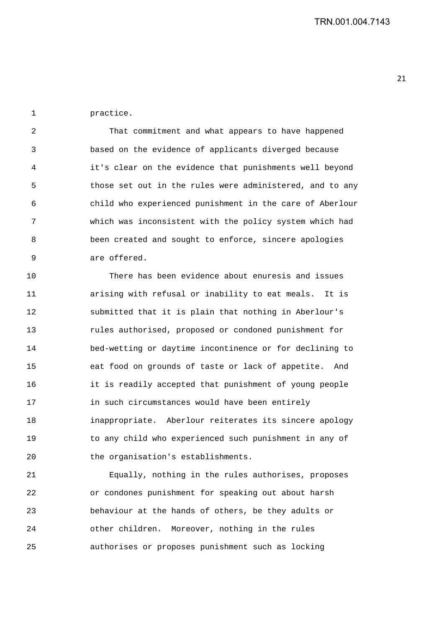1 practice.

2 That commitment and what appears to have happened 3 based on the evidence of applicants diverged because 4 it's clear on the evidence that punishments well beyond 5 those set out in the rules were administered, and to any 6 child who experienced punishment in the care of Aberlour 7 which was inconsistent with the policy system which had 8 been created and sought to enforce, sincere apologies 9 are offered.

10 There has been evidence about enuresis and issues 11 arising with refusal or inability to eat meals. It is 12 submitted that it is plain that nothing in Aberlour's 13 rules authorised, proposed or condoned punishment for 14 bed-wetting or daytime incontinence or for declining to 15 eat food on grounds of taste or lack of appetite. And 16 it is readily accepted that punishment of young people 17 in such circumstances would have been entirely 18 inappropriate. Aberlour reiterates its sincere apology 19 to any child who experienced such punishment in any of 20 the organisation's establishments.

21 Equally, nothing in the rules authorises, proposes 22 or condones punishment for speaking out about harsh 23 behaviour at the hands of others, be they adults or 24 other children. Moreover, nothing in the rules 25 authorises or proposes punishment such as locking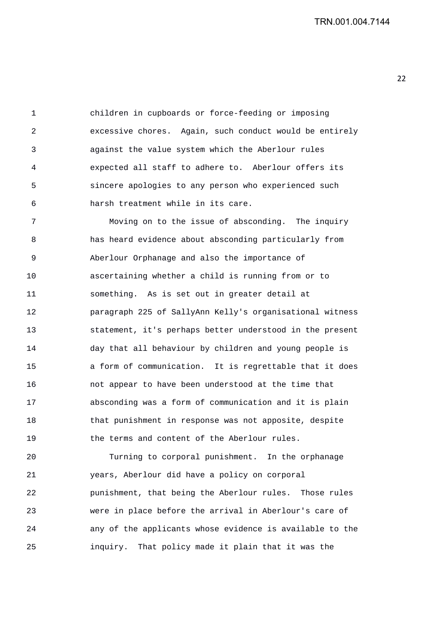1 children in cupboards or force-feeding or imposing 2 excessive chores. Again, such conduct would be entirely 3 against the value system which the Aberlour rules 4 expected all staff to adhere to. Aberlour offers its 5 sincere apologies to any person who experienced such 6 harsh treatment while in its care.

7 Moving on to the issue of absconding. The inquiry 8 has heard evidence about absconding particularly from 9 Aberlour Orphanage and also the importance of 10 ascertaining whether a child is running from or to 11 something. As is set out in greater detail at 12 paragraph 225 of SallyAnn Kelly's organisational witness 13 statement, it's perhaps better understood in the present 14 day that all behaviour by children and young people is 15 a form of communication. It is regrettable that it does 16 not appear to have been understood at the time that 17 absconding was a form of communication and it is plain 18 that punishment in response was not apposite, despite 19 the terms and content of the Aberlour rules.

20 Turning to corporal punishment. In the orphanage 21 years, Aberlour did have a policy on corporal 22 punishment, that being the Aberlour rules. Those rules 23 were in place before the arrival in Aberlour's care of 24 any of the applicants whose evidence is available to the 25 inquiry. That policy made it plain that it was the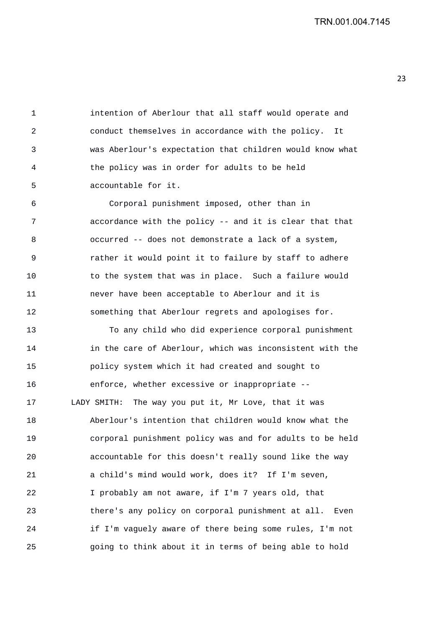1 intention of Aberlour that all staff would operate and 2 conduct themselves in accordance with the policy. It 3 was Aberlour's expectation that children would know what 4 the policy was in order for adults to be held 5 accountable for it.

6 Corporal punishment imposed, other than in 7 accordance with the policy -- and it is clear that that 8 occurred -- does not demonstrate a lack of a system, 9 rather it would point it to failure by staff to adhere 10 to the system that was in place. Such a failure would 11 never have been acceptable to Aberlour and it is 12 something that Aberlour regrets and apologises for.

13 To any child who did experience corporal punishment 14 in the care of Aberlour, which was inconsistent with the 15 policy system which it had created and sought to 16 enforce, whether excessive or inappropriate -- 17 LADY SMITH: The way you put it, Mr Love, that it was 18 Aberlour's intention that children would know what the 19 corporal punishment policy was and for adults to be held 20 accountable for this doesn't really sound like the way 21 a child's mind would work, does it? If I'm seven, 22 I probably am not aware, if I'm 7 years old, that 23 there's any policy on corporal punishment at all. Even 24 if I'm vaguely aware of there being some rules, I'm not 25 going to think about it in terms of being able to hold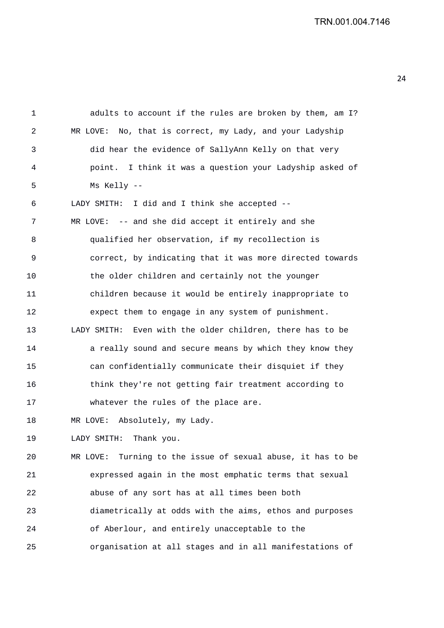TRN.001.004.7146

1 adults to account if the rules are broken by them, am I? 2 MR LOVE: No, that is correct, my Lady, and your Ladyship 3 did hear the evidence of SallyAnn Kelly on that very 4 point. I think it was a question your Ladyship asked of 5 Ms Kelly -- 6 LADY SMITH: I did and I think she accepted -- 7 MR LOVE: -- and she did accept it entirely and she 8 qualified her observation, if my recollection is 9 correct, by indicating that it was more directed towards 10 the older children and certainly not the younger 11 children because it would be entirely inappropriate to 12 expect them to engage in any system of punishment. 13 LADY SMITH: Even with the older children, there has to be 14 **a** really sound and secure means by which they know they 15 can confidentially communicate their disquiet if they 16 think they're not getting fair treatment according to 17 whatever the rules of the place are. 18 MR LOVE: Absolutely, my Lady. 19 LADY SMITH: Thank you. 20 MR LOVE: Turning to the issue of sexual abuse, it has to be 21 expressed again in the most emphatic terms that sexual 22 abuse of any sort has at all times been both 23 diametrically at odds with the aims, ethos and purposes 24 of Aberlour, and entirely unacceptable to the 25 organisation at all stages and in all manifestations of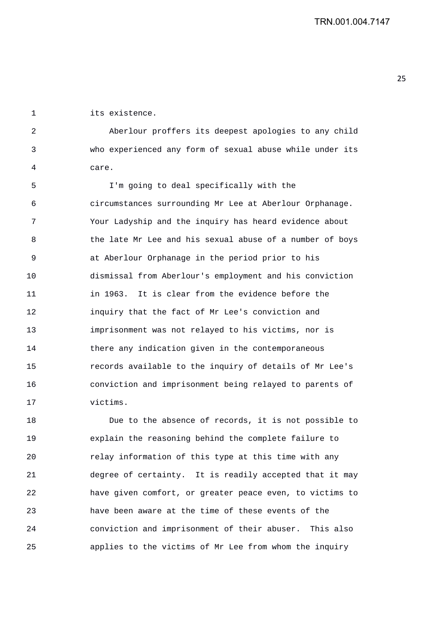1 its existence.

2 Aberlour proffers its deepest apologies to any child 3 who experienced any form of sexual abuse while under its 4 care.

5 I'm going to deal specifically with the 6 circumstances surrounding Mr Lee at Aberlour Orphanage. 7 Your Ladyship and the inquiry has heard evidence about 8 the late Mr Lee and his sexual abuse of a number of boys 9 at Aberlour Orphanage in the period prior to his 10 dismissal from Aberlour's employment and his conviction 11 in 1963. It is clear from the evidence before the 12 inquiry that the fact of Mr Lee's conviction and 13 imprisonment was not relayed to his victims, nor is 14 there any indication given in the contemporaneous 15 records available to the inquiry of details of Mr Lee's 16 conviction and imprisonment being relayed to parents of 17 victims.

18 Due to the absence of records, it is not possible to 19 explain the reasoning behind the complete failure to 20 relay information of this type at this time with any 21 degree of certainty. It is readily accepted that it may 22 have given comfort, or greater peace even, to victims to 23 have been aware at the time of these events of the 24 conviction and imprisonment of their abuser. This also 25 applies to the victims of Mr Lee from whom the inquiry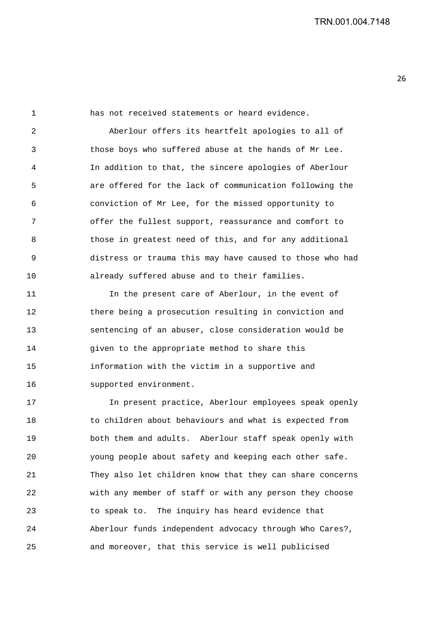1 has not received statements or heard evidence. 2 Aberlour offers its heartfelt apologies to all of 3 those boys who suffered abuse at the hands of Mr Lee. 4 In addition to that, the sincere apologies of Aberlour 5 are offered for the lack of communication following the 6 conviction of Mr Lee, for the missed opportunity to 7 offer the fullest support, reassurance and comfort to 8 those in greatest need of this, and for any additional 9 distress or trauma this may have caused to those who had 10 already suffered abuse and to their families.

11 In the present care of Aberlour, in the event of 12 there being a prosecution resulting in conviction and 13 sentencing of an abuser, close consideration would be 14 qiven to the appropriate method to share this 15 information with the victim in a supportive and 16 supported environment.

17 In present practice, Aberlour employees speak openly 18 to children about behaviours and what is expected from 19 both them and adults. Aberlour staff speak openly with 20 young people about safety and keeping each other safe. 21 They also let children know that they can share concerns 22 with any member of staff or with any person they choose 23 to speak to. The inquiry has heard evidence that 24 Aberlour funds independent advocacy through Who Cares?, 25 and moreover, that this service is well publicised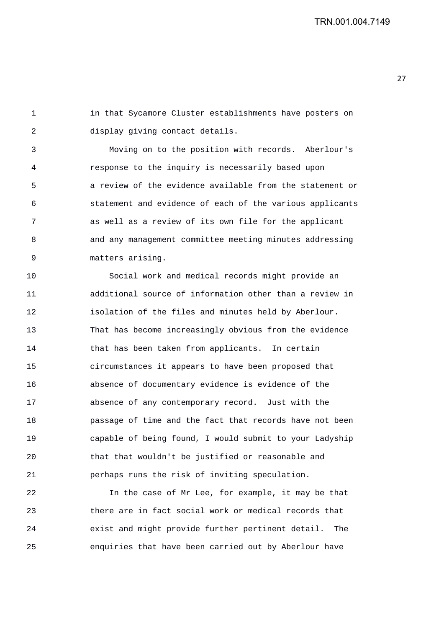1 in that Sycamore Cluster establishments have posters on 2 display giving contact details.

3 Moving on to the position with records. Aberlour's 4 response to the inquiry is necessarily based upon 5 a review of the evidence available from the statement or 6 statement and evidence of each of the various applicants 7 as well as a review of its own file for the applicant 8 and any management committee meeting minutes addressing 9 matters arising.

10 Social work and medical records might provide an 11 additional source of information other than a review in 12 isolation of the files and minutes held by Aberlour. 13 That has become increasingly obvious from the evidence 14 that has been taken from applicants. In certain 15 circumstances it appears to have been proposed that 16 absence of documentary evidence is evidence of the 17 absence of any contemporary record. Just with the 18 passage of time and the fact that records have not been 19 capable of being found, I would submit to your Ladyship 20 that that wouldn't be justified or reasonable and 21 perhaps runs the risk of inviting speculation.

22 In the case of Mr Lee, for example, it may be that 23 there are in fact social work or medical records that 24 exist and might provide further pertinent detail. The 25 enquiries that have been carried out by Aberlour have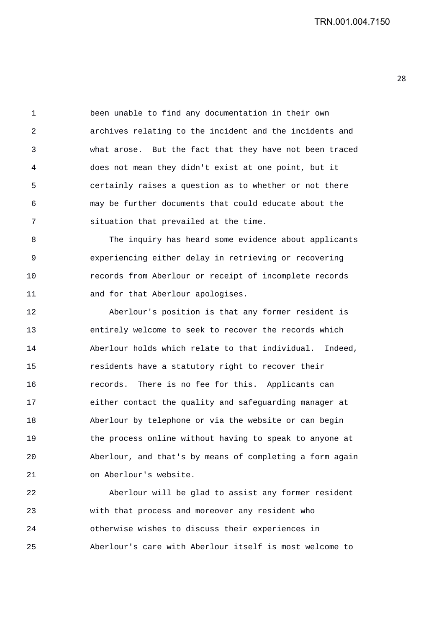1 been unable to find any documentation in their own 2 archives relating to the incident and the incidents and 3 what arose. But the fact that they have not been traced 4 does not mean they didn't exist at one point, but it 5 certainly raises a question as to whether or not there 6 may be further documents that could educate about the 7 situation that prevailed at the time.

8 The inquiry has heard some evidence about applicants 9 experiencing either delay in retrieving or recovering 10 records from Aberlour or receipt of incomplete records 11 and for that Aberlour apologises.

12 Aberlour's position is that any former resident is 13 entirely welcome to seek to recover the records which 14 Aberlour holds which relate to that individual. Indeed, 15 residents have a statutory right to recover their 16 records. There is no fee for this. Applicants can 17 either contact the quality and safeguarding manager at 18 Aberlour by telephone or via the website or can begin 19 the process online without having to speak to anyone at 20 Aberlour, and that's by means of completing a form again 21 on Aberlour's website.

22 Aberlour will be glad to assist any former resident 23 with that process and moreover any resident who 24 otherwise wishes to discuss their experiences in 25 Aberlour's care with Aberlour itself is most welcome to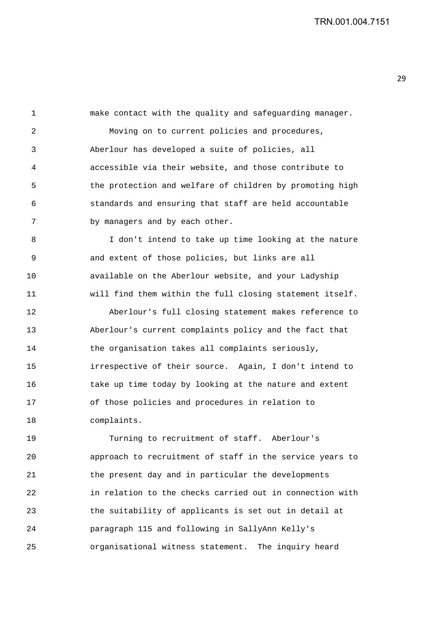1 make contact with the quality and safeguarding manager. 2 Moving on to current policies and procedures, 3 Aberlour has developed a suite of policies, all 4 accessible via their website, and those contribute to 5 the protection and welfare of children by promoting high 6 standards and ensuring that staff are held accountable 7 by managers and by each other. 8 I don't intend to take up time looking at the nature 9 and extent of those policies, but links are all 10 available on the Aberlour website, and your Ladyship 11 will find them within the full closing statement itself. 12 Aberlour's full closing statement makes reference to 13 Aberlour's current complaints policy and the fact that 14 the organisation takes all complaints seriously, 15 irrespective of their source. Again, I don't intend to 16 take up time today by looking at the nature and extent 17 of those policies and procedures in relation to

18 complaints. 19 Turning to recruitment of staff. Aberlour's 20 approach to recruitment of staff in the service years to 21 the present day and in particular the developments 22 in relation to the checks carried out in connection with 23 the suitability of applicants is set out in detail at 24 paragraph 115 and following in SallyAnn Kelly's 25 organisational witness statement. The inquiry heard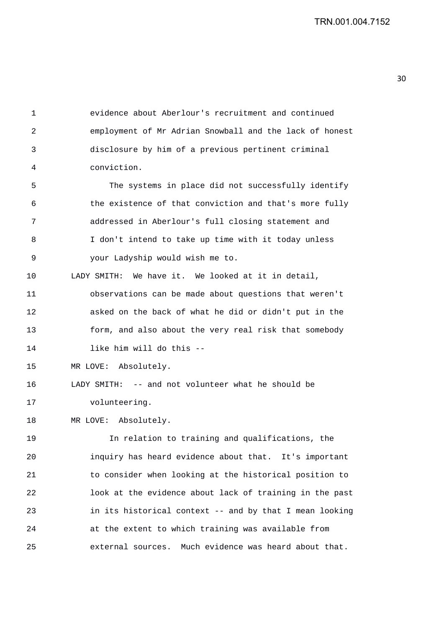1 evidence about Aberlour's recruitment and continued 2 employment of Mr Adrian Snowball and the lack of honest 3 disclosure by him of a previous pertinent criminal 4 conviction.

5 The systems in place did not successfully identify 6 the existence of that conviction and that's more fully 7 addressed in Aberlour's full closing statement and 8 I don't intend to take up time with it today unless 9 your Ladyship would wish me to.

10 LADY SMITH: We have it. We looked at it in detail,

11 observations can be made about questions that weren't 12 asked on the back of what he did or didn't put in the 13 form, and also about the very real risk that somebody 14 like him will do this --

15 MR LOVE: Absolutely.

16 LADY SMITH: -- and not volunteer what he should be 17 volunteering.

18 MR LOVE: Absolutely.

19 In relation to training and qualifications, the 20 inquiry has heard evidence about that. It's important 21 to consider when looking at the historical position to 22 look at the evidence about lack of training in the past 23 in its historical context -- and by that I mean looking 24 at the extent to which training was available from 25 external sources. Much evidence was heard about that.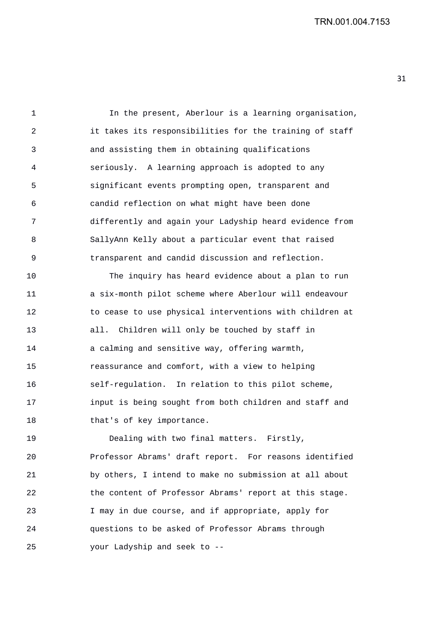TRN.001.004.7153

1 In the present, Aberlour is a learning organisation, 2 it takes its responsibilities for the training of staff 3 and assisting them in obtaining qualifications 4 seriously. A learning approach is adopted to any 5 significant events prompting open, transparent and 6 candid reflection on what might have been done 7 differently and again your Ladyship heard evidence from 8 SallyAnn Kelly about a particular event that raised 9 transparent and candid discussion and reflection.

10 The inquiry has heard evidence about a plan to run 11 a six-month pilot scheme where Aberlour will endeavour 12 to cease to use physical interventions with children at 13 all. Children will only be touched by staff in 14 a calming and sensitive way, offering warmth, 15 reassurance and comfort, with a view to helping 16 self-regulation. In relation to this pilot scheme, 17 input is being sought from both children and staff and 18 that's of key importance.

19 Dealing with two final matters. Firstly, 20 Professor Abrams' draft report. For reasons identified 21 by others, I intend to make no submission at all about 22 the content of Professor Abrams' report at this stage. 23 I may in due course, and if appropriate, apply for 24 questions to be asked of Professor Abrams through 25 your Ladyship and seek to --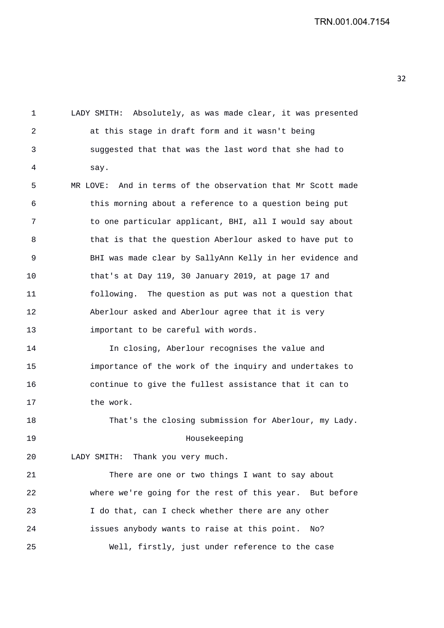1 LADY SMITH: Absolutely, as was made clear, it was presented 2 at this stage in draft form and it wasn't being 3 suggested that that was the last word that she had to 4 say. 5 MR LOVE: And in terms of the observation that Mr Scott made 6 this morning about a reference to a question being put 7 to one particular applicant, BHI, all I would say about 8 that is that the question Aberlour asked to have put to 9 BHI was made clear by SallyAnn Kelly in her evidence and 10 that's at Day 119, 30 January 2019, at page 17 and 11 following. The question as put was not a question that 12 Aberlour asked and Aberlour agree that it is very 13 important to be careful with words. 14 In closing, Aberlour recognises the value and 15 importance of the work of the inquiry and undertakes to 16 continue to give the fullest assistance that it can to 17 the work. 18 That's the closing submission for Aberlour, my Lady. 19 Housekeeping 20 LADY SMITH: Thank you very much. 21 There are one or two things I want to say about 22 where we're going for the rest of this year. But before 23 I do that, can I check whether there are any other 24 issues anybody wants to raise at this point. No? 25 Well, firstly, just under reference to the case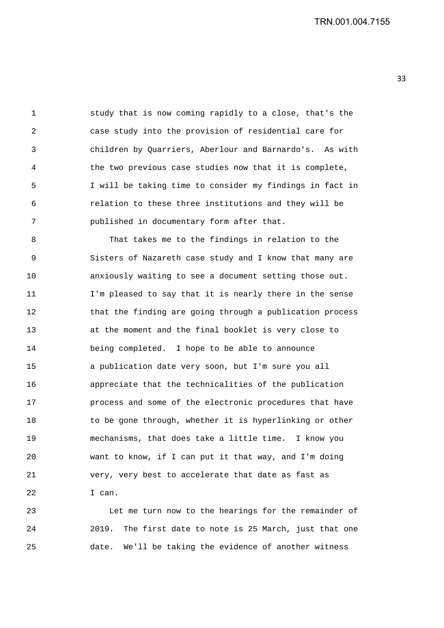1 study that is now coming rapidly to a close, that's the 2 case study into the provision of residential care for 3 children by Quarriers, Aberlour and Barnardo's. As with 4 the two previous case studies now that it is complete, 5 I will be taking time to consider my findings in fact in 6 relation to these three institutions and they will be 7 published in documentary form after that.

8 That takes me to the findings in relation to the 9 Sisters of Nazareth case study and I know that many are 10 anxiously waiting to see a document setting those out. 11 I'm pleased to say that it is nearly there in the sense 12 that the finding are going through a publication process 13 at the moment and the final booklet is very close to 14 being completed. I hope to be able to announce 15 a publication date very soon, but I'm sure you all 16 appreciate that the technicalities of the publication 17 process and some of the electronic procedures that have 18 to be gone through, whether it is hyperlinking or other 19 mechanisms, that does take a little time. I know you 20 want to know, if I can put it that way, and I'm doing 21 very, very best to accelerate that date as fast as 22 I can.

23 Let me turn now to the hearings for the remainder of 24 2019. The first date to note is 25 March, just that one 25 date. We'll be taking the evidence of another witness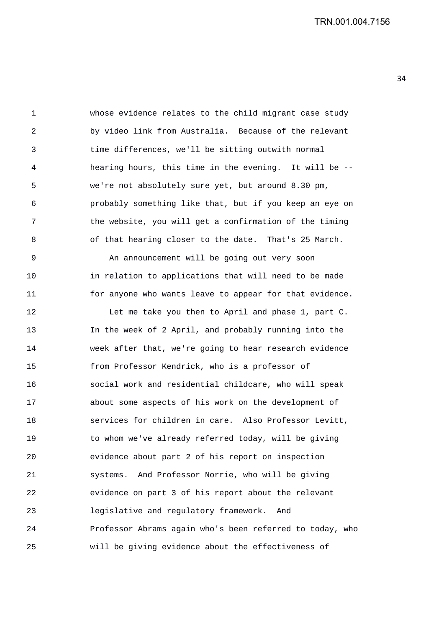1 whose evidence relates to the child migrant case study 2 by video link from Australia. Because of the relevant 3 time differences, we'll be sitting outwith normal 4 hearing hours, this time in the evening. It will be -- 5 we're not absolutely sure yet, but around 8.30 pm, 6 probably something like that, but if you keep an eye on 7 the website, you will get a confirmation of the timing 8 of that hearing closer to the date. That's 25 March.

9 An announcement will be going out very soon 10 in relation to applications that will need to be made 11 for anyone who wants leave to appear for that evidence.

12 Let me take you then to April and phase 1, part C. 13 In the week of 2 April, and probably running into the 14 week after that, we're going to hear research evidence 15 from Professor Kendrick, who is a professor of 16 social work and residential childcare, who will speak 17 about some aspects of his work on the development of 18 services for children in care. Also Professor Levitt, 19 to whom we've already referred today, will be giving 20 evidence about part 2 of his report on inspection 21 systems. And Professor Norrie, who will be giving 22 evidence on part 3 of his report about the relevant 23 legislative and regulatory framework. And 24 Professor Abrams again who's been referred to today, who 25 will be giving evidence about the effectiveness of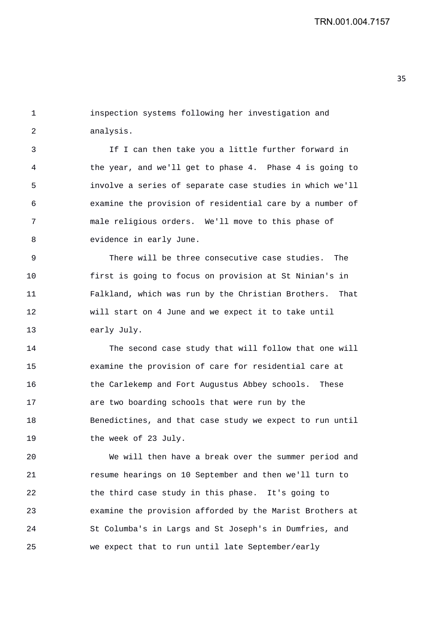1 inspection systems following her investigation and 2 analysis.

3 If I can then take you a little further forward in 4 the year, and we'll get to phase 4. Phase 4 is going to 5 involve a series of separate case studies in which we'll 6 examine the provision of residential care by a number of 7 male religious orders. We'll move to this phase of 8 evidence in early June.

9 There will be three consecutive case studies. The 10 first is going to focus on provision at St Ninian's in 11 Falkland, which was run by the Christian Brothers. That 12 will start on 4 June and we expect it to take until 13 early July.

14 The second case study that will follow that one will 15 examine the provision of care for residential care at 16 the Carlekemp and Fort Augustus Abbey schools. These 17 are two boarding schools that were run by the 18 Benedictines, and that case study we expect to run until 19 the week of 23 July.

20 We will then have a break over the summer period and 21 resume hearings on 10 September and then we'll turn to 22 the third case study in this phase. It's going to 23 examine the provision afforded by the Marist Brothers at 24 St Columba's in Largs and St Joseph's in Dumfries, and 25 we expect that to run until late September/early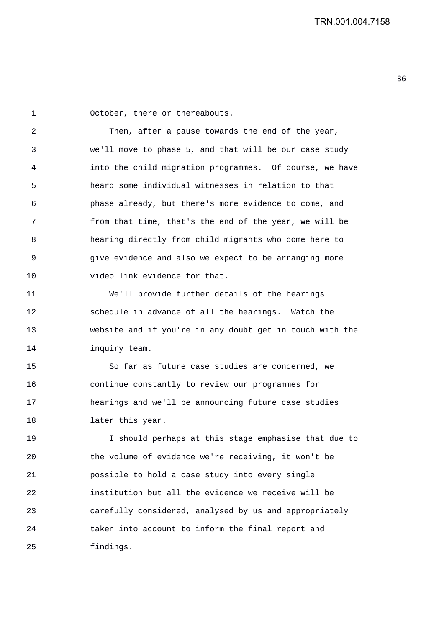1 October, there or thereabouts.

2 Then, after a pause towards the end of the year, 3 we'll move to phase 5, and that will be our case study 4 into the child migration programmes. Of course, we have 5 heard some individual witnesses in relation to that 6 phase already, but there's more evidence to come, and 7 from that time, that's the end of the year, we will be 8 hearing directly from child migrants who come here to 9 give evidence and also we expect to be arranging more 10 video link evidence for that.

11 We'll provide further details of the hearings 12 schedule in advance of all the hearings. Watch the 13 website and if you're in any doubt get in touch with the 14 inquiry team.

15 So far as future case studies are concerned, we 16 continue constantly to review our programmes for 17 hearings and we'll be announcing future case studies 18 later this year.

19 I should perhaps at this stage emphasise that due to 20 the volume of evidence we're receiving, it won't be 21 possible to hold a case study into every single 22 institution but all the evidence we receive will be 23 carefully considered, analysed by us and appropriately 24 taken into account to inform the final report and 25 findings.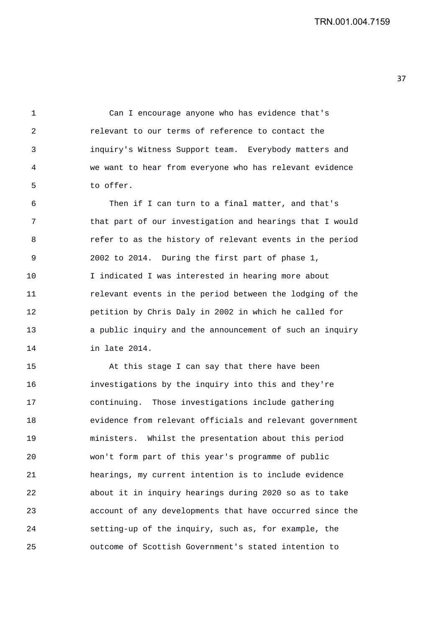1 Can I encourage anyone who has evidence that's 2 relevant to our terms of reference to contact the 3 inquiry's Witness Support team. Everybody matters and 4 we want to hear from everyone who has relevant evidence 5 to offer.

6 Then if I can turn to a final matter, and that's 7 that part of our investigation and hearings that I would 8 refer to as the history of relevant events in the period 9 2002 to 2014. During the first part of phase 1, 10 I indicated I was interested in hearing more about 11 relevant events in the period between the lodging of the 12 petition by Chris Daly in 2002 in which he called for 13 a public inquiry and the announcement of such an inquiry 14 in late 2014.

15 At this stage I can say that there have been 16 investigations by the inquiry into this and they're 17 continuing. Those investigations include gathering 18 evidence from relevant officials and relevant government 19 ministers. Whilst the presentation about this period 20 won't form part of this year's programme of public 21 hearings, my current intention is to include evidence 22 about it in inquiry hearings during 2020 so as to take 23 account of any developments that have occurred since the 24 setting-up of the inquiry, such as, for example, the 25 outcome of Scottish Government's stated intention to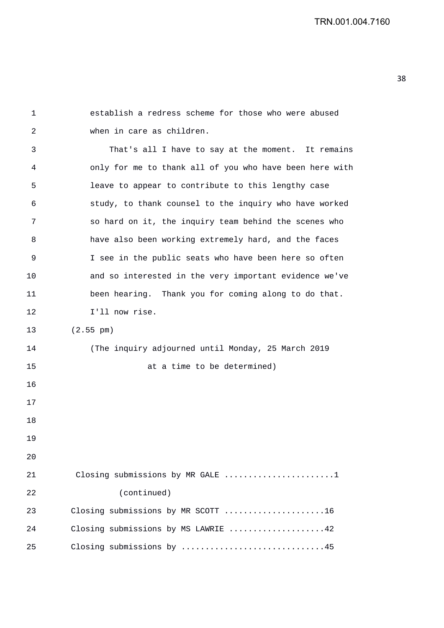1 establish a redress scheme for those who were abused 2 when in care as children. 3 That's all I have to say at the moment. It remains 4 only for me to thank all of you who have been here with 5 leave to appear to contribute to this lengthy case 6 study, to thank counsel to the inquiry who have worked 7 so hard on it, the inquiry team behind the scenes who 8 have also been working extremely hard, and the faces 9 I see in the public seats who have been here so often 10 and so interested in the very important evidence we've 11 been hearing. Thank you for coming along to do that. 12 I'll now rise. 13 (2.55 pm) 14 (The inquiry adjourned until Monday, 25 March 2019 15 at a time to be determined) 16 17 18 19  $2.0$ 21 Closing submissions by MR GALE .......................1 22 (continued) 23 Closing submissions by MR SCOTT .....................16 24 Closing submissions by MS LAWRIE ....................42 25 Closing submissions by ..............................45